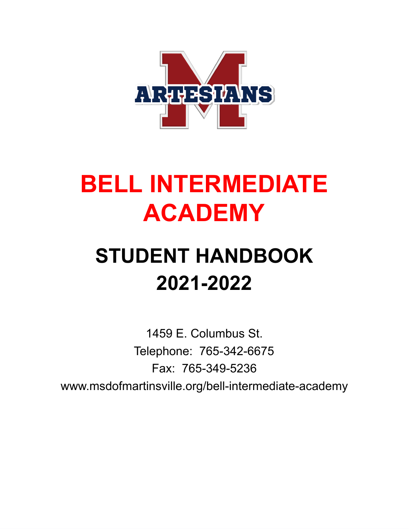

# **BELL INTERMEDIATE ACADEMY**

# **STUDENT HANDBOOK 2021-2022**

1459 E. Columbus St. Telephone: 765-342-6675 Fax:765-349-5236 www.msdofmartinsville.org/bell-intermediate-academy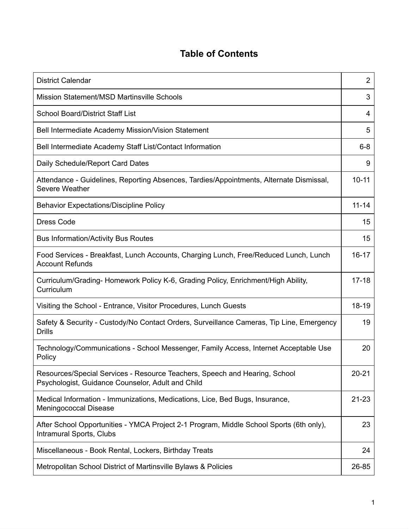## **Table of Contents**

| <b>District Calendar</b>                                                                                                        | $\overline{2}$ |
|---------------------------------------------------------------------------------------------------------------------------------|----------------|
| <b>Mission Statement/MSD Martinsville Schools</b>                                                                               | 3              |
| <b>School Board/District Staff List</b>                                                                                         | 4              |
| Bell Intermediate Academy Mission/Vision Statement                                                                              | 5              |
| Bell Intermediate Academy Staff List/Contact Information                                                                        | $6 - 8$        |
| Daily Schedule/Report Card Dates                                                                                                | 9              |
| Attendance - Guidelines, Reporting Absences, Tardies/Appointments, Alternate Dismissal,<br><b>Severe Weather</b>                | $10 - 11$      |
| <b>Behavior Expectations/Discipline Policy</b>                                                                                  | $11 - 14$      |
| <b>Dress Code</b>                                                                                                               | 15             |
| <b>Bus Information/Activity Bus Routes</b>                                                                                      | 15             |
| Food Services - Breakfast, Lunch Accounts, Charging Lunch, Free/Reduced Lunch, Lunch<br><b>Account Refunds</b>                  | $16 - 17$      |
| Curriculum/Grading-Homework Policy K-6, Grading Policy, Enrichment/High Ability,<br>Curriculum                                  | $17 - 18$      |
| Visiting the School - Entrance, Visitor Procedures, Lunch Guests                                                                | 18-19          |
| Safety & Security - Custody/No Contact Orders, Surveillance Cameras, Tip Line, Emergency<br><b>Drills</b>                       | 19             |
| Technology/Communications - School Messenger, Family Access, Internet Acceptable Use<br>Policy                                  | 20             |
| Resources/Special Services - Resource Teachers, Speech and Hearing, School<br>Psychologist, Guidance Counselor, Adult and Child | $20 - 21$      |
| Medical Information - Immunizations, Medications, Lice, Bed Bugs, Insurance,<br>Meningococcal Disease                           | $21 - 23$      |
| After School Opportunities - YMCA Project 2-1 Program, Middle School Sports (6th only),<br><b>Intramural Sports, Clubs</b>      | 23             |
| Miscellaneous - Book Rental, Lockers, Birthday Treats                                                                           | 24             |
| Metropolitan School District of Martinsville Bylaws & Policies                                                                  | 26-85          |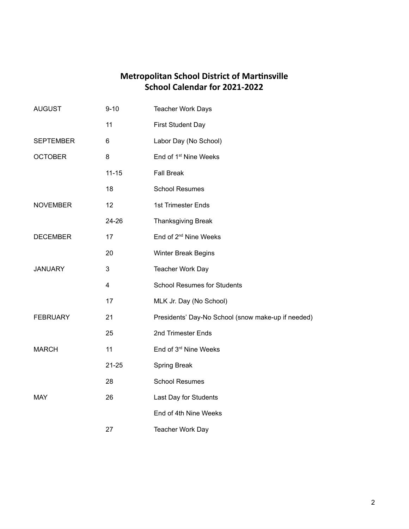## **Metropolitan School District of Martinsville School Calendar for 2021-2022**

| <b>AUGUST</b>    | $9 - 10$       | <b>Teacher Work Days</b>                           |
|------------------|----------------|----------------------------------------------------|
|                  | 11             | <b>First Student Day</b>                           |
| <b>SEPTEMBER</b> | 6              | Labor Day (No School)                              |
| <b>OCTOBER</b>   | 8              | End of 1 <sup>st</sup> Nine Weeks                  |
|                  | $11 - 15$      | <b>Fall Break</b>                                  |
|                  | 18             | <b>School Resumes</b>                              |
| <b>NOVEMBER</b>  | 12             | 1st Trimester Ends                                 |
|                  | 24-26          | <b>Thanksgiving Break</b>                          |
| <b>DECEMBER</b>  | 17             | End of 2 <sup>nd</sup> Nine Weeks                  |
|                  | 20             | <b>Winter Break Begins</b>                         |
| <b>JANUARY</b>   | 3              | Teacher Work Day                                   |
|                  | $\overline{4}$ | <b>School Resumes for Students</b>                 |
|                  | 17             | MLK Jr. Day (No School)                            |
| <b>FEBRUARY</b>  | 21             | Presidents' Day-No School (snow make-up if needed) |
|                  | 25             | 2nd Trimester Ends                                 |
| <b>MARCH</b>     | 11             | End of 3rd Nine Weeks                              |
|                  | $21 - 25$      | <b>Spring Break</b>                                |
|                  | 28             | <b>School Resumes</b>                              |
| <b>MAY</b>       | 26             | Last Day for Students                              |
|                  |                | End of 4th Nine Weeks                              |
|                  | 27             | <b>Teacher Work Day</b>                            |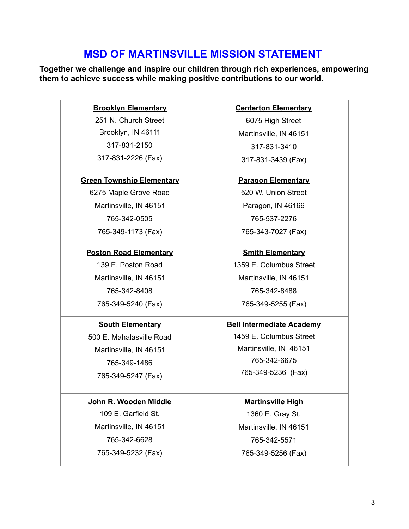## **MSD OF MARTINSVILLE MISSION STATEMENT**

**Together we challenge and inspire our children through rich experiences, empowering them to achieve success while making positive contributions to our world.** 

> **Brooklyn Elementary** 251 N. Church Street Brooklyn, IN 46111 317-831-2150 317-831-2226 (Fax)

**Green Township Elementary**

6275 Maple Grove Road Martinsville, IN 46151 765-342-0505 765-349-1173 (Fax)

**Poston Road Elementary** 139 E. Poston Road Martinsville, IN 46151 765-342-8408 765-349-5240 (Fax)

**South Elementary** 500 E. Mahalasville Road Martinsville, IN 46151 765-349-1486 765-349-5247 (Fax)

**John R. Wooden Middle** 109 E. Garfield St. Martinsville, IN 46151 765-342-6628 765-349-5232 (Fax)

**Centerton Elementary**

6075 High Street Martinsville, IN 46151 317-831-3410 317-831-3439 (Fax)

**Paragon Elementary** 520 W. Union Street Paragon, IN 46166 765-537-2276 765-343-7027 (Fax)

**Smith Elementary** 1359 E. Columbus Street Martinsville, IN 46151 765-342-8488 765-349-5255 (Fax)

#### **Bell Intermediate Academy**

1459 E. Columbus Street Martinsville, IN 46151 765-342-6675 765-349-5236 (Fax)

**Martinsville High** 1360 E. Gray St. Martinsville, IN 46151 765-342-5571 765-349-5256 (Fax)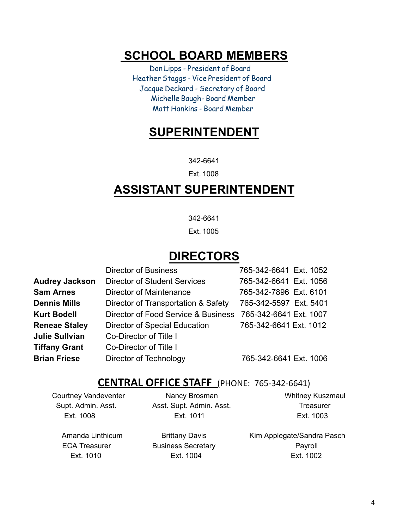# **SCHOOL BOARD MEMBERS**

 Don Lipps - President of Board Heather Staggs - Vice President of Board Jacque Deckard - Secretary of Board Michelle Baugh- Board Member Matt Hankins - Board Member

# **SUPERINTENDENT**

342-6641

Ext. 1008

# **ASSISTANT SUPERINTENDENT**

342-6641

Ext. 1005

# **DIRECTORS**

|                       | <b>Director of Business</b>          | 765-342-6641 Ext. 1052 |
|-----------------------|--------------------------------------|------------------------|
| <b>Audrey Jackson</b> | <b>Director of Student Services</b>  | 765-342-6641 Ext. 1056 |
| <b>Sam Arnes</b>      | Director of Maintenance              | 765-342-7896 Ext. 6101 |
| <b>Dennis Mills</b>   | Director of Transportation & Safety  | 765-342-5597 Ext. 5401 |
| <b>Kurt Bodell</b>    | Director of Food Service & Business  | 765-342-6641 Ext. 1007 |
| <b>Reneae Staley</b>  | <b>Director of Special Education</b> | 765-342-6641 Ext. 1012 |
| <b>Julie Sullvian</b> | Co-Director of Title I               |                        |
| <b>Tiffany Grant</b>  | Co-Director of Title I               |                        |
| <b>Brian Friese</b>   | Director of Technology               | 765-342-6641 Ext. 1006 |

#### **CENTRAL OFFICE STAFF** (PHONE: 765-342-6641)

Courtney Vandeventer **Nancy Brosman** Whitney Kuszmaul Supt. Admin. Asst. **Asst. Supt. Admin. Asst.** Asst. Treasurer Ext. 1008 Ext. 1011 Ext. 1003

Amanda Linthicum **Brittany Davis** Kim Applegate/Sandra Pasch ECA Treasurer **Business Secretary CECA Treasurer** Payroll Ext. 1010 Ext. 1004 Ext. 1002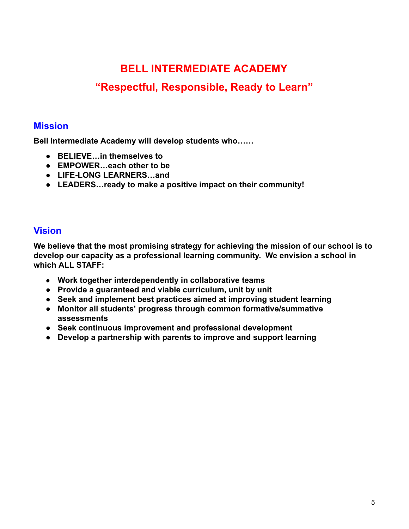# **BELL INTERMEDIATE ACADEMY**

## **"Respectful, Responsible, Ready to Learn"**

#### **Mission**

**Bell Intermediate Academy will develop students who……** 

- **BELIEVE…in themselves to**
- **EMPOWER…each other to be**
- **LIFE-LONG LEARNERS…and**
- **LEADERS…ready to make a positive impact on their community!**

#### **Vision**

**We believe that the most promising strategy for achieving the mission of our school is to develop our capacity as a professional learning community. We envision a school in which ALL STAFF:** 

- **● Work together interdependently in collaborative teams**
- **Provide a guaranteed and viable curriculum, unit by unit**
- **Seek and implement best practices aimed at improving student learning**
- **Monitor all students' progress through common formative/summative assessments**
- **Seek continuous improvement and professional development**
- **Develop a partnership with parents to improve and support learning**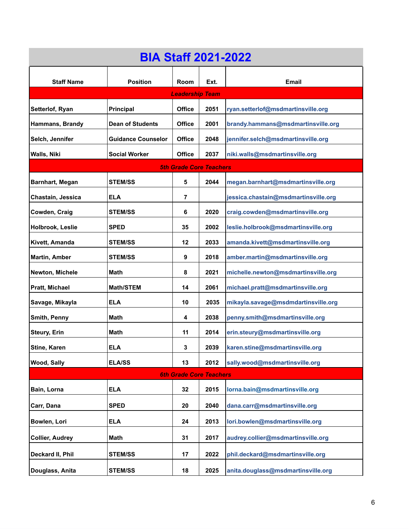| <b>BIA Staff 2021-2022</b>     |                           |                                                  |                                             |                                      |  |
|--------------------------------|---------------------------|--------------------------------------------------|---------------------------------------------|--------------------------------------|--|
| <b>Staff Name</b>              | <b>Position</b>           | <b>Room</b>                                      | Ext.                                        | <b>Email</b>                         |  |
|                                |                           | <b>Leadership Team</b>                           |                                             |                                      |  |
| Setterlof, Ryan                | <b>Principal</b>          | <b>Office</b>                                    | 2051                                        | ryan.setterlof@msdmartinsville.org   |  |
| Hammans, Brandy                | <b>Dean of Students</b>   | <b>Office</b>                                    | 2001                                        | brandy.hammans@msdmartinsville.org   |  |
| Selch, Jennifer                | <b>Guidance Counselor</b> | <b>Office</b>                                    | 2048                                        | jennifer.selch@msdmartinsville.org   |  |
| Walls, Niki                    | <b>Social Worker</b>      | <b>Office</b>                                    | 2037                                        | niki.walls@msdmartinsville.org       |  |
|                                |                           | <b>5th Grade Core Teachers</b>                   |                                             |                                      |  |
| <b>Barnhart, Megan</b>         | <b>STEM/SS</b>            | 5                                                | 2044                                        | megan.barnhart@msdmartinsville.org   |  |
| Chastain, Jessica              | <b>ELA</b>                | $\overline{7}$                                   |                                             | jessica.chastain@msdmartinsville.org |  |
| Cowden, Craig                  | <b>STEM/SS</b>            | 6                                                | 2020                                        | craig.cowden@msdmartinsville.org     |  |
| Holbrook, Leslie               | <b>SPED</b>               | 35                                               | 2002                                        | leslie.holbrook@msdmartinsville.org  |  |
| Kivett, Amanda                 | <b>STEM/SS</b>            | 12                                               | 2033                                        | amanda.kivett@msdmartinsville.org    |  |
| <b>Martin, Amber</b>           | <b>STEM/SS</b>            | 9                                                | 2018<br>amber.martin@msdmartinsville.org    |                                      |  |
| Newton, Michele                | Math                      | michelle.newton@msdmartinsville.org<br>2021<br>8 |                                             |                                      |  |
| Pratt, Michael                 | <b>Math/STEM</b>          | 14                                               | 2061<br>michael.pratt@msdmartinsville.org   |                                      |  |
| Savage, Mikayla                | <b>ELA</b>                | 10                                               | 2035<br>mikayla.savage@msdmdartinsville.org |                                      |  |
| Smith, Penny                   | Math                      | 4                                                | 2038<br>penny.smith@msdmartinsville.org     |                                      |  |
| <b>Steury, Erin</b>            | Math                      | 11                                               | erin.steury@msdmartinsville.org<br>2014     |                                      |  |
| Stine, Karen                   | <b>ELA</b>                | 3                                                | 2039<br>karen.stine@msdmartinsville.org     |                                      |  |
| Wood, Sally                    | <b>ELA/SS</b>             | 13                                               | 2012                                        | sally.wood@msdmartinsville.org       |  |
| <b>6th Grade Core Teachers</b> |                           |                                                  |                                             |                                      |  |
| Bain, Lorna                    | <b>ELA</b>                | 32                                               | 2015                                        | lorna.bain@msdmartinsville.org       |  |
| Carr, Dana                     | <b>SPED</b>               | 20                                               | 2040                                        | dana.carr@msdmartinsville.org        |  |
| Bowlen, Lori                   | <b>ELA</b>                | 24                                               | 2013                                        | lori.bowlen@msdmartinsville.org      |  |
| <b>Collier, Audrey</b>         | Math                      | 31                                               | audrey.collier@msdmartinsville.org<br>2017  |                                      |  |
| Deckard II, Phil               | <b>STEM/SS</b>            | 17                                               | 2022                                        | phil.deckard@msdmartinsville.org     |  |
| Douglass, Anita                | <b>STEM/SS</b>            | 18                                               | 2025                                        | anita.douglass@msdmartinsville.org   |  |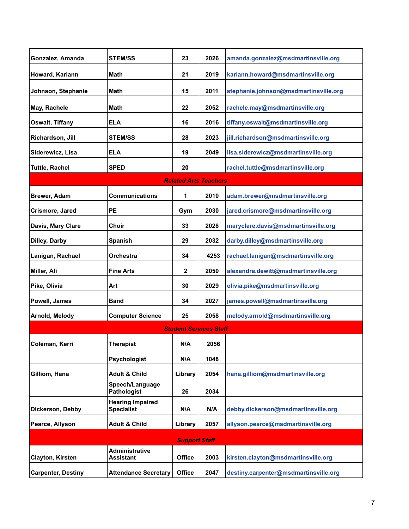| Gonzalez, Amanda          | <b>STEM/SS</b>                               | 23                            | 2026 | amanda.gonzalez@msdmartinsville.org   |  |
|---------------------------|----------------------------------------------|-------------------------------|------|---------------------------------------|--|
| Howard, Kariann           | <b>Math</b>                                  | 21                            | 2019 | kariann.howard@msdmartinsville.org    |  |
| Johnson, Stephanie        | Math                                         | 15                            | 2011 | stephanie.johnson@msdmartinsville.org |  |
| May, Rachele              | Math                                         | 22                            | 2052 | rachele.may@msdmartinsville.org       |  |
| Oswalt, Tiffany           | <b>ELA</b>                                   | 16                            | 2016 | tiffany.oswalt@msdmartinsville.org    |  |
| Richardson, Jill          | <b>STEM/SS</b>                               | 28                            | 2023 | jill.richardson@msdmartinsville.org   |  |
| Siderewicz, Lisa          | <b>ELA</b>                                   | 19                            | 2049 | lisa.siderewicz@msdmartinsville.org   |  |
| <b>Tuttle, Rachel</b>     | <b>SPED</b>                                  | 20                            |      | rachel.tuttle@msdmartinsville.org     |  |
|                           |                                              | <b>Related Arts Teachers</b>  |      |                                       |  |
| <b>Brewer, Adam</b>       | <b>Communications</b>                        | 1                             | 2010 | adam.brewer@msdmartinsville.org       |  |
| Crismore, Jared           | <b>PE</b>                                    | Gym                           | 2030 | jared.crismore@msdmartinsville.org    |  |
| Davis, Mary Clare         | <b>Choir</b>                                 | 33                            | 2028 | maryclare.davis@msdmartinsville.org   |  |
| Dilley, Darby             | <b>Spanish</b>                               | 29                            | 2032 | darby.dilley@msdmartinsville.org      |  |
| Lanigan, Rachael          | Orchestra                                    | 34                            | 4253 | rachael.lanigan@msdmartinsville.org   |  |
| Miller, Ali               | <b>Fine Arts</b>                             | $\mathbf 2$                   | 2050 | alexandra.dewitt@msdmartinsville.org  |  |
| Pike, Olivia              | Art                                          | 30                            | 2029 | olivia.pike@msdmartinsville.org       |  |
| Powell, James             | <b>Band</b>                                  | 34                            | 2027 | james.powell@msdmartinsville.org      |  |
| Arnold, Melody            | <b>Computer Science</b>                      | 25                            | 2058 | melody.arnold@msdmartinsville.org     |  |
|                           |                                              | <b>Student Services Staff</b> |      |                                       |  |
| Coleman, Kerri            | <b>Therapist</b>                             | N/A                           | 2056 |                                       |  |
|                           | Psychologist                                 | N/A                           | 1048 |                                       |  |
| Gilliom, Hana             | <b>Adult &amp; Child</b>                     | Library                       | 2054 | hana.gilliom@msdmartinsville.org      |  |
|                           | Speech/Language<br><b>Pathologist</b>        | 26                            | 2034 |                                       |  |
| Dickerson, Debby          | <b>Hearing Impaired</b><br><b>Specialist</b> | N/A                           | N/A  | debby.dickerson@msdmartinsville.org   |  |
| Pearce, Allyson           | <b>Adult &amp; Child</b>                     | Library                       | 2057 | allyson.pearce@msdmartinsville.org    |  |
| <b>Support Staff</b>      |                                              |                               |      |                                       |  |
|                           | Administrative                               |                               |      |                                       |  |
| Clayton, Kirsten          | <b>Assistant</b>                             | <b>Office</b>                 | 2003 | kirsten.clayton@msdmartinsville.org   |  |
| <b>Carpenter, Destiny</b> | <b>Attendance Secretary</b>                  | <b>Office</b>                 | 2047 | destiny.carpenter@msdmartinsville.org |  |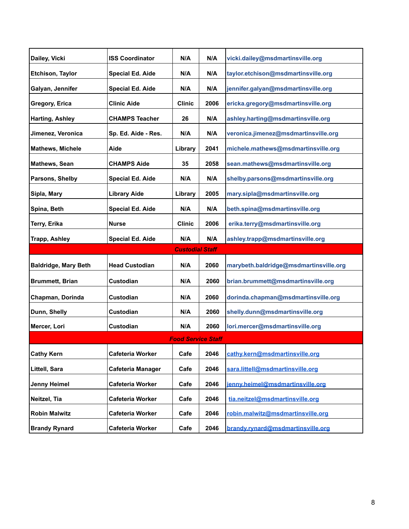| Dailey, Vicki               | <b>ISS Coordinator</b>  | N/A                    | N/A                                         | vicki.dailey@msdmartinsville.org       |  |  |
|-----------------------------|-------------------------|------------------------|---------------------------------------------|----------------------------------------|--|--|
| <b>Etchison, Taylor</b>     | <b>Special Ed. Aide</b> | N/A                    | N/A                                         | taylor.etchison@msdmartinsville.org    |  |  |
| Galyan, Jennifer            | <b>Special Ed. Aide</b> | N/A                    | N/A                                         | jennifer.galyan@msdmartinsville.org    |  |  |
| Gregory, Erica              | <b>Clinic Aide</b>      | <b>Clinic</b>          | 2006                                        | ericka.gregory@msdmartinsville.org     |  |  |
| <b>Harting, Ashley</b>      | <b>CHAMPS Teacher</b>   | 26                     | N/A                                         | ashley.harting@msdmartinsville.org     |  |  |
| Jimenez, Veronica           | Sp. Ed. Aide - Res.     | N/A                    | veronica.jimenez@msdmartinsville.org<br>N/A |                                        |  |  |
| <b>Mathews, Michele</b>     | Aide                    | Library                | 2041                                        | michele.mathews@msdmartinsville.org    |  |  |
| Mathews, Sean               | <b>CHAMPS Aide</b>      | 35                     | 2058                                        | sean.mathews@msdmartinsville.org       |  |  |
| Parsons, Shelby             | <b>Special Ed. Aide</b> | N/A                    | N/A                                         | shelby.parsons@msdmartinsville.org     |  |  |
| Sipla, Mary                 | <b>Library Aide</b>     | Library                | 2005                                        | mary.sipla@msdmartinsville.org         |  |  |
| Spina, Beth                 | <b>Special Ed. Aide</b> | N/A                    | N/A                                         | beth.spina@msdmartinsville.org         |  |  |
| Terry, Erika                | <b>Nurse</b>            | <b>Clinic</b>          | 2006                                        | erika.terry@msdmartinsville.org        |  |  |
| <b>Trapp, Ashley</b>        | <b>Special Ed. Aide</b> | N/A                    | N/A                                         | ashley.trapp@msdmartinsville.org       |  |  |
|                             |                         | <b>Custodial Staff</b> |                                             |                                        |  |  |
| <b>Baldridge, Mary Beth</b> | <b>Head Custodian</b>   | N/A                    | 2060                                        | marybeth.baldridge@msdmartinsville.org |  |  |
| <b>Brummett, Brian</b>      | Custodian               | N/A                    | 2060                                        | brian.brummett@msdmartinsville.org     |  |  |
| Chapman, Dorinda            | Custodian               | N/A                    | 2060                                        | dorinda.chapman@msdmartinsville.org    |  |  |
| Dunn, Shelly                | Custodian               | N/A                    | 2060                                        | shelly.dunn@msdmartinsville.org        |  |  |
| Mercer, Lori                | Custodian               | N/A                    | 2060                                        | lori.mercer@msdmartinsville.org        |  |  |
| <b>Food Service Staff</b>   |                         |                        |                                             |                                        |  |  |
| <b>Cathy Kern</b>           | Cafeteria Worker        | Cafe                   | 2046                                        | cathy.kern@msdmartinsville.org         |  |  |
| Littell, Sara               | Cafeteria Manager       | Cafe                   | 2046                                        | sara.littell@msdmartinsville.org       |  |  |
| <b>Jenny Heimel</b>         | Cafeteria Worker        | Cafe                   | 2046                                        | jenny.heimel@msdmartinsville.org       |  |  |
| Neitzel, Tia                | Cafeteria Worker        | Cafe                   | 2046                                        | tia.neitzel@msdmartinsville.org        |  |  |
| <b>Robin Malwitz</b>        | Cafeteria Worker        | Cafe                   | 2046                                        | robin.malwitz@msdmartinsville.org      |  |  |
| <b>Brandy Rynard</b>        | <b>Cafeteria Worker</b> | Cafe                   | 2046                                        | brandy.rynard@msdmartinsville.org      |  |  |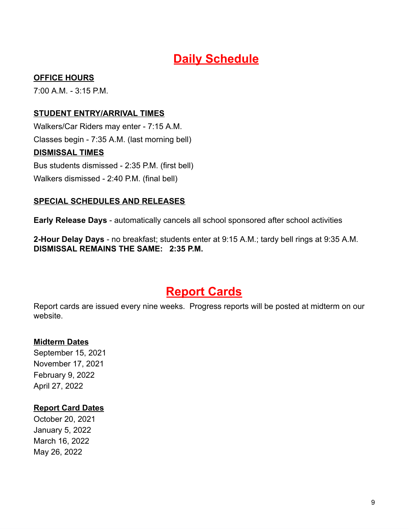# **Daily Schedule**

#### **OFFICE HOURS**

7:00 A.M. - 3:15 P.M.

#### **STUDENT ENTRY/ARRIVAL TIMES**

Walkers/Car Riders may enter - 7:15 A.M. Classes begin - 7:35 A.M. (last morning bell) **DISMISSAL TIMES**  Bus students dismissed - 2:35 P.M. (first bell) Walkers dismissed - 2:40 P.M. (final bell)

#### **SPECIAL SCHEDULES AND RELEASES**

**Early Release Days** - automatically cancels all school sponsored after school activities

**2-Hour Delay Days** - no breakfast; students enter at 9:15 A.M.; tardy bell rings at 9:35 A.M. **DISMISSAL REMAINS THE SAME: 2:35 P.M.** 

# **Report Cards**

Report cards are issued every nine weeks. Progress reports will be posted at midterm on our website.

#### **Midterm Dates**

September 15, 2021 November 17, 2021 February 9, 2022 April 27, 2022

#### **Report Card Dates**

October 20, 2021 January 5, 2022 March 16, 2022 May 26, 2022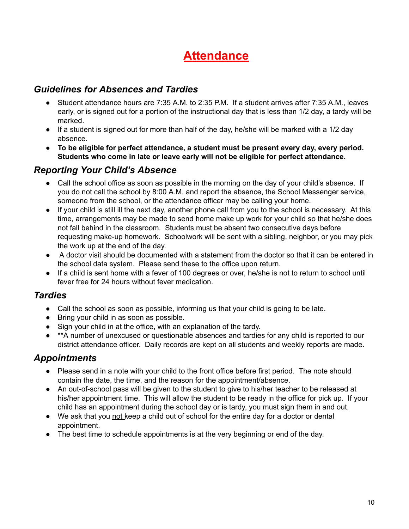# **Attendance**

#### *Guidelines for Absences and Tardies*

- Student attendance hours are 7:35 A.M. to 2:35 P.M. If a student arrives after 7:35 A.M., leaves early, or is signed out for a portion of the instructional day that is less than 1/2 day, a tardy will be marked.
- $\bullet$  If a student is signed out for more than half of the day, he/she will be marked with a 1/2 day absence.
- **To be eligible for perfect attendance, a student must be present every day, every period. Students who come in late or leave early will not be eligible for perfect attendance.**

#### *Reporting Your Child's Absence*

- Call the school office as soon as possible in the morning on the day of your child's absence. If you do not call the school by 8:00 A.M. and report the absence, the School Messenger service, someone from the school, or the attendance officer may be calling your home.
- If your child is still ill the next day, another phone call from you to the school is necessary. At this time, arrangements may be made to send home make up work for your child so that he/she does not fall behind in the classroom. Students must be absent two consecutive days before requesting make-up homework. Schoolwork will be sent with a sibling, neighbor, or you may pick the work up at the end of the day.
- A doctor visit should be documented with a statement from the doctor so that it can be entered in the school data system. Please send these to the office upon return.
- If a child is sent home with a fever of 100 degrees or over, he/she is not to return to school until fever free for 24 hours without fever medication.

#### *Tardies*

- Call the school as soon as possible, informing us that your child is going to be late.
- Bring your child in as soon as possible.
- Sign your child in at the office, with an explanation of the tardy.
- \*\*A number of unexcused or questionable absences and tardies for any child is reported to our district attendance officer. Daily records are kept on all students and weekly reports are made.

## *Appointments*

- Please send in a note with your child to the front office before first period. The note should contain the date, the time, and the reason for the appointment/absence.
- An out-of-school pass will be given to the student to give to his/her teacher to be released at his/her appointment time. This will allow the student to be ready in the office for pick up. If your child has an appointment during the school day or is tardy, you must sign them in and out.
- We ask that you not keep a child out of school for the entire day for a doctor or dental appointment.
- The best time to schedule appointments is at the very beginning or end of the day.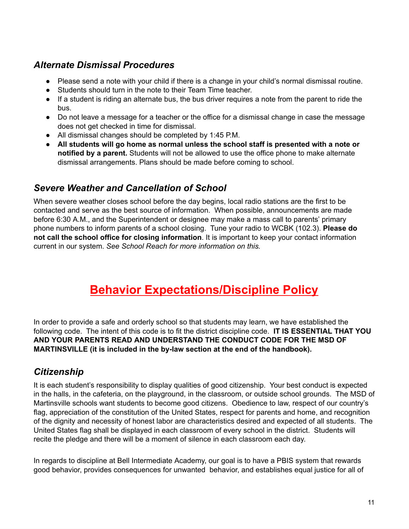## *Alternate Dismissal Procedures*

- Please send a note with your child if there is a change in your child's normal dismissal routine.
- Students should turn in the note to their Team Time teacher.
- If a student is riding an alternate bus, the bus driver requires a note from the parent to ride the bus.
- Do not leave a message for a teacher or the office for a dismissal change in case the message does not get checked in time for dismissal.
- All dismissal changes should be completed by 1:45 P.M.
- **All students will go home as normal unless the school staff is presented with a note or notified by a parent.** Students will not be allowed to use the office phone to make alternate dismissal arrangements. Plans should be made before coming to school.

## *Severe Weather and Cancellation of School*

When severe weather closes school before the day begins, local radio stations are the first to be contacted and serve as the best source of information. When possible, announcements are made before 6:30 A.M., and the Superintendent or designee may make a mass call to parents' primary phone numbers to inform parents of a school closing. Tune your radio to WCBK (102.3). **Please do not call the school office for closing information**. It is important to keep your contact information current in our system. *See School Reach for more information on this.*

# **Behavior Expectations/Discipline Policy**

In order to provide a safe and orderly school so that students may learn, we have established the following code. The intent of this code is to fit the district discipline code. **IT IS ESSENTIAL THAT YOU AND YOUR PARENTS READ AND UNDERSTAND THE CONDUCT CODE FOR THE MSD OF MARTINSVILLE (it is included in the by-law section at the end of the handbook).**

## *Citizenship*

It is each student's responsibility to display qualities of good citizenship. Your best conduct is expected in the halls, in the cafeteria, on the playground, in the classroom, or outside school grounds. The MSD of Martinsville schools want students to become good citizens. Obedience to law, respect of our country's flag, appreciation of the constitution of the United States, respect for parents and home, and recognition of the dignity and necessity of honest labor are characteristics desired and expected of all students. The United States flag shall be displayed in each classroom of every school in the district. Students will recite the pledge and there will be a moment of silence in each classroom each day.

In regards to discipline at Bell Intermediate Academy, our goal is to have a PBIS system that rewards good behavior, provides consequences for unwanted behavior, and establishes equal justice for all of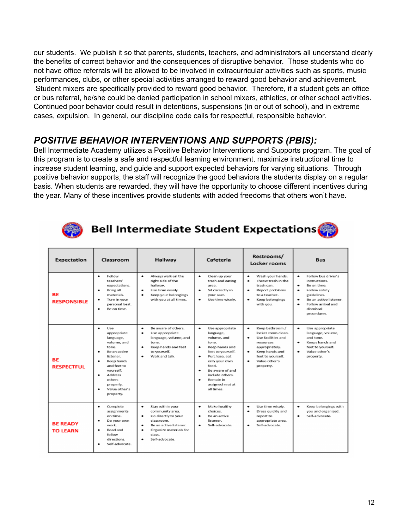our students. We publish it so that parents, students, teachers, and administrators all understand clearly the benefits of correct behavior and the consequences of disruptive behavior. Those students who do not have office referrals will be allowed to be involved in extracurricular activities such as sports, music performances, clubs, or other special activities arranged to reward good behavior and achievement. Student mixers are specifically provided to reward good behavior. Therefore, if a student gets an office or bus referral, he/she could be denied participation in school mixers, athletics, or other school activities. Continued poor behavior could result in detentions, suspensions (in or out of school), and in extreme cases, expulsion. In general, our discipline code calls for respectful, responsible behavior.

## *POSITIVE BEHAVIOR INTERVENTIONS AND SUPPORTS (PBIS):*

Bell Intermediate Academy utilizes a Positive Behavior Interventions and Supports program. The goal of this program is to create a safe and respectful learning environment, maximize instructional time to increase student learning, and guide and support expected behaviors for varying situations. Through positive behavior supports, the staff will recognize the good behaviors the students display on a regular basis. When students are rewarded, they will have the opportunity to choose different incentives during the year. Many of these incentives provide students with added freedoms that others won't have.



**Bell Intermediate Student Expectations** 

| Expectation                        | Classroom                                                                                                                                                                                                                 | Hallway                                                                                                                                                                           | Cafeteria                                                                                                                                                                                                                                            | Restrooms/<br>Locker rooms                                                                                                                                                          | <b>Bus</b>                                                                                                                                                                                               |
|------------------------------------|---------------------------------------------------------------------------------------------------------------------------------------------------------------------------------------------------------------------------|-----------------------------------------------------------------------------------------------------------------------------------------------------------------------------------|------------------------------------------------------------------------------------------------------------------------------------------------------------------------------------------------------------------------------------------------------|-------------------------------------------------------------------------------------------------------------------------------------------------------------------------------------|----------------------------------------------------------------------------------------------------------------------------------------------------------------------------------------------------------|
| <b>BE</b><br><b>RESPONSIBLE</b>    | Follow<br>۰<br>teachers'<br>expectations.<br>Bring all<br>۰<br>materials.<br>Turn in your<br>۰<br>personal best.<br>Be on time.<br>۰                                                                                      | Always walk on the<br>٠<br>right side of the<br>hallway.<br>Use time wisely.<br>٠<br>Keep your belongings<br>٠<br>with you at all times.                                          | Clean up your<br>٠<br>trash and eating<br>area.<br>Sit correctly in<br>۰<br>your seat.<br>Use time wisely.<br>۰                                                                                                                                      | Wash your hands.<br>٠<br>Throw trash in the<br>٠<br>trash can.<br>Report problems<br>٠<br>to a teacher.<br>۰<br>Keep belongings<br>with you.                                        | ٠<br>Follow bus driver's<br>instructions.<br>Be on time.<br>٠<br>Follow safety<br>$\bullet$<br>guidelines.<br>Be an active listener.<br>$\bullet$<br>Follow arrival and<br>٠<br>dismissal<br>procedures. |
| <b>BF</b><br><b>RESPECTFUL</b>     | ۰<br>Use<br>appropriate<br>language,<br>volume, and<br>tone.<br>Be an active<br>۰<br>listener.<br>Keep hands<br>۰<br>and feet to<br>yourself.<br><b>Address</b><br>۰<br>others<br>properly.<br>Value other's<br>property. | Be aware of others.<br>٠<br>٠<br>Use appropriate<br>language, volume, and<br>tone.<br>Keep hands and feet<br>٠<br>to yourself.<br>Walk and talk.                                  | ٠<br>Use appropriate<br>language,<br>volume, and<br>tone.<br>Keep hands and<br>۰<br>feet to yourself.<br>Purchase, eat<br>٠<br>only your own<br>food.<br>Be aware of and<br>۰<br>include others.<br>Remain in<br>۰<br>assigned seat at<br>all times. | ٠<br>Keep bathroom /<br>locker room clean.<br>Use facilities and<br>٠<br>resources<br>appropriately.<br>۰<br>Keep hands and<br>feet to yourself.<br>Value other's<br>٠<br>property. | ٠<br>Use appropriate<br>language, volume,<br>and tone.<br>Keeps hands and<br>$\bullet$<br>feet to yourself.<br>Value other's<br>٠<br>property.                                                           |
| <b>BE READY</b><br><b>TO LEARN</b> | Complete<br>٠<br>assignments<br>on time.<br>۰<br>Do your own<br>work.<br>Read and<br>follow<br>directions.<br>Self-advocate.<br>۰                                                                                         | ۰<br>Stay within your<br>community area.<br>Go directly to your<br>٠<br>classroom.<br>Be an active listener.<br>٠<br>Organize materials for<br>٠<br>class.<br>Self-advocate.<br>۰ | Make healthy<br>٠<br>choices.<br>Be an active.<br>۰<br>listener.<br>Self-advocate.                                                                                                                                                                   | ٠<br>Use time wisely.<br>٠<br>Dress quickly and<br>report to<br>appropriate area.<br>Self-advocate.                                                                                 | ٠<br>Keep belongings with<br>you and organized.<br>Self-advocate.<br>٠                                                                                                                                   |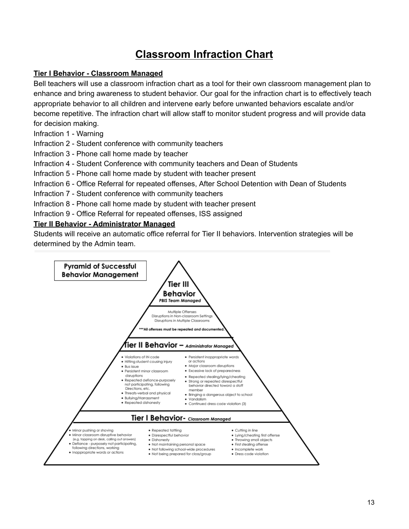# **Classroom Infraction Chart**

#### **Tier I Behavior - Classroom Managed**

Bell teachers will use a classroom infraction chart as a tool for their own classroom management plan to enhance and bring awareness to student behavior. Our goal for the infraction chart is to effectively teach appropriate behavior to all children and intervene early before unwanted behaviors escalate and/or become repetitive. The infraction chart will allow staff to monitor student progress and will provide data for decision making.

- Infraction 1 Warning
- Infraction 2 Student conference with community teachers
- Infraction 3 Phone call home made by teacher
- Infraction 4 Student Conference with community teachers and Dean of Students
- Infraction 5 Phone call home made by student with teacher present
- Infraction 6 Office Referral for repeated offenses, After School Detention with Dean of Students
- Infraction 7 Student conference with community teachers
- Infraction 8 Phone call home made by student with teacher present
- Infraction 9 Office Referral for repeated offenses, ISS assigned

#### **Tier II Behavior - Administrator Managed**

Students will receive an automatic office referral for Tier II behaviors. Intervention strategies will be determined by the Admin team.

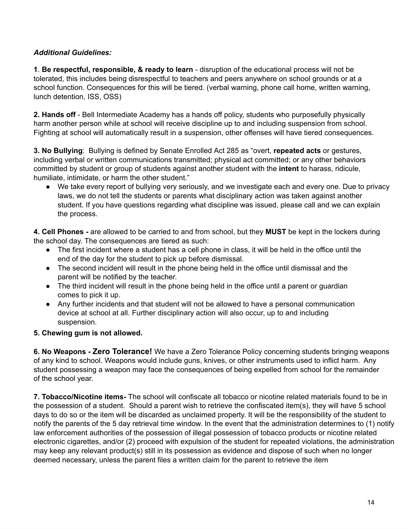#### *Additional Guidelines:*

**1**. **Be respectful, responsible, & ready to learn** - disruption of the educational process will not be tolerated, this includes being disrespectful to teachers and peers anywhere on school grounds or at a school function. Consequences for this will be tiered. (verbal warning, phone call home, written warning, lunch detention, ISS, OSS)

**2. Hands off** - Bell Intermediate Academy has a hands off policy, students who purposefully physically harm another person while at school will receive discipline up to and including suspension from school. Fighting at school will automatically result in a suspension, other offenses will have tiered consequences.

**3. No Bullying**: Bullying is defined by Senate Enrolled Act 285 as "overt, **repeated acts** or gestures, including verbal or written communications transmitted; physical act committed; or any other behaviors committed by student or group of students against another student with the **intent** to harass, ridicule, humiliate, intimidate, or harm the other student."

● We take every report of bullying very seriously, and we investigate each and every one. Due to privacy laws, we do not tell the students or parents what disciplinary action was taken against another student. If you have questions regarding what discipline was issued, please call and we can explain the process.

**4. Cell Phones -** are allowed to be carried to and from school, but they **MUST** be kept in the lockers during the school day. The consequences are tiered as such:

- The first incident where a student has a cell phone in class, it will be held in the office until the end of the day for the student to pick up before dismissal.
- The second incident will result in the phone being held in the office until dismissal and the parent will be notified by the teacher.
- The third incident will result in the phone being held in the office until a parent or guardian comes to pick it up.
- Any further incidents and that student will not be allowed to have a personal communication device at school at all. Further disciplinary action will also occur, up to and including suspension.

#### **5. Chewing gum is not allowed.**

**6. No Weapons - Zero Tolerance!** We have a Zero Tolerance Policy concerning students bringing weapons of any kind to school. Weapons would include guns, knives, or other instruments used to inflict harm. Any student possessing a weapon may face the consequences of being expelled from school for the remainder of the school year.

**7. Tobacco/Nicotine items-** The school will confiscate all tobacco or nicotine related materials found to be in the possession of a student. Should a parent wish to retrieve the confiscated item(s), they will have 5 school days to do so or the item will be discarded as unclaimed property. It will be the responsibility of the student to notify the parents of the 5 day retrieval time window. In the event that the administration determines to (1) notify law enforcement authorities of the possession of illegal possession of tobacco products or nicotine related electronic cigarettes, and/or (2) proceed with expulsion of the student for repeated violations, the administration may keep any relevant product(s) still in its possession as evidence and dispose of such when no longer deemed necessary, unless the parent files a written claim for the parent to retrieve the item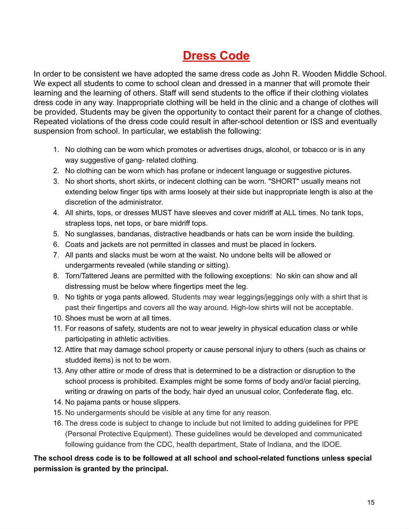# **Dress Code**

In order to be consistent we have adopted the same dress code as John R. Wooden Middle School. We expect all students to come to school clean and dressed in a manner that will promote their learning and the learning of others. Staff will send students to the office if their clothing violates dress code in any way. Inappropriate clothing will be held in the clinic and a change of clothes will be provided. Students may be given the opportunity to contact their parent for a change of clothes. Repeated violations of the dress code could result in after-school detention or ISS and eventually suspension from school. In particular, we establish the following:

- 1. No clothing can be worn which promotes or advertises drugs, alcohol, or tobacco or is in any way suggestive of gang- related clothing.
- 2. No clothing can be worn which has profane or indecent language or suggestive pictures.
- 3. No short shorts, short skirts, or indecent clothing can be worn. "SHORT" usually means not extending below finger tips with arms loosely at their side but inappropriate length is also at the discretion of the administrator.
- 4. All shirts, tops, or dresses MUST have sleeves and cover midriff at ALL times. No tank tops, strapless tops, net tops, or bare midriff tops.
- 5. No sunglasses, bandanas, distractive headbands or hats can be worn inside the building.
- 6. Coats and jackets are not permitted in classes and must be placed in lockers.
- 7. All pants and slacks must be worn at the waist. No undone belts will be allowed or undergarments revealed (while standing or sitting).
- 8. Torn/Tattered Jeans are permitted with the following exceptions: No skin can show and all distressing must be below where fingertips meet the leg.
- 9. No tights or yoga pants allowed. Students may wear leggings/jeggings only with a shirt that is past their fingertips and covers all the way around. High-low shirts will not be acceptable.
- 10. Shoes must be worn at all times.
- 11. For reasons of safety, students are not to wear jewelry in physical education class or while participating in athletic activities.
- 12. Attire that may damage school property or cause personal injury to others (such as chains or studded items) is not to be worn.
- 13. Any other attire or mode of dress that is determined to be a distraction or disruption to the school process is prohibited. Examples might be some forms of body and/or facial piercing, writing or drawing on parts of the body, hair dyed an unusual color, Confederate flag, etc.
- 14. No pajama pants or house slippers.
- 15. No undergarments should be visible at any time for any reason.
- 16. The dress code is subject to change to include but not limited to adding guidelines for PPE (Personal Protective Equipment). These guidelines would be developed and communicated following guidance from the CDC, health department, State of Indiana, and the IDOE.

#### **The school dress code is to be followed at all school and school-related functions unless special permission is granted by the principal.**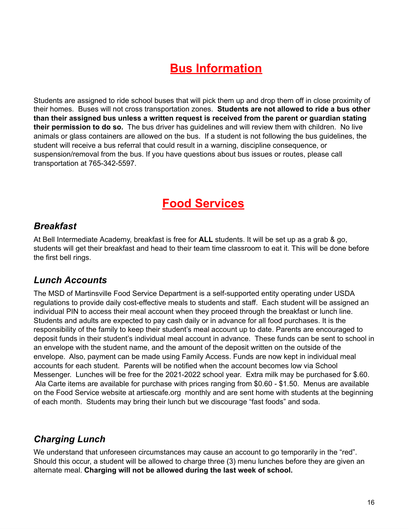# **Bus Information**

Students are assigned to ride school buses that will pick them up and drop them off in close proximity of their homes. Buses will not cross transportation zones. **Students are not allowed to ride a bus other than their assigned bus unless a written request is received from the parent or guardian stating their permission to do so.** The bus driver has guidelines and will review them with children. No live animals or glass containers are allowed on the bus. If a student is not following the bus guidelines, the student will receive a bus referral that could result in a warning, discipline consequence, or suspension/removal from the bus. If you have questions about bus issues or routes, please call transportation at 765-342-5597.

# **Food Services**

#### *Breakfast*

At Bell Intermediate Academy, breakfast is free for **ALL** students. It will be set up as a grab & go, students will get their breakfast and head to their team time classroom to eat it. This will be done before the first bell rings.

#### *Lunch Accounts*

The MSD of Martinsville Food Service Department is a self-supported entity operating under USDA regulations to provide daily cost-effective meals to students and staff. Each student will be assigned an individual PIN to access their meal account when they proceed through the breakfast or lunch line. Students and adults are expected to pay cash daily or in advance for all food purchases. It is the responsibility of the family to keep their student's meal account up to date. Parents are encouraged to deposit funds in their student's individual meal account in advance. These funds can be sent to school in an envelope with the student name, and the amount of the deposit written on the outside of the envelope. Also, payment can be made using Family Access. Funds are now kept in individual meal accounts for each student. Parents will be notified when the account becomes low via School Messenger. Lunches will be free for the 2021-2022 school year. Extra milk may be purchased for \$.60. Ala Carte items are available for purchase with prices ranging from \$0.60 - \$1.50. Menus are available on the Food Service website at artiescafe.org monthly and are sent home with students at the beginning of each month. Students may bring their lunch but we discourage "fast foods" and soda.

#### *Charging Lunch*

We understand that unforeseen circumstances may cause an account to go temporarily in the "red". Should this occur, a student will be allowed to charge three (3) menu lunches before they are given an alternate meal. **Charging will not be allowed during the last week of school.**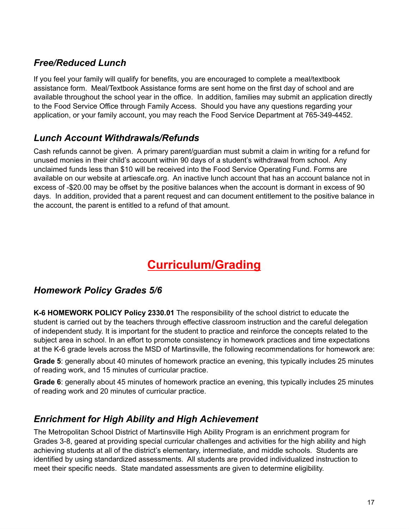## *Free/Reduced Lunch*

If you feel your family will qualify for benefits, you are encouraged to complete a meal/textbook assistance form. Meal/Textbook Assistance forms are sent home on the first day of school and are available throughout the school year in the office. In addition, families may submit an application directly to the Food Service Office through Family Access. Should you have any questions regarding your application, or your family account, you may reach the Food Service Department at 765-349-4452.

## *Lunch Account Withdrawals/Refunds*

Cash refunds cannot be given. A primary parent/guardian must submit a claim in writing for a refund for unused monies in their child's account within 90 days of a student's withdrawal from school. Any unclaimed funds less than \$10 will be received into the Food Service Operating Fund. Forms are available on our website at artiescafe.org. An inactive lunch account that has an account balance not in excess of -\$20.00 may be offset by the positive balances when the account is dormant in excess of 90 days. In addition, provided that a parent request and can document entitlement to the positive balance in the account, the parent is entitled to a refund of that amount.

# **Curriculum/Grading**

#### *Homework Policy Grades 5/6*

**K-6 HOMEWORK POLICY Policy 2330.01** The responsibility of the school district to educate the student is carried out by the teachers through effective classroom instruction and the careful delegation of independent study. It is important for the student to practice and reinforce the concepts related to the subject area in school. In an effort to promote consistency in homework practices and time expectations at the K-6 grade levels across the MSD of Martinsville, the following recommendations for homework are:

**Grade 5**: generally about 40 minutes of homework practice an evening, this typically includes 25 minutes of reading work, and 15 minutes of curricular practice.

**Grade 6**: generally about 45 minutes of homework practice an evening, this typically includes 25 minutes of reading work and 20 minutes of curricular practice.

## *Enrichment for High Ability and High Achievement*

The Metropolitan School District of Martinsville High Ability Program is an enrichment program for Grades 3-8, geared at providing special curricular challenges and activities for the high ability and high achieving students at all of the district's elementary, intermediate, and middle schools. Students are identified by using standardized assessments. All students are provided individualized instruction to meet their specific needs. State mandated assessments are given to determine eligibility.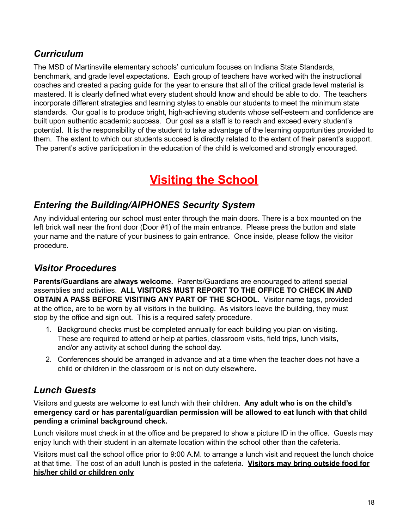## *Curriculum*

The MSD of Martinsville elementary schools' curriculum focuses on Indiana State Standards, benchmark, and grade level expectations. Each group of teachers have worked with the instructional coaches and created a pacing guide for the year to ensure that all of the critical grade level material is mastered. It is clearly defined what every student should know and should be able to do. The teachers incorporate different strategies and learning styles to enable our students to meet the minimum state standards. Our goal is to produce bright, high-achieving students whose self-esteem and confidence are built upon authentic academic success. Our goal as a staff is to reach and exceed every student's potential. It is the responsibility of the student to take advantage of the learning opportunities provided to them. The extent to which our students succeed is directly related to the extent of their parent's support. The parent's active participation in the education of the child is welcomed and strongly encouraged.

# **Visiting the School**

## *Entering the Building/AIPHONES Security System*

Any individual entering our school must enter through the main doors. There is a box mounted on the left brick wall near the front door (Door #1) of the main entrance. Please press the button and state your name and the nature of your business to gain entrance. Once inside, please follow the visitor procedure.

## *Visitor Procedures*

**Parents/Guardians are always welcome.** Parents/Guardians are encouraged to attend special assemblies and activities. **ALL VISITORS MUST REPORT TO THE OFFICE TO CHECK IN AND OBTAIN A PASS BEFORE VISITING ANY PART OF THE SCHOOL.** Visitor name tags, provided at the office, are to be worn by all visitors in the building. As visitors leave the building, they must stop by the office and sign out. This is a required safety procedure.

- 1. Background checks must be completed annually for each building you plan on visiting. These are required to attend or help at parties, classroom visits, field trips, lunch visits, and/or any activity at school during the school day.
- 2. Conferences should be arranged in advance and at a time when the teacher does not have a child or children in the classroom or is not on duty elsewhere.

## *Lunch Guests*

Visitors and guests are welcome to eat lunch with their children. **Any adult who is on the child's emergency card or has parental/guardian permission will be allowed to eat lunch with that child pending a criminal background check.**

Lunch visitors must check in at the office and be prepared to show a picture ID in the office. Guests may enjoy lunch with their student in an alternate location within the school other than the cafeteria.

Visitors must call the school office prior to 9:00 A.M. to arrange a lunch visit and request the lunch choice at that time. The cost of an adult lunch is posted in the cafeteria. **Visitors may bring outside food for his/her child or children only**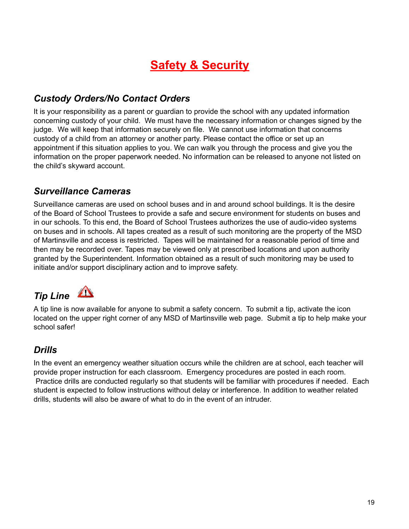# **Safety & Security**

## *Custody Orders/No Contact Orders*

It is your responsibility as a parent or guardian to provide the school with any updated information concerning custody of your child. We must have the necessary information or changes signed by the judge. We will keep that information securely on file. We cannot use information that concerns custody of a child from an attorney or another party. Please contact the office or set up an appointment if this situation applies to you. We can walk you through the process and give you the information on the proper paperwork needed. No information can be released to anyone not listed on the child's skyward account.

#### *Surveillance Cameras*

Surveillance cameras are used on school buses and in and around school buildings. It is the desire of the Board of School Trustees to provide a safe and secure environment for students on buses and in our schools. To this end, the Board of School Trustees authorizes the use of audio-video systems on buses and in schools. All tapes created as a result of such monitoring are the property of the MSD of Martinsville and access is restricted. Tapes will be maintained for a reasonable period of time and then may be recorded over. Tapes may be viewed only at prescribed locations and upon authority granted by the Superintendent. Information obtained as a result of such monitoring may be used to initiate and/or support disciplinary action and to improve safety.

# *Tip Line*

A tip line is now available for anyone to submit a safety concern. To submit a tip, activate the icon located on the upper right corner of any MSD of Martinsville web page. Submit a tip to help make your school safer!

## *Drills*

In the event an emergency weather situation occurs while the children are at school, each teacher will provide proper instruction for each classroom. Emergency procedures are posted in each room. Practice drills are conducted regularly so that students will be familiar with procedures if needed. Each student is expected to follow instructions without delay or interference. In addition to weather related drills, students will also be aware of what to do in the event of an intruder.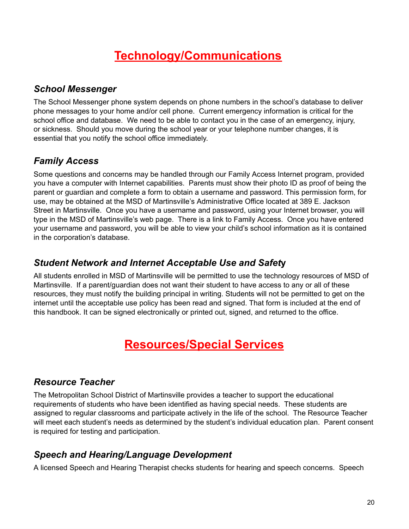# **Technology/Communications**

#### *School Messenger*

The School Messenger phone system depends on phone numbers in the school's database to deliver phone messages to your home and/or cell phone. Current emergency information is critical for the school office and database. We need to be able to contact you in the case of an emergency, injury, or sickness. Should you move during the school year or your telephone number changes, it is essential that you notify the school office immediately.

## *Family Access*

Some questions and concerns may be handled through our Family Access Internet program, provided you have a computer with Internet capabilities. Parents must show their photo ID as proof of being the parent or guardian and complete a form to obtain a username and password. This permission form, for use, may be obtained at the MSD of Martinsville's Administrative Office located at 389 E. Jackson Street in Martinsville. Once you have a username and password, using your Internet browser, you will type in the MSD of Martinsville's web page. There is a link to Family Access. Once you have entered your username and password, you will be able to view your child's school information as it is contained in the corporation's database.

#### *Student Network and Internet Acceptable Use and Safet***y**

All students enrolled in MSD of Martinsville will be permitted to use the technology resources of MSD of Martinsville. If a parent/guardian does not want their student to have access to any or all of these resources, they must notify the building principal in writing. Students will not be permitted to get on the internet until the acceptable use policy has been read and signed. That form is included at the end of this handbook. It can be signed electronically or printed out, signed, and returned to the office.

# **Resources/Special Services**

## *Resource Teacher*

The Metropolitan School District of Martinsville provides a teacher to support the educational requirements of students who have been identified as having special needs. These students are assigned to regular classrooms and participate actively in the life of the school. The Resource Teacher will meet each student's needs as determined by the student's individual education plan. Parent consent is required for testing and participation.

## *Speech and Hearing/Language Development*

A licensed Speech and Hearing Therapist checks students for hearing and speech concerns. Speech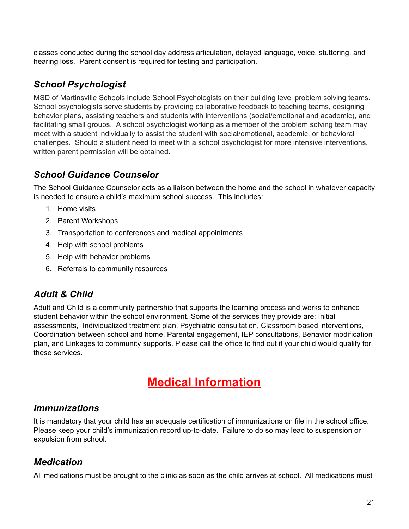classes conducted during the school day address articulation, delayed language, voice, stuttering, and hearing loss. Parent consent is required for testing and participation.

## *School Psychologist*

MSD of Martinsville Schools include School Psychologists on their building level problem solving teams. School psychologists serve students by providing collaborative feedback to teaching teams, designing behavior plans, assisting teachers and students with interventions (social/emotional and academic), and facilitating small groups. A school psychologist working as a member of the problem solving team may meet with a student individually to assist the student with social/emotional, academic, or behavioral challenges. Should a student need to meet with a school psychologist for more intensive interventions, written parent permission will be obtained.

## *School Guidance Counselor*

The School Guidance Counselor acts as a liaison between the home and the school in whatever capacity is needed to ensure a child's maximum school success. This includes:

- 1. Home visits
- 2. Parent Workshops
- 3. Transportation to conferences and medical appointments
- 4. Help with school problems
- 5. Help with behavior problems
- 6. Referrals to community resources

#### *Adult & Child*

Adult and Child is a community partnership that supports the learning process and works to enhance student behavior within the school environment. Some of the services they provide are: Initial assessments, Individualized treatment plan, Psychiatric consultation, Classroom based interventions, Coordination between school and home, Parental engagement, IEP consultations, Behavior modification plan, and Linkages to community supports. Please call the office to find out if your child would qualify for these services.

# **Medical Information**

#### *Immunizations*

It is mandatory that your child has an adequate certification of immunizations on file in the school office. Please keep your child's immunization record up-to-date. Failure to do so may lead to suspension or expulsion from school.

## *Medication*

All medications must be brought to the clinic as soon as the child arrives at school. All medications must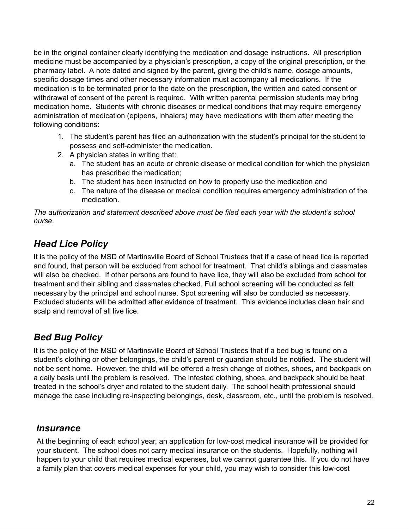be in the original container clearly identifying the medication and dosage instructions. All prescription medicine must be accompanied by a physician's prescription, a copy of the original prescription, or the pharmacy label. A note dated and signed by the parent, giving the child's name, dosage amounts, specific dosage times and other necessary information must accompany all medications. If the medication is to be terminated prior to the date on the prescription, the written and dated consent or withdrawal of consent of the parent is required. With written parental permission students may bring medication home. Students with chronic diseases or medical conditions that may require emergency administration of medication (epipens, inhalers) may have medications with them after meeting the following conditions:

- 1. The student's parent has filed an authorization with the student's principal for the student to possess and self-administer the medication.
- 2. A physician states in writing that:
	- a. The student has an acute or chronic disease or medical condition for which the physician has prescribed the medication;
	- b. The student has been instructed on how to properly use the medication and
	- c. The nature of the disease or medical condition requires emergency administration of the medication.

*The authorization and statement described above must be filed each year with the student's school nurse*.

## *Head Lice Policy*

It is the policy of the MSD of Martinsville Board of School Trustees that if a case of head lice is reported and found, that person will be excluded from school for treatment. That child's siblings and classmates will also be checked. If other persons are found to have lice, they will also be excluded from school for treatment and their sibling and classmates checked. Full school screening will be conducted as felt necessary by the principal and school nurse. Spot screening will also be conducted as necessary. Excluded students will be admitted after evidence of treatment. This evidence includes clean hair and scalp and removal of all live lice.

## *Bed Bug Policy*

It is the policy of the MSD of Martinsville Board of School Trustees that if a bed bug is found on a student's clothing or other belongings, the child's parent or guardian should be notified. The student will not be sent home. However, the child will be offered a fresh change of clothes, shoes, and backpack on a daily basis until the problem is resolved. The infested clothing, shoes, and backpack should be heat treated in the school's dryer and rotated to the student daily. The school health professional should manage the case including re-inspecting belongings, desk, classroom, etc., until the problem is resolved.

#### *Insurance*

At the beginning of each school year, an application for low-cost medical insurance will be provided for your student. The school does not carry medical insurance on the students. Hopefully, nothing will happen to your child that requires medical expenses, but we cannot guarantee this. If you do not have a family plan that covers medical expenses for your child, you may wish to consider this low-cost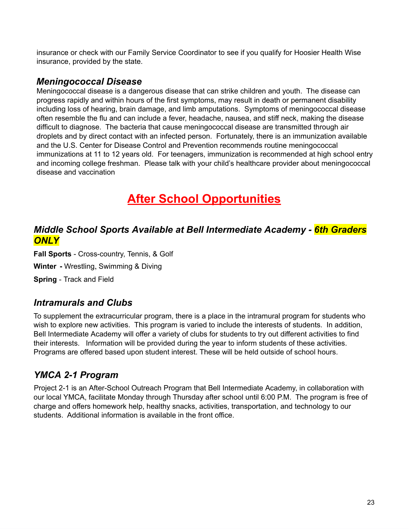insurance or check with our Family Service Coordinator to see if you qualify for Hoosier Health Wise insurance, provided by the state.

#### *Meningococcal Disease*

Meningococcal disease is a dangerous disease that can strike children and youth. The disease can progress rapidly and within hours of the first symptoms, may result in death or permanent disability including loss of hearing, brain damage, and limb amputations. Symptoms of meningococcal disease often resemble the flu and can include a fever, headache, nausea, and stiff neck, making the disease difficult to diagnose. The bacteria that cause meningococcal disease are transmitted through air droplets and by direct contact with an infected person. Fortunately, there is an immunization available and the U.S. Center for Disease Control and Prevention recommends routine meningococcal immunizations at 11 to 12 years old. For teenagers, immunization is recommended at high school entry and incoming college freshman. Please talk with your child's healthcare provider about meningococcal disease and vaccination

# **After School Opportunities**

#### *Middle School Sports Available at Bell Intermediate Academy - 6th Graders ONLY*

**Fall Sports** - Cross-country, Tennis, & Golf

**Winter -** Wrestling, Swimming & Diving

**Spring** - Track and Field

#### *Intramurals and Clubs*

To supplement the extracurricular program, there is a place in the intramural program for students who wish to explore new activities. This program is varied to include the interests of students. In addition, Bell Intermediate Academy will offer a variety of clubs for students to try out different activities to find their interests. Information will be provided during the year to inform students of these activities. Programs are offered based upon student interest. These will be held outside of school hours.

## *YMCA 2-1 Program*

Project 2-1 is an After-School Outreach Program that Bell Intermediate Academy, in collaboration with our local YMCA, facilitate Monday through Thursday after school until 6:00 P.M. The program is free of charge and offers homework help, healthy snacks, activities, transportation, and technology to our students. Additional information is available in the front office.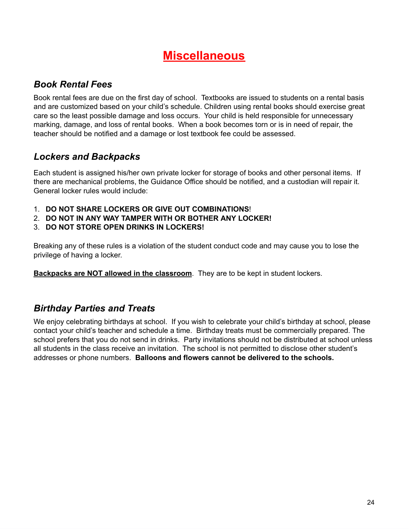# **Miscellaneous**

## *Book Rental Fees*

Book rental fees are due on the first day of school. Textbooks are issued to students on a rental basis and are customized based on your child's schedule. Children using rental books should exercise great care so the least possible damage and loss occurs. Your child is held responsible for unnecessary marking, damage, and loss of rental books. When a book becomes torn or is in need of repair, the teacher should be notified and a damage or lost textbook fee could be assessed.

## *Lockers and Backpacks*

Each student is assigned his/her own private locker for storage of books and other personal items. If there are mechanical problems, the Guidance Office should be notified, and a custodian will repair it. General locker rules would include:

- 1. **DO NOT SHARE LOCKERS OR GIVE OUT COMBINATIONS**!
- 2. **DO NOT IN ANY WAY TAMPER WITH OR BOTHER ANY LOCKER!**
- 3. **DO NOT STORE OPEN DRINKS IN LOCKERS!**

Breaking any of these rules is a violation of the student conduct code and may cause you to lose the privilege of having a locker.

**Backpacks are NOT allowed in the classroom**. They are to be kept in student lockers.

## *Birthday Parties and Treats*

We enjoy celebrating birthdays at school. If you wish to celebrate your child's birthday at school, please contact your child's teacher and schedule a time. Birthday treats must be commercially prepared. The school prefers that you do not send in drinks. Party invitations should not be distributed at school unless all students in the class receive an invitation. The school is not permitted to disclose other student's addresses or phone numbers. **Balloons and flowers cannot be delivered to the schools.**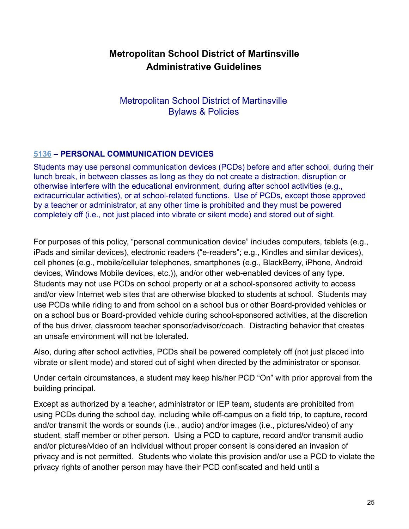## **Metropolitan School District of Martinsville Administrative Guidelines**

Metropolitan School District of Martinsville Bylaws & Policies

#### **[5136](http://www.neola.com/martinsville-in/search/ag/ag5136.htm) – PERSONAL COMMUNICATION DEVICES**

Students may use personal communication devices (PCDs) before and after school, during their lunch break, in between classes as long as they do not create a distraction, disruption or otherwise interfere with the educational environment, during after school activities (e.g., extracurricular activities), or at school-related functions. Use of PCDs, except those approved by a teacher or administrator, at any other time is prohibited and they must be powered completely off (i.e., not just placed into vibrate or silent mode) and stored out of sight.

For purposes of this policy, "personal communication device" includes computers, tablets (e.g., iPads and similar devices), electronic readers ("e-readers"; e.g., Kindles and similar devices), cell phones (e.g., mobile/cellular telephones, smartphones (e.g., BlackBerry, iPhone, Android devices, Windows Mobile devices, etc.)), and/or other web-enabled devices of any type. Students may not use PCDs on school property or at a school-sponsored activity to access and/or view Internet web sites that are otherwise blocked to students at school. Students may use PCDs while riding to and from school on a school bus or other Board-provided vehicles or on a school bus or Board-provided vehicle during school-sponsored activities, at the discretion of the bus driver, classroom teacher sponsor/advisor/coach. Distracting behavior that creates an unsafe environment will not be tolerated.

Also, during after school activities, PCDs shall be powered completely off (not just placed into vibrate or silent mode) and stored out of sight when directed by the administrator or sponsor.

Under certain circumstances, a student may keep his/her PCD "On" with prior approval from the building principal.

Except as authorized by a teacher, administrator or IEP team, students are prohibited from using PCDs during the school day, including while off-campus on a field trip, to capture, record and/or transmit the words or sounds (i.e., audio) and/or images (i.e., pictures/video) of any student, staff member or other person. Using a PCD to capture, record and/or transmit audio and/or pictures/video of an individual without proper consent is considered an invasion of privacy and is not permitted. Students who violate this provision and/or use a PCD to violate the privacy rights of another person may have their PCD confiscated and held until a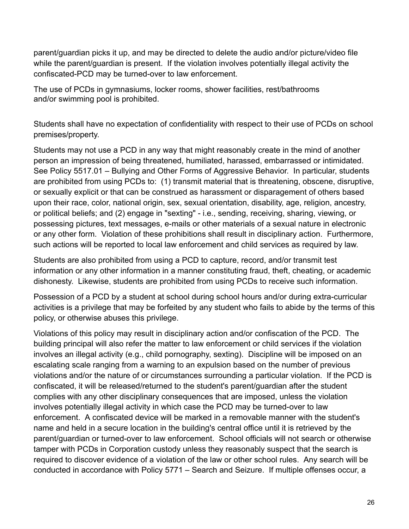parent/guardian picks it up, and may be directed to delete the audio and/or picture/video file while the parent/guardian is present. If the violation involves potentially illegal activity the confiscated-PCD may be turned-over to law enforcement.

The use of PCDs in gymnasiums, locker rooms, shower facilities, rest/bathrooms and/or swimming pool is prohibited.

Students shall have no expectation of confidentiality with respect to their use of PCDs on school premises/property.

Students may not use a PCD in any way that might reasonably create in the mind of another person an impression of being threatened, humiliated, harassed, embarrassed or intimidated. See Policy 5517.01 – Bullying and Other Forms of Aggressive Behavior. In particular, students are prohibited from using PCDs to: (1) transmit material that is threatening, obscene, disruptive, or sexually explicit or that can be construed as harassment or disparagement of others based upon their race, color, national origin, sex, sexual orientation, disability, age, religion, ancestry, or political beliefs; and (2) engage in "sexting" - i.e., sending, receiving, sharing, viewing, or possessing pictures, text messages, e-mails or other materials of a sexual nature in electronic or any other form. Violation of these prohibitions shall result in disciplinary action. Furthermore, such actions will be reported to local law enforcement and child services as required by law.

Students are also prohibited from using a PCD to capture, record, and/or transmit test information or any other information in a manner constituting fraud, theft, cheating, or academic dishonesty. Likewise, students are prohibited from using PCDs to receive such information.

Possession of a PCD by a student at school during school hours and/or during extra-curricular activities is a privilege that may be forfeited by any student who fails to abide by the terms of this policy, or otherwise abuses this privilege.

Violations of this policy may result in disciplinary action and/or confiscation of the PCD. The building principal will also refer the matter to law enforcement or child services if the violation involves an illegal activity (e.g., child pornography, sexting). Discipline will be imposed on an escalating scale ranging from a warning to an expulsion based on the number of previous violations and/or the nature of or circumstances surrounding a particular violation. If the PCD is confiscated, it will be released/returned to the student's parent/guardian after the student complies with any other disciplinary consequences that are imposed, unless the violation involves potentially illegal activity in which case the PCD may be turned-over to law enforcement. A confiscated device will be marked in a removable manner with the student's name and held in a secure location in the building's central office until it is retrieved by the parent/guardian or turned-over to law enforcement. School officials will not search or otherwise tamper with PCDs in Corporation custody unless they reasonably suspect that the search is required to discover evidence of a violation of the law or other school rules. Any search will be conducted in accordance with Policy 5771 – Search and Seizure. If multiple offenses occur, a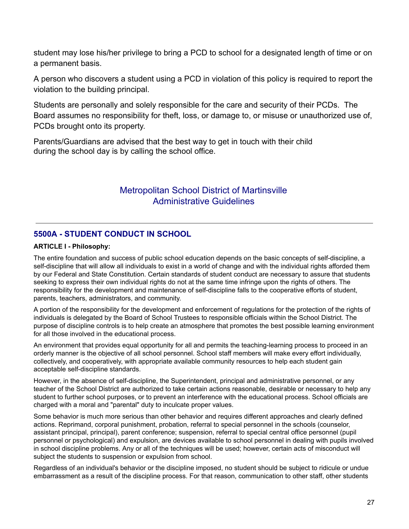student may lose his/her privilege to bring a PCD to school for a designated length of time or on a permanent basis.

A person who discovers a student using a PCD in violation of this policy is required to report the violation to the building principal.

Students are personally and solely responsible for the care and security of their PCDs. The Board assumes no responsibility for theft, loss, or damage to, or misuse or unauthorized use of, PCDs brought onto its property.

Parents/Guardians are advised that the best way to get in touch with their child during the school day is by calling the school office.

#### Metropolitan School District of Martinsville Administrative Guidelines

#### **5500A - STUDENT CONDUCT IN SCHOOL**

#### **ARTICLE I - Philosophy:**

The entire foundation and success of public school education depends on the basic concepts of self-discipline, a self-discipline that will allow all individuals to exist in a world of change and with the individual rights afforded them by our Federal and State Constitution. Certain standards of student conduct are necessary to assure that students seeking to express their own individual rights do not at the same time infringe upon the rights of others. The responsibility for the development and maintenance of self-discipline falls to the cooperative efforts of student, parents, teachers, administrators, and community.

A portion of the responsibility for the development and enforcement of regulations for the protection of the rights of individuals is delegated by the Board of School Trustees to responsible officials within the School District. The purpose of discipline controls is to help create an atmosphere that promotes the best possible learning environment for all those involved in the educational process.

An environment that provides equal opportunity for all and permits the teaching-learning process to proceed in an orderly manner is the objective of all school personnel. School staff members will make every effort individually, collectively, and cooperatively, with appropriate available community resources to help each student gain acceptable self-discipline standards.

However, in the absence of self-discipline, the Superintendent, principal and administrative personnel, or any teacher of the School District are authorized to take certain actions reasonable, desirable or necessary to help any student to further school purposes, or to prevent an interference with the educational process. School officials are charged with a moral and "parental" duty to inculcate proper values.

Some behavior is much more serious than other behavior and requires different approaches and clearly defined actions. Reprimand, corporal punishment, probation, referral to special personnel in the schools (counselor, assistant principal, principal), parent conference; suspension, referral to special central office personnel (pupil personnel or psychological) and expulsion, are devices available to school personnel in dealing with pupils involved in school discipline problems. Any or all of the techniques will be used; however, certain acts of misconduct will subject the students to suspension or expulsion from school.

Regardless of an individual's behavior or the discipline imposed, no student should be subject to ridicule or undue embarrassment as a result of the discipline process. For that reason, communication to other staff, other students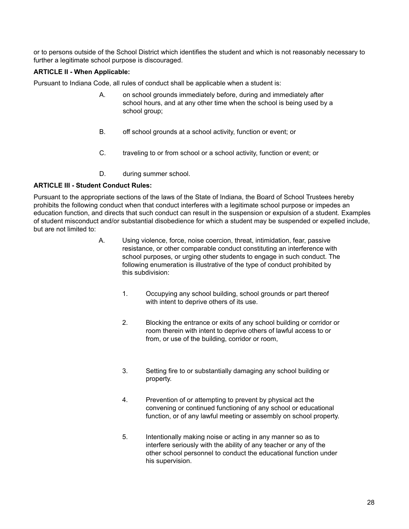or to persons outside of the School District which identifies the student and which is not reasonably necessary to further a legitimate school purpose is discouraged.

#### **ARTICLE II - When Applicable:**

Pursuant to Indiana Code, all rules of conduct shall be applicable when a student is:

- A. on school grounds immediately before, during and immediately after school hours, and at any other time when the school is being used by a school group;
- B. off school grounds at a school activity, function or event; or
- C. traveling to or from school or a school activity, function or event; or
- D. during summer school.

#### **ARTICLE III - Student Conduct Rules:**

Pursuant to the appropriate sections of the laws of the State of Indiana, the Board of School Trustees hereby prohibits the following conduct when that conduct interferes with a legitimate school purpose or impedes an education function, and directs that such conduct can result in the suspension or expulsion of a student. Examples of student misconduct and/or substantial disobedience for which a student may be suspended or expelled include, but are not limited to:

- A. Using violence, force, noise coercion, threat, intimidation, fear, passive resistance, or other comparable conduct constituting an interference with school purposes, or urging other students to engage in such conduct. The following enumeration is illustrative of the type of conduct prohibited by this subdivision:
	- 1. Occupying any school building, school grounds or part thereof with intent to deprive others of its use.
	- 2. Blocking the entrance or exits of any school building or corridor or room therein with intent to deprive others of lawful access to or from, or use of the building, corridor or room,
	- 3. Setting fire to or substantially damaging any school building or property.
	- 4. Prevention of or attempting to prevent by physical act the convening or continued functioning of any school or educational function, or of any lawful meeting or assembly on school property.
	- 5. Intentionally making noise or acting in any manner so as to interfere seriously with the ability of any teacher or any of the other school personnel to conduct the educational function under his supervision.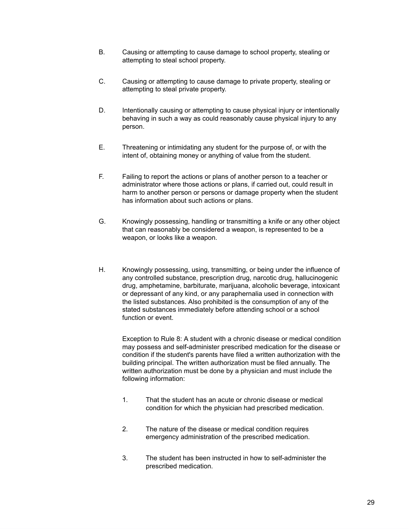- B. Causing or attempting to cause damage to school property, stealing or attempting to steal school property.
- C. Causing or attempting to cause damage to private property, stealing or attempting to steal private property.
- D. Intentionally causing or attempting to cause physical injury or intentionally behaving in such a way as could reasonably cause physical injury to any person.
- E. Threatening or intimidating any student for the purpose of, or with the intent of, obtaining money or anything of value from the student.
- F. Failing to report the actions or plans of another person to a teacher or administrator where those actions or plans, if carried out, could result in harm to another person or persons or damage property when the student has information about such actions or plans.
- G. Knowingly possessing, handling or transmitting a knife or any other object that can reasonably be considered a weapon, is represented to be a weapon, or looks like a weapon.
- H. Knowingly possessing, using, transmitting, or being under the influence of any controlled substance, prescription drug, narcotic drug, hallucinogenic drug, amphetamine, barbiturate, marijuana, alcoholic beverage, intoxicant or depressant of any kind, or any paraphernalia used in connection with the listed substances. Also prohibited is the consumption of any of the stated substances immediately before attending school or a school function or event.

 Exception to Rule 8: A student with a chronic disease or medical condition may possess and self-administer prescribed medication for the disease or condition if the student's parents have filed a written authorization with the building principal. The written authorization must be filed annually. The written authorization must be done by a physician and must include the following information:

- 1. That the student has an acute or chronic disease or medical condition for which the physician had prescribed medication.
- 2. The nature of the disease or medical condition requires emergency administration of the prescribed medication.
- 3. The student has been instructed in how to self-administer the prescribed medication.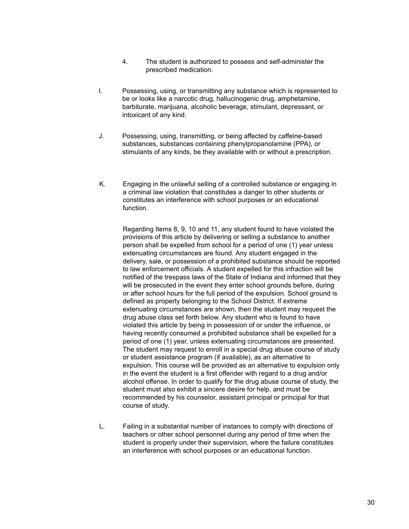- 4. The student is authorized to possess and self-administer the prescribed medication.
- I. Possessing, using, or transmitting any substance which is represented to be or looks like a narcotic drug, hallucinogenic drug, amphetamine, barbiturate, marijuana, alcoholic beverage, stimulant, depressant, or intoxicant of any kind.
- J. Possessing, using, transmitting, or being affected by caffeine-based substances, substances containing phenylpropanolamine (PPA), or stimulants of any kinds, be they available with or without a prescription.
- K. Engaging in the unlawful selling of a controlled substance or engaging in a criminal law violation that constitutes a danger to other students or constitutes an interference with school purposes or an educational function.

 Regarding Items 8, 9, 10 and 11, any student found to have violated the provisions of this article by delivering or selling a substance to another person shall be expelled from school for a period of one (1) year unless extenuating circumstances are found. Any student engaged in the delivery, sale, or possession of a prohibited substance should be reported to law enforcement officials. A student expelled for this infraction will be notified of the trespass laws of the State of Indiana and informed that they will be prosecuted in the event they enter school grounds before, during or after school hours for the full period of the expulsion. School ground is defined as property belonging to the School District. If extreme extenuating circumstances are shown, then the student may request the drug abuse class set forth below. Any student who is found to have violated this article by being in possession of or under the influence, or having recently consumed a prohibited substance shall be expelled for a period of one (1) year, unless extenuating circumstances are presented. The student may request to enroll in a special drug abuse course of study or student assistance program (if available), as an alternative to expulsion. This course will be provided as an alternative to expulsion only in the event the student is a first offender with regard to a drug and/or alcohol offense. In order to qualify for the drug abuse course of study, the student must also exhibit a sincere desire for help, and must be recommended by his counselor, assistant principal or principal for that course of study.

 L. Failing in a substantial number of instances to comply with directions of teachers or other school personnel during any period of time when the student is properly under their supervision, where the failure constitutes an interference with school purposes or an educational function.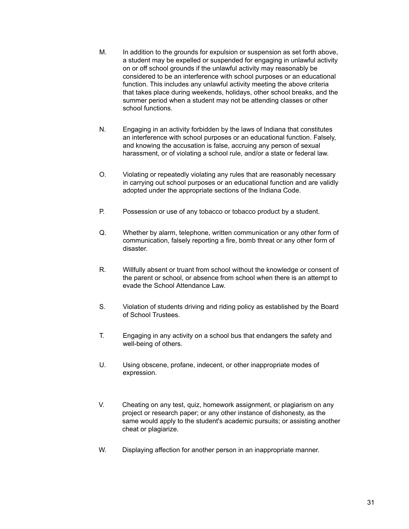- M. In addition to the grounds for expulsion or suspension as set forth above, a student may be expelled or suspended for engaging in unlawful activity on or off school grounds if the unlawful activity may reasonably be considered to be an interference with school purposes or an educational function. This includes any unlawful activity meeting the above criteria that takes place during weekends, holidays, other school breaks, and the summer period when a student may not be attending classes or other school functions.
- N. Engaging in an activity forbidden by the laws of Indiana that constitutes an interference with school purposes or an educational function. Falsely, and knowing the accusation is false, accruing any person of sexual harassment, or of violating a school rule, and/or a state or federal law.
- O. Violating or repeatedly violating any rules that are reasonably necessary in carrying out school purposes or an educational function and are validly adopted under the appropriate sections of the Indiana Code.
- P. Possession or use of any tobacco or tobacco product by a student.
- Q. Whether by alarm, telephone, written communication or any other form of communication, falsely reporting a fire, bomb threat or any other form of disaster.
- R. Willfully absent or truant from school without the knowledge or consent of the parent or school, or absence from school when there is an attempt to evade the School Attendance Law.
- S. Violation of students driving and riding policy as established by the Board of School Trustees.
- T. Engaging in any activity on a school bus that endangers the safety and well-being of others.
- U. Using obscene, profane, indecent, or other inappropriate modes of expression.
- V. Cheating on any test, quiz, homework assignment, or plagiarism on any project or research paper; or any other instance of dishonesty, as the same would apply to the student's academic pursuits; or assisting another cheat or plagiarize.
- W. Displaying affection for another person in an inappropriate manner.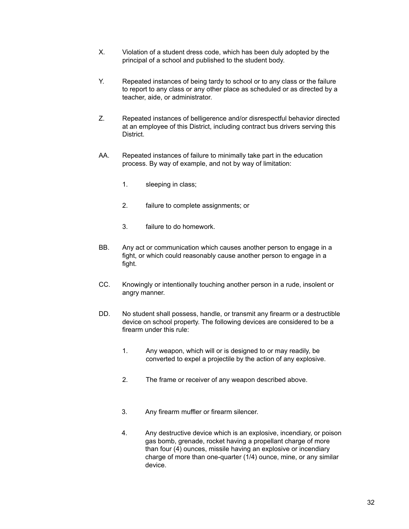- X. Violation of a student dress code, which has been duly adopted by the principal of a school and published to the student body.
- Y. Repeated instances of being tardy to school or to any class or the failure to report to any class or any other place as scheduled or as directed by a teacher, aide, or administrator.
- Z. Repeated instances of belligerence and/or disrespectful behavior directed at an employee of this District, including contract bus drivers serving this District.
- AA. Repeated instances of failure to minimally take part in the education process. By way of example, and not by way of limitation:
	- 1. sleeping in class;
	- 2. failure to complete assignments; or
	- 3. failure to do homework.
- BB. Any act or communication which causes another person to engage in a fight, or which could reasonably cause another person to engage in a fight.
- CC. Knowingly or intentionally touching another person in a rude, insolent or angry manner.
- DD. No student shall possess, handle, or transmit any firearm or a destructible device on school property. The following devices are considered to be a firearm under this rule:
	- 1. Any weapon, which will or is designed to or may readily, be converted to expel a projectile by the action of any explosive.
	- 2. The frame or receiver of any weapon described above.
	- 3. Any firearm muffler or firearm silencer.
	- 4. Any destructive device which is an explosive, incendiary, or poison gas bomb, grenade, rocket having a propellant charge of more than four (4) ounces, missile having an explosive or incendiary charge of more than one-quarter (1/4) ounce, mine, or any similar device.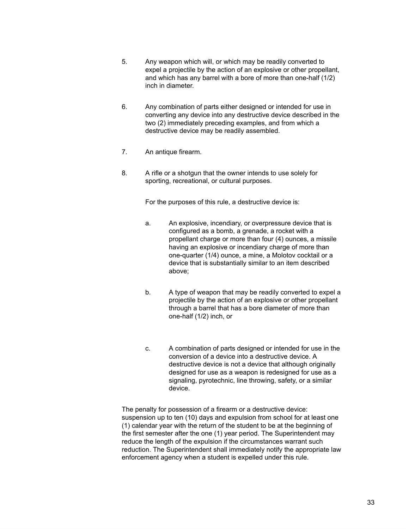- 5. Any weapon which will, or which may be readily converted to expel a projectile by the action of an explosive or other propellant, and which has any barrel with a bore of more than one-half (1/2) inch in diameter.
- 6. Any combination of parts either designed or intended for use in converting any device into any destructive device described in the two (2) immediately preceding examples, and from which a destructive device may be readily assembled.
- 7. An antique firearm.
- 8. A rifle or a shotgun that the owner intends to use solely for sporting, recreational, or cultural purposes.

For the purposes of this rule, a destructive device is:

- a. An explosive, incendiary, or overpressure device that is configured as a bomb, a grenade, a rocket with a propellant charge or more than four (4) ounces, a missile having an explosive or incendiary charge of more than one-quarter (1/4) ounce, a mine, a Molotov cocktail or a device that is substantially similar to an item described above;
- b. A type of weapon that may be readily converted to expel a projectile by the action of an explosive or other propellant through a barrel that has a bore diameter of more than one-half (1/2) inch, or
- c. A combination of parts designed or intended for use in the conversion of a device into a destructive device. A destructive device is not a device that although originally designed for use as a weapon is redesigned for use as a signaling, pyrotechnic, line throwing, safety, or a similar device.

 The penalty for possession of a firearm or a destructive device: suspension up to ten (10) days and expulsion from school for at least one (1) calendar year with the return of the student to be at the beginning of the first semester after the one (1) year period. The Superintendent may reduce the length of the expulsion if the circumstances warrant such reduction. The Superintendent shall immediately notify the appropriate law enforcement agency when a student is expelled under this rule.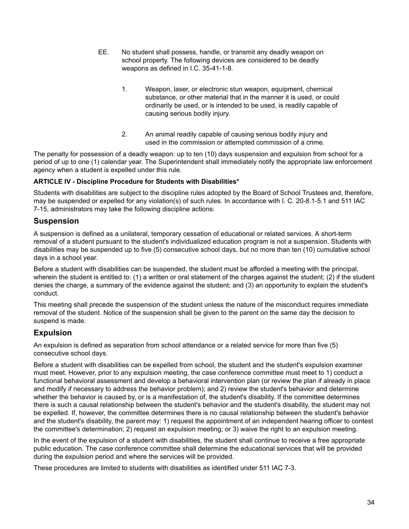- EE. No student shall possess, handle, or transmit any deadly weapon on school property. The following devices are considered to be deadly weapons as defined in I.C. 35-41-1-8.
	- 1. Weapon, laser, or electronic stun weapon, equipment, chemical substance, or other material that in the manner it is used, or could ordinarily be used, or is intended to be used, is readily capable of causing serious bodily injury.
	- 2. An animal readily capable of causing serious bodily injury and used in the commission or attempted commission of a crime.

The penalty for possession of a deadly weapon: up to ten (10) days suspension and expulsion from school for a period of up to one (1) calendar year. The Superintendent shall immediately notify the appropriate law enforcement agency when a student is expelled under this rule.

#### **ARTICLE IV - Discipline Procedure for Students with Disabilities\***

Students with disabilities are subject to the discipline rules adopted by the Board of School Trustees and, therefore, may be suspended or expelled for any violation(s) of such rules. In accordance with I. C. 20-8.1-5.1 and 511 IAC 7-15, administrators may take the following discipline actions:

#### **Suspension**

A suspension is defined as a unilateral, temporary cessation of educational or related services. A short-term removal of a student pursuant to the student's individualized education program is not a suspension. Students with disabilities may be suspended up to five (5) consecutive school days, but no more than ten (10) cumulative school days in a school year.

Before a student with disabilities can be suspended, the student must be afforded a meeting with the principal, wherein the student is entitled to: (1) a written or oral statement of the charges against the student; (2) if the student denies the charge, a summary of the evidence against the student; and (3) an opportunity to explain the student's conduct.

This meeting shall precede the suspension of the student unless the nature of the misconduct requires immediate removal of the student. Notice of the suspension shall be given to the parent on the same day the decision to suspend is made.

#### **Expulsion**

An expulsion is defined as separation from school attendance or a related service for more than five (5) consecutive school days.

Before a student with disabilities can be expelled from school, the student and the student's expulsion examiner must meet. However, prior to any expulsion meeting, the case conference committee must meet to 1) conduct a functional behavioral assessment and develop a behavioral intervention plan (or review the plan if already in place and modify if necessary to address the behavior problem); and 2) review the student's behavior and determine whether the behavior is caused by, or is a manifestation of, the student's disability. If the committee determines there is such a causal relationship between the student's behavior and the student's disability, the student may not be expelled. If, however, the committee determines there is no causal relationship between the student's behavior and the student's disability, the parent may: 1) request the appointment of an independent hearing officer to contest the committee's determination; 2) request an expulsion meeting; or 3) waive the right to an expulsion meeting.

In the event of the expulsion of a student with disabilities, the student shall continue to receive a free appropriate public education. The case conference committee shall determine the educational services that will be provided during the expulsion period and where the services will be provided.

These procedures are limited to students with disabilities as identified under 511 IAC 7-3.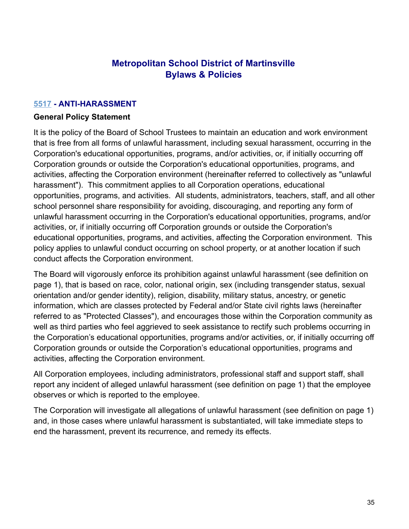#### **Metropolitan School District of Martinsville Bylaws & Policies**

#### **[5517](http://www.neola.com/martinsville-in/search/ag/ag5517.htm) - ANTI-HARASSMENT**

#### **General Policy Statement**

It is the policy of the Board of School Trustees to maintain an education and work environment that is free from all forms of unlawful harassment, including sexual harassment, occurring in the Corporation's educational opportunities, programs, and/or activities, or, if initially occurring off Corporation grounds or outside the Corporation's educational opportunities, programs, and activities, affecting the Corporation environment (hereinafter referred to collectively as "unlawful harassment"). This commitment applies to all Corporation operations, educational opportunities, programs, and activities. All students, administrators, teachers, staff, and all other school personnel share responsibility for avoiding, discouraging, and reporting any form of unlawful harassment occurring in the Corporation's educational opportunities, programs, and/or activities, or, if initially occurring off Corporation grounds or outside the Corporation's educational opportunities, programs, and activities, affecting the Corporation environment. This policy applies to unlawful conduct occurring on school property, or at another location if such conduct affects the Corporation environment.

The Board will vigorously enforce its prohibition against unlawful harassment (see definition on page 1), that is based on race, color, national origin, sex (including transgender status, sexual orientation and/or gender identity), religion, disability, military status, ancestry, or genetic information, which are classes protected by Federal and/or State civil rights laws (hereinafter referred to as "Protected Classes"), and encourages those within the Corporation community as well as third parties who feel aggrieved to seek assistance to rectify such problems occurring in the Corporation's educational opportunities, programs and/or activities, or, if initially occurring off Corporation grounds or outside the Corporation's educational opportunities, programs and activities, affecting the Corporation environment.

All Corporation employees, including administrators, professional staff and support staff, shall report any incident of alleged unlawful harassment (see definition on page 1) that the employee observes or which is reported to the employee.

The Corporation will investigate all allegations of unlawful harassment (see definition on page 1) and, in those cases where unlawful harassment is substantiated, will take immediate steps to end the harassment, prevent its recurrence, and remedy its effects.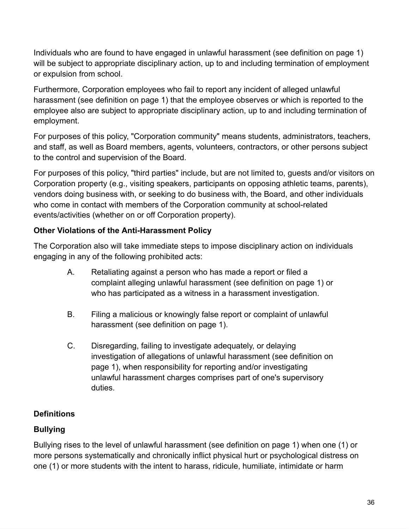Individuals who are found to have engaged in unlawful harassment (see definition on page 1) will be subject to appropriate disciplinary action, up to and including termination of employment or expulsion from school.

Furthermore, Corporation employees who fail to report any incident of alleged unlawful harassment (see definition on page 1) that the employee observes or which is reported to the employee also are subject to appropriate disciplinary action, up to and including termination of employment.

For purposes of this policy, "Corporation community" means students, administrators, teachers, and staff, as well as Board members, agents, volunteers, contractors, or other persons subject to the control and supervision of the Board.

For purposes of this policy, "third parties" include, but are not limited to, guests and/or visitors on Corporation property (e.g., visiting speakers, participants on opposing athletic teams, parents), vendors doing business with, or seeking to do business with, the Board, and other individuals who come in contact with members of the Corporation community at school-related events/activities (whether on or off Corporation property).

### **Other Violations of the Anti-Harassment Policy**

The Corporation also will take immediate steps to impose disciplinary action on individuals engaging in any of the following prohibited acts:

- A. Retaliating against a person who has made a report or filed a complaint alleging unlawful harassment (see definition on page 1) or who has participated as a witness in a harassment investigation.
- B. Filing a malicious or knowingly false report or complaint of unlawful harassment (see definition on page 1).
- C. Disregarding, failing to investigate adequately, or delaying investigation of allegations of unlawful harassment (see definition on page 1), when responsibility for reporting and/or investigating unlawful harassment charges comprises part of one's supervisory duties.

## **Definitions**

# **Bullying**

Bullying rises to the level of unlawful harassment (see definition on page 1) when one (1) or more persons systematically and chronically inflict physical hurt or psychological distress on one (1) or more students with the intent to harass, ridicule, humiliate, intimidate or harm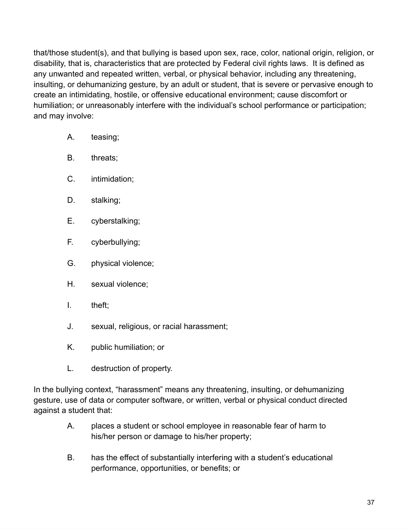that/those student(s), and that bullying is based upon sex, race, color, national origin, religion, or disability, that is, characteristics that are protected by Federal civil rights laws. It is defined as any unwanted and repeated written, verbal, or physical behavior, including any threatening, insulting, or dehumanizing gesture, by an adult or student, that is severe or pervasive enough to create an intimidating, hostile, or offensive educational environment; cause discomfort or humiliation; or unreasonably interfere with the individual's school performance or participation; and may involve:

- A. teasing;
- B. threats;
- C. intimidation;
- D. stalking;
- E. cyberstalking;
- F. cyberbullying;
- G. physical violence;
- H. sexual violence;
- I. theft;
- J. sexual, religious, or racial harassment;
- K. public humiliation; or
- L. destruction of property.

In the bullying context, "harassment" means any threatening, insulting, or dehumanizing gesture, use of data or computer software, or written, verbal or physical conduct directed against a student that:

- A. places a student or school employee in reasonable fear of harm to his/her person or damage to his/her property;
- B. has the effect of substantially interfering with a student's educational performance, opportunities, or benefits; or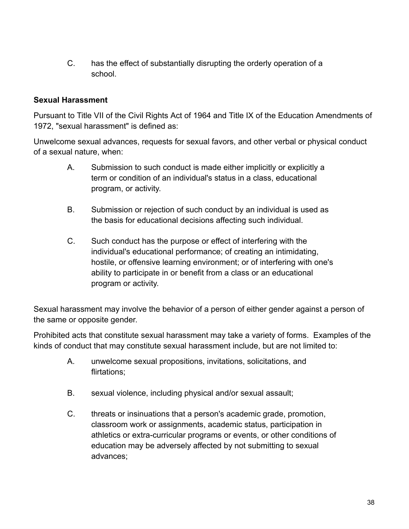C. has the effect of substantially disrupting the orderly operation of a school.

#### **Sexual Harassment**

Pursuant to Title VII of the Civil Rights Act of 1964 and Title IX of the Education Amendments of 1972, "sexual harassment" is defined as:

Unwelcome sexual advances, requests for sexual favors, and other verbal or physical conduct of a sexual nature, when:

- A. Submission to such conduct is made either implicitly or explicitly a term or condition of an individual's status in a class, educational program, or activity.
- B. Submission or rejection of such conduct by an individual is used as the basis for educational decisions affecting such individual.
- C. Such conduct has the purpose or effect of interfering with the individual's educational performance; of creating an intimidating, hostile, or offensive learning environment; or of interfering with one's ability to participate in or benefit from a class or an educational program or activity.

Sexual harassment may involve the behavior of a person of either gender against a person of the same or opposite gender.

Prohibited acts that constitute sexual harassment may take a variety of forms. Examples of the kinds of conduct that may constitute sexual harassment include, but are not limited to:

- A. unwelcome sexual propositions, invitations, solicitations, and flirtations;
- B. sexual violence, including physical and/or sexual assault;
- C. threats or insinuations that a person's academic grade, promotion, classroom work or assignments, academic status, participation in athletics or extra-curricular programs or events, or other conditions of education may be adversely affected by not submitting to sexual advances;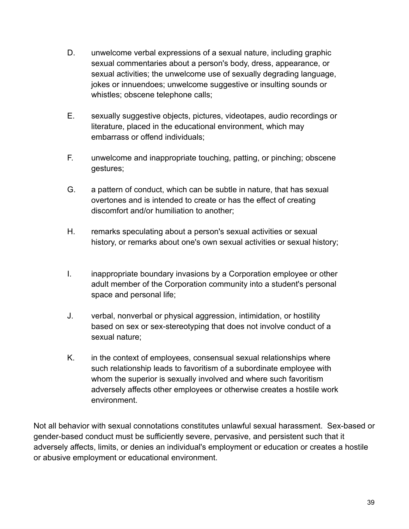- D. unwelcome verbal expressions of a sexual nature, including graphic sexual commentaries about a person's body, dress, appearance, or sexual activities; the unwelcome use of sexually degrading language, jokes or innuendoes; unwelcome suggestive or insulting sounds or whistles; obscene telephone calls;
- E. sexually suggestive objects, pictures, videotapes, audio recordings or literature, placed in the educational environment, which may embarrass or offend individuals;
- F. unwelcome and inappropriate touching, patting, or pinching; obscene gestures;
- G. a pattern of conduct, which can be subtle in nature, that has sexual overtones and is intended to create or has the effect of creating discomfort and/or humiliation to another;
- H. remarks speculating about a person's sexual activities or sexual history, or remarks about one's own sexual activities or sexual history;
- I. inappropriate boundary invasions by a Corporation employee or other adult member of the Corporation community into a student's personal space and personal life;
- J. verbal, nonverbal or physical aggression, intimidation, or hostility based on sex or sex-stereotyping that does not involve conduct of a sexual nature;
- K. in the context of employees, consensual sexual relationships where such relationship leads to favoritism of a subordinate employee with whom the superior is sexually involved and where such favoritism adversely affects other employees or otherwise creates a hostile work environment.

Not all behavior with sexual connotations constitutes unlawful sexual harassment. Sex-based or gender-based conduct must be sufficiently severe, pervasive, and persistent such that it adversely affects, limits, or denies an individual's employment or education or creates a hostile or abusive employment or educational environment.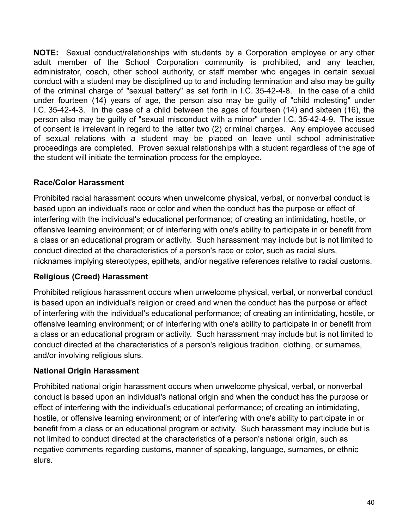**NOTE:** Sexual conduct/relationships with students by a Corporation employee or any other adult member of the School Corporation community is prohibited, and any teacher, administrator, coach, other school authority, or staff member who engages in certain sexual conduct with a student may be disciplined up to and including termination and also may be guilty of the criminal charge of "sexual battery" as set forth in I.C. 35-42-4-8. In the case of a child under fourteen (14) years of age, the person also may be guilty of "child molesting" under I.C. 35-42-4-3. In the case of a child between the ages of fourteen (14) and sixteen (16), the person also may be guilty of "sexual misconduct with a minor" under I.C. 35-42-4-9. The issue of consent is irrelevant in regard to the latter two (2) criminal charges. Any employee accused of sexual relations with a student may be placed on leave until school administrative proceedings are completed. Proven sexual relationships with a student regardless of the age of the student will initiate the termination process for the employee.

#### **Race/Color Harassment**

Prohibited racial harassment occurs when unwelcome physical, verbal, or nonverbal conduct is based upon an individual's race or color and when the conduct has the purpose or effect of interfering with the individual's educational performance; of creating an intimidating, hostile, or offensive learning environment; or of interfering with one's ability to participate in or benefit from a class or an educational program or activity. Such harassment may include but is not limited to conduct directed at the characteristics of a person's race or color, such as racial slurs, nicknames implying stereotypes, epithets, and/or negative references relative to racial customs.

#### **Religious (Creed) Harassment**

Prohibited religious harassment occurs when unwelcome physical, verbal, or nonverbal conduct is based upon an individual's religion or creed and when the conduct has the purpose or effect of interfering with the individual's educational performance; of creating an intimidating, hostile, or offensive learning environment; or of interfering with one's ability to participate in or benefit from a class or an educational program or activity. Such harassment may include but is not limited to conduct directed at the characteristics of a person's religious tradition, clothing, or surnames, and/or involving religious slurs.

#### **National Origin Harassment**

Prohibited national origin harassment occurs when unwelcome physical, verbal, or nonverbal conduct is based upon an individual's national origin and when the conduct has the purpose or effect of interfering with the individual's educational performance; of creating an intimidating, hostile, or offensive learning environment; or of interfering with one's ability to participate in or benefit from a class or an educational program or activity. Such harassment may include but is not limited to conduct directed at the characteristics of a person's national origin, such as negative comments regarding customs, manner of speaking, language, surnames, or ethnic slurs.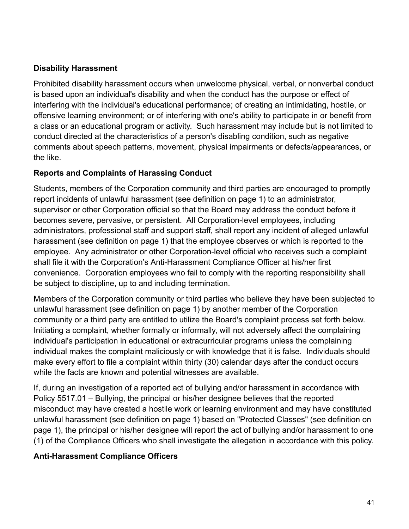#### **Disability Harassment**

Prohibited disability harassment occurs when unwelcome physical, verbal, or nonverbal conduct is based upon an individual's disability and when the conduct has the purpose or effect of interfering with the individual's educational performance; of creating an intimidating, hostile, or offensive learning environment; or of interfering with one's ability to participate in or benefit from a class or an educational program or activity. Such harassment may include but is not limited to conduct directed at the characteristics of a person's disabling condition, such as negative comments about speech patterns, movement, physical impairments or defects/appearances, or the like.

#### **Reports and Complaints of Harassing Conduct**

Students, members of the Corporation community and third parties are encouraged to promptly report incidents of unlawful harassment (see definition on page 1) to an administrator, supervisor or other Corporation official so that the Board may address the conduct before it becomes severe, pervasive, or persistent. All Corporation-level employees, including administrators, professional staff and support staff, shall report any incident of alleged unlawful harassment (see definition on page 1) that the employee observes or which is reported to the employee. Any administrator or other Corporation-level official who receives such a complaint shall file it with the Corporation's Anti-Harassment Compliance Officer at his/her first convenience. Corporation employees who fail to comply with the reporting responsibility shall be subject to discipline, up to and including termination.

Members of the Corporation community or third parties who believe they have been subjected to unlawful harassment (see definition on page 1) by another member of the Corporation community or a third party are entitled to utilize the Board's complaint process set forth below. Initiating a complaint, whether formally or informally, will not adversely affect the complaining individual's participation in educational or extracurricular programs unless the complaining individual makes the complaint maliciously or with knowledge that it is false. Individuals should make every effort to file a complaint within thirty (30) calendar days after the conduct occurs while the facts are known and potential witnesses are available.

If, during an investigation of a reported act of bullying and/or harassment in accordance with Policy 5517.01 – Bullying, the principal or his/her designee believes that the reported misconduct may have created a hostile work or learning environment and may have constituted unlawful harassment (see definition on page 1) based on "Protected Classes" (see definition on page 1), the principal or his/her designee will report the act of bullying and/or harassment to one (1) of the Compliance Officers who shall investigate the allegation in accordance with this policy.

#### **Anti-Harassment Compliance Officers**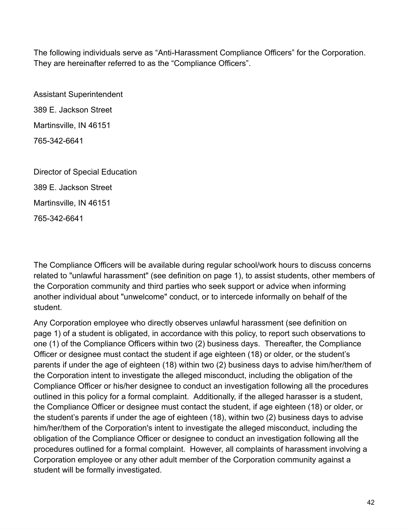The following individuals serve as "Anti-Harassment Compliance Officers" for the Corporation. They are hereinafter referred to as the "Compliance Officers".

Assistant Superintendent 389 E. Jackson Street Martinsville, IN 46151 765-342-6641

Director of Special Education 389 E. Jackson Street Martinsville, IN 46151 765-342-6641

The Compliance Officers will be available during regular school/work hours to discuss concerns related to "unlawful harassment" (see definition on page 1), to assist students, other members of the Corporation community and third parties who seek support or advice when informing another individual about "unwelcome" conduct, or to intercede informally on behalf of the student.

Any Corporation employee who directly observes unlawful harassment (see definition on page 1) of a student is obligated, in accordance with this policy, to report such observations to one (1) of the Compliance Officers within two (2) business days. Thereafter, the Compliance Officer or designee must contact the student if age eighteen (18) or older, or the student's parents if under the age of eighteen (18) within two (2) business days to advise him/her/them of the Corporation intent to investigate the alleged misconduct, including the obligation of the Compliance Officer or his/her designee to conduct an investigation following all the procedures outlined in this policy for a formal complaint. Additionally, if the alleged harasser is a student, the Compliance Officer or designee must contact the student, if age eighteen (18) or older, or the student's parents if under the age of eighteen (18), within two (2) business days to advise him/her/them of the Corporation's intent to investigate the alleged misconduct, including the obligation of the Compliance Officer or designee to conduct an investigation following all the procedures outlined for a formal complaint. However, all complaints of harassment involving a Corporation employee or any other adult member of the Corporation community against a student will be formally investigated.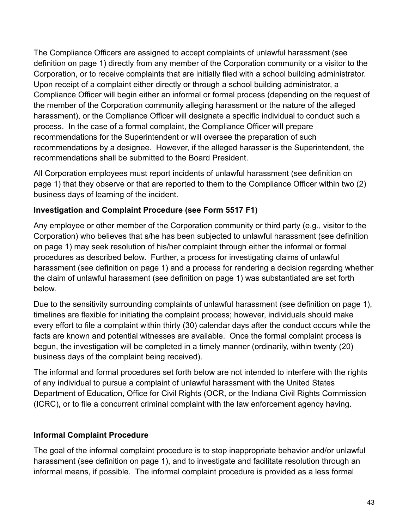The Compliance Officers are assigned to accept complaints of unlawful harassment (see definition on page 1) directly from any member of the Corporation community or a visitor to the Corporation, or to receive complaints that are initially filed with a school building administrator. Upon receipt of a complaint either directly or through a school building administrator, a Compliance Officer will begin either an informal or formal process (depending on the request of the member of the Corporation community alleging harassment or the nature of the alleged harassment), or the Compliance Officer will designate a specific individual to conduct such a process. In the case of a formal complaint, the Compliance Officer will prepare recommendations for the Superintendent or will oversee the preparation of such recommendations by a designee. However, if the alleged harasser is the Superintendent, the recommendations shall be submitted to the Board President.

All Corporation employees must report incidents of unlawful harassment (see definition on page 1) that they observe or that are reported to them to the Compliance Officer within two (2) business days of learning of the incident.

#### **Investigation and Complaint Procedure (see Form 5517 F1)**

Any employee or other member of the Corporation community or third party (e.g., visitor to the Corporation) who believes that s/he has been subjected to unlawful harassment (see definition on page 1) may seek resolution of his/her complaint through either the informal or formal procedures as described below. Further, a process for investigating claims of unlawful harassment (see definition on page 1) and a process for rendering a decision regarding whether the claim of unlawful harassment (see definition on page 1) was substantiated are set forth below.

Due to the sensitivity surrounding complaints of unlawful harassment (see definition on page 1), timelines are flexible for initiating the complaint process; however, individuals should make every effort to file a complaint within thirty (30) calendar days after the conduct occurs while the facts are known and potential witnesses are available. Once the formal complaint process is begun, the investigation will be completed in a timely manner (ordinarily, within twenty (20) business days of the complaint being received).

The informal and formal procedures set forth below are not intended to interfere with the rights of any individual to pursue a complaint of unlawful harassment with the United States Department of Education, Office for Civil Rights (OCR, or the Indiana Civil Rights Commission (ICRC), or to file a concurrent criminal complaint with the law enforcement agency having.

#### **Informal Complaint Procedure**

The goal of the informal complaint procedure is to stop inappropriate behavior and/or unlawful harassment (see definition on page 1), and to investigate and facilitate resolution through an informal means, if possible. The informal complaint procedure is provided as a less formal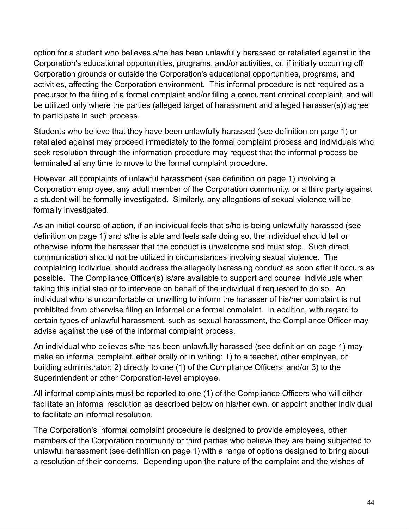option for a student who believes s/he has been unlawfully harassed or retaliated against in the Corporation's educational opportunities, programs, and/or activities, or, if initially occurring off Corporation grounds or outside the Corporation's educational opportunities, programs, and activities, affecting the Corporation environment. This informal procedure is not required as a precursor to the filing of a formal complaint and/or filing a concurrent criminal complaint, and will be utilized only where the parties (alleged target of harassment and alleged harasser(s)) agree to participate in such process.

Students who believe that they have been unlawfully harassed (see definition on page 1) or retaliated against may proceed immediately to the formal complaint process and individuals who seek resolution through the information procedure may request that the informal process be terminated at any time to move to the formal complaint procedure.

However, all complaints of unlawful harassment (see definition on page 1) involving a Corporation employee, any adult member of the Corporation community, or a third party against a student will be formally investigated. Similarly, any allegations of sexual violence will be formally investigated.

As an initial course of action, if an individual feels that s/he is being unlawfully harassed (see definition on page 1) and s/he is able and feels safe doing so, the individual should tell or otherwise inform the harasser that the conduct is unwelcome and must stop. Such direct communication should not be utilized in circumstances involving sexual violence. The complaining individual should address the allegedly harassing conduct as soon after it occurs as possible. The Compliance Officer(s) is/are available to support and counsel individuals when taking this initial step or to intervene on behalf of the individual if requested to do so. An individual who is uncomfortable or unwilling to inform the harasser of his/her complaint is not prohibited from otherwise filing an informal or a formal complaint. In addition, with regard to certain types of unlawful harassment, such as sexual harassment, the Compliance Officer may advise against the use of the informal complaint process.

An individual who believes s/he has been unlawfully harassed (see definition on page 1) may make an informal complaint, either orally or in writing: 1) to a teacher, other employee, or building administrator; 2) directly to one (1) of the Compliance Officers; and/or 3) to the Superintendent or other Corporation-level employee.

All informal complaints must be reported to one (1) of the Compliance Officers who will either facilitate an informal resolution as described below on his/her own, or appoint another individual to facilitate an informal resolution.

The Corporation's informal complaint procedure is designed to provide employees, other members of the Corporation community or third parties who believe they are being subjected to unlawful harassment (see definition on page 1) with a range of options designed to bring about a resolution of their concerns. Depending upon the nature of the complaint and the wishes of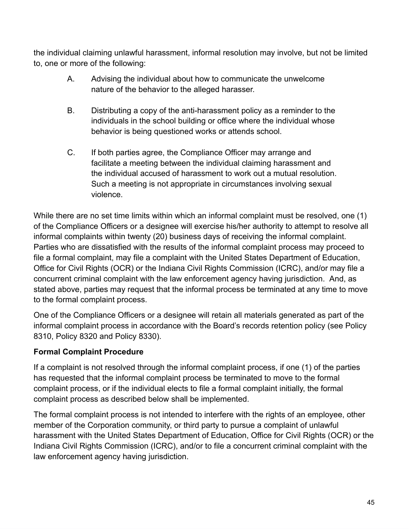the individual claiming unlawful harassment, informal resolution may involve, but not be limited to, one or more of the following:

- A. Advising the individual about how to communicate the unwelcome nature of the behavior to the alleged harasser.
- B. Distributing a copy of the anti-harassment policy as a reminder to the individuals in the school building or office where the individual whose behavior is being questioned works or attends school.
- C. If both parties agree, the Compliance Officer may arrange and facilitate a meeting between the individual claiming harassment and the individual accused of harassment to work out a mutual resolution. Such a meeting is not appropriate in circumstances involving sexual violence.

While there are no set time limits within which an informal complaint must be resolved, one (1) of the Compliance Officers or a designee will exercise his/her authority to attempt to resolve all informal complaints within twenty (20) business days of receiving the informal complaint. Parties who are dissatisfied with the results of the informal complaint process may proceed to file a formal complaint, may file a complaint with the United States Department of Education, Office for Civil Rights (OCR) or the Indiana Civil Rights Commission (ICRC), and/or may file a concurrent criminal complaint with the law enforcement agency having jurisdiction. And, as stated above, parties may request that the informal process be terminated at any time to move to the formal complaint process.

One of the Compliance Officers or a designee will retain all materials generated as part of the informal complaint process in accordance with the Board's records retention policy (see Policy 8310, Policy 8320 and Policy 8330).

## **Formal Complaint Procedure**

If a complaint is not resolved through the informal complaint process, if one (1) of the parties has requested that the informal complaint process be terminated to move to the formal complaint process, or if the individual elects to file a formal complaint initially, the formal complaint process as described below shall be implemented.

The formal complaint process is not intended to interfere with the rights of an employee, other member of the Corporation community, or third party to pursue a complaint of unlawful harassment with the United States Department of Education, Office for Civil Rights (OCR) or the Indiana Civil Rights Commission (ICRC), and/or to file a concurrent criminal complaint with the law enforcement agency having jurisdiction.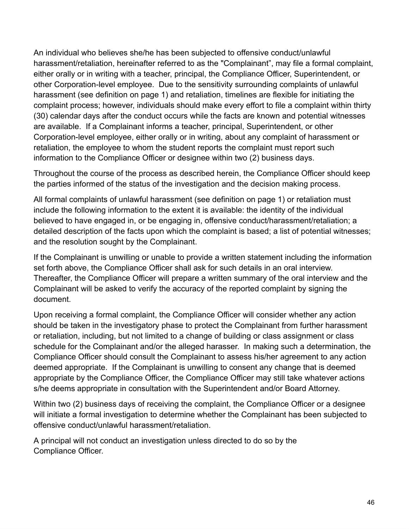An individual who believes she/he has been subjected to offensive conduct/unlawful harassment/retaliation, hereinafter referred to as the "Complainant", may file a formal complaint, either orally or in writing with a teacher, principal, the Compliance Officer, Superintendent, or other Corporation-level employee. Due to the sensitivity surrounding complaints of unlawful harassment (see definition on page 1) and retaliation, timelines are flexible for initiating the complaint process; however, individuals should make every effort to file a complaint within thirty (30) calendar days after the conduct occurs while the facts are known and potential witnesses are available. If a Complainant informs a teacher, principal, Superintendent, or other Corporation-level employee, either orally or in writing, about any complaint of harassment or retaliation, the employee to whom the student reports the complaint must report such information to the Compliance Officer or designee within two (2) business days.

Throughout the course of the process as described herein, the Compliance Officer should keep the parties informed of the status of the investigation and the decision making process.

All formal complaints of unlawful harassment (see definition on page 1) or retaliation must include the following information to the extent it is available: the identity of the individual believed to have engaged in, or be engaging in, offensive conduct/harassment/retaliation; a detailed description of the facts upon which the complaint is based; a list of potential witnesses; and the resolution sought by the Complainant.

If the Complainant is unwilling or unable to provide a written statement including the information set forth above, the Compliance Officer shall ask for such details in an oral interview. Thereafter, the Compliance Officer will prepare a written summary of the oral interview and the Complainant will be asked to verify the accuracy of the reported complaint by signing the document.

Upon receiving a formal complaint, the Compliance Officer will consider whether any action should be taken in the investigatory phase to protect the Complainant from further harassment or retaliation, including, but not limited to a change of building or class assignment or class schedule for the Complainant and/or the alleged harasser. In making such a determination, the Compliance Officer should consult the Complainant to assess his/her agreement to any action deemed appropriate. If the Complainant is unwilling to consent any change that is deemed appropriate by the Compliance Officer, the Compliance Officer may still take whatever actions s/he deems appropriate in consultation with the Superintendent and/or Board Attorney.

Within two (2) business days of receiving the complaint, the Compliance Officer or a designee will initiate a formal investigation to determine whether the Complainant has been subjected to offensive conduct/unlawful harassment/retaliation.

A principal will not conduct an investigation unless directed to do so by the Compliance Officer.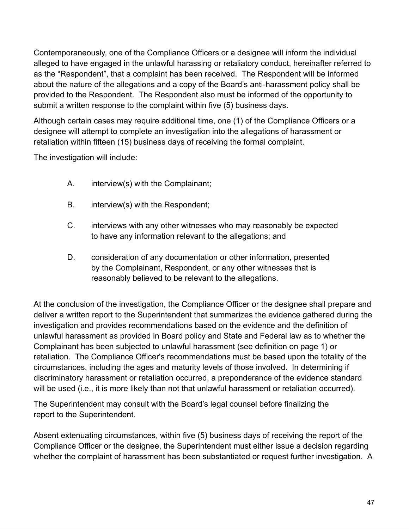Contemporaneously, one of the Compliance Officers or a designee will inform the individual alleged to have engaged in the unlawful harassing or retaliatory conduct, hereinafter referred to as the "Respondent", that a complaint has been received. The Respondent will be informed about the nature of the allegations and a copy of the Board's anti-harassment policy shall be provided to the Respondent. The Respondent also must be informed of the opportunity to submit a written response to the complaint within five (5) business days.

Although certain cases may require additional time, one (1) of the Compliance Officers or a designee will attempt to complete an investigation into the allegations of harassment or retaliation within fifteen (15) business days of receiving the formal complaint.

The investigation will include:

- A. interview(s) with the Complainant;
- B. interview(s) with the Respondent;
- C. interviews with any other witnesses who may reasonably be expected to have any information relevant to the allegations; and
- D. consideration of any documentation or other information, presented by the Complainant, Respondent, or any other witnesses that is reasonably believed to be relevant to the allegations.

At the conclusion of the investigation, the Compliance Officer or the designee shall prepare and deliver a written report to the Superintendent that summarizes the evidence gathered during the investigation and provides recommendations based on the evidence and the definition of unlawful harassment as provided in Board policy and State and Federal law as to whether the Complainant has been subjected to unlawful harassment (see definition on page 1) or retaliation. The Compliance Officer's recommendations must be based upon the totality of the circumstances, including the ages and maturity levels of those involved. In determining if discriminatory harassment or retaliation occurred, a preponderance of the evidence standard will be used (i.e., it is more likely than not that unlawful harassment or retaliation occurred).

The Superintendent may consult with the Board's legal counsel before finalizing the report to the Superintendent.

Absent extenuating circumstances, within five (5) business days of receiving the report of the Compliance Officer or the designee, the Superintendent must either issue a decision regarding whether the complaint of harassment has been substantiated or request further investigation. A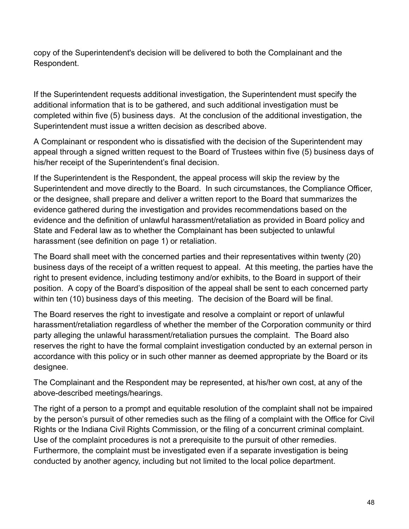copy of the Superintendent's decision will be delivered to both the Complainant and the Respondent.

If the Superintendent requests additional investigation, the Superintendent must specify the additional information that is to be gathered, and such additional investigation must be completed within five (5) business days. At the conclusion of the additional investigation, the Superintendent must issue a written decision as described above.

A Complainant or respondent who is dissatisfied with the decision of the Superintendent may appeal through a signed written request to the Board of Trustees within five (5) business days of his/her receipt of the Superintendent's final decision.

If the Superintendent is the Respondent, the appeal process will skip the review by the Superintendent and move directly to the Board. In such circumstances, the Compliance Officer, or the designee, shall prepare and deliver a written report to the Board that summarizes the evidence gathered during the investigation and provides recommendations based on the evidence and the definition of unlawful harassment/retaliation as provided in Board policy and State and Federal law as to whether the Complainant has been subjected to unlawful harassment (see definition on page 1) or retaliation.

The Board shall meet with the concerned parties and their representatives within twenty (20) business days of the receipt of a written request to appeal. At this meeting, the parties have the right to present evidence, including testimony and/or exhibits, to the Board in support of their position. A copy of the Board's disposition of the appeal shall be sent to each concerned party within ten (10) business days of this meeting. The decision of the Board will be final.

The Board reserves the right to investigate and resolve a complaint or report of unlawful harassment/retaliation regardless of whether the member of the Corporation community or third party alleging the unlawful harassment/retaliation pursues the complaint. The Board also reserves the right to have the formal complaint investigation conducted by an external person in accordance with this policy or in such other manner as deemed appropriate by the Board or its designee.

The Complainant and the Respondent may be represented, at his/her own cost, at any of the above-described meetings/hearings.

The right of a person to a prompt and equitable resolution of the complaint shall not be impaired by the person's pursuit of other remedies such as the filing of a complaint with the Office for Civil Rights or the Indiana Civil Rights Commission, or the filing of a concurrent criminal complaint. Use of the complaint procedures is not a prerequisite to the pursuit of other remedies. Furthermore, the complaint must be investigated even if a separate investigation is being conducted by another agency, including but not limited to the local police department.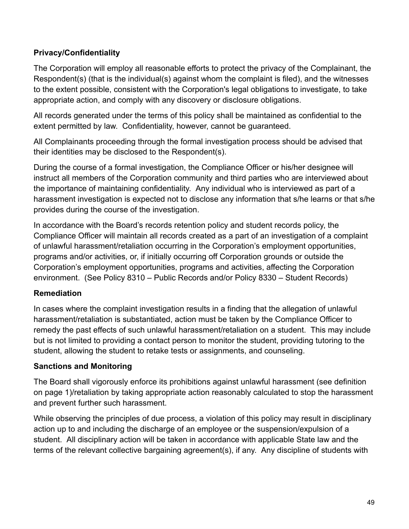#### **Privacy/Confidentiality**

The Corporation will employ all reasonable efforts to protect the privacy of the Complainant, the Respondent(s) (that is the individual(s) against whom the complaint is filed), and the witnesses to the extent possible, consistent with the Corporation's legal obligations to investigate, to take appropriate action, and comply with any discovery or disclosure obligations.

All records generated under the terms of this policy shall be maintained as confidential to the extent permitted by law. Confidentiality, however, cannot be guaranteed.

All Complainants proceeding through the formal investigation process should be advised that their identities may be disclosed to the Respondent(s).

During the course of a formal investigation, the Compliance Officer or his/her designee will instruct all members of the Corporation community and third parties who are interviewed about the importance of maintaining confidentiality. Any individual who is interviewed as part of a harassment investigation is expected not to disclose any information that s/he learns or that s/he provides during the course of the investigation.

In accordance with the Board's records retention policy and student records policy, the Compliance Officer will maintain all records created as a part of an investigation of a complaint of unlawful harassment/retaliation occurring in the Corporation's employment opportunities, programs and/or activities, or, if initially occurring off Corporation grounds or outside the Corporation's employment opportunities, programs and activities, affecting the Corporation environment. (See Policy 8310 – Public Records and/or Policy 8330 – Student Records)

#### **Remediation**

In cases where the complaint investigation results in a finding that the allegation of unlawful harassment/retaliation is substantiated, action must be taken by the Compliance Officer to remedy the past effects of such unlawful harassment/retaliation on a student. This may include but is not limited to providing a contact person to monitor the student, providing tutoring to the student, allowing the student to retake tests or assignments, and counseling.

#### **Sanctions and Monitoring**

The Board shall vigorously enforce its prohibitions against unlawful harassment (see definition on page 1)/retaliation by taking appropriate action reasonably calculated to stop the harassment and prevent further such harassment.

While observing the principles of due process, a violation of this policy may result in disciplinary action up to and including the discharge of an employee or the suspension/expulsion of a student. All disciplinary action will be taken in accordance with applicable State law and the terms of the relevant collective bargaining agreement(s), if any. Any discipline of students with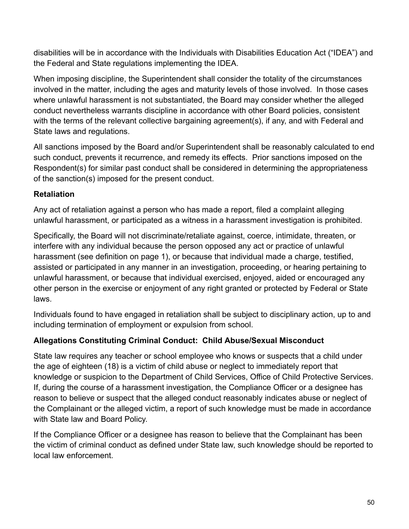disabilities will be in accordance with the Individuals with Disabilities Education Act ("IDEA") and the Federal and State regulations implementing the IDEA.

When imposing discipline, the Superintendent shall consider the totality of the circumstances involved in the matter, including the ages and maturity levels of those involved. In those cases where unlawful harassment is not substantiated, the Board may consider whether the alleged conduct nevertheless warrants discipline in accordance with other Board policies, consistent with the terms of the relevant collective bargaining agreement(s), if any, and with Federal and State laws and regulations.

All sanctions imposed by the Board and/or Superintendent shall be reasonably calculated to end such conduct, prevents it recurrence, and remedy its effects. Prior sanctions imposed on the Respondent(s) for similar past conduct shall be considered in determining the appropriateness of the sanction(s) imposed for the present conduct.

### **Retaliation**

Any act of retaliation against a person who has made a report, filed a complaint alleging unlawful harassment, or participated as a witness in a harassment investigation is prohibited.

Specifically, the Board will not discriminate/retaliate against, coerce, intimidate, threaten, or interfere with any individual because the person opposed any act or practice of unlawful harassment (see definition on page 1), or because that individual made a charge, testified, assisted or participated in any manner in an investigation, proceeding, or hearing pertaining to unlawful harassment, or because that individual exercised, enjoyed, aided or encouraged any other person in the exercise or enjoyment of any right granted or protected by Federal or State laws.

Individuals found to have engaged in retaliation shall be subject to disciplinary action, up to and including termination of employment or expulsion from school.

#### **Allegations Constituting Criminal Conduct: Child Abuse/Sexual Misconduct**

State law requires any teacher or school employee who knows or suspects that a child under the age of eighteen (18) is a victim of child abuse or neglect to immediately report that knowledge or suspicion to the Department of Child Services, Office of Child Protective Services. If, during the course of a harassment investigation, the Compliance Officer or a designee has reason to believe or suspect that the alleged conduct reasonably indicates abuse or neglect of the Complainant or the alleged victim, a report of such knowledge must be made in accordance with State law and Board Policy.

If the Compliance Officer or a designee has reason to believe that the Complainant has been the victim of criminal conduct as defined under State law, such knowledge should be reported to local law enforcement.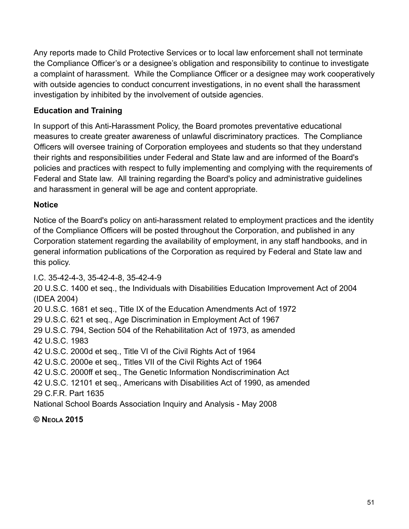Any reports made to Child Protective Services or to local law enforcement shall not terminate the Compliance Officer's or a designee's obligation and responsibility to continue to investigate a complaint of harassment. While the Compliance Officer or a designee may work cooperatively with outside agencies to conduct concurrent investigations, in no event shall the harassment investigation by inhibited by the involvement of outside agencies.

## **Education and Training**

In support of this Anti-Harassment Policy, the Board promotes preventative educational measures to create greater awareness of unlawful discriminatory practices. The Compliance Officers will oversee training of Corporation employees and students so that they understand their rights and responsibilities under Federal and State law and are informed of the Board's policies and practices with respect to fully implementing and complying with the requirements of Federal and State law. All training regarding the Board's policy and administrative guidelines and harassment in general will be age and content appropriate.

#### **Notice**

Notice of the Board's policy on anti-harassment related to employment practices and the identity of the Compliance Officers will be posted throughout the Corporation, and published in any Corporation statement regarding the availability of employment, in any staff handbooks, and in general information publications of the Corporation as required by Federal and State law and this policy.

I.C. 35-42-4-3, 35-42-4-8, 35-42-4-9

20 U.S.C. 1400 et seq., the Individuals with Disabilities Education Improvement Act of 2004 (IDEA 2004)

20 U.S.C. 1681 et seq., Title IX of the Education Amendments Act of 1972

29 U.S.C. 621 et seq., Age Discrimination in Employment Act of 1967

29 U.S.C. 794, Section 504 of the Rehabilitation Act of 1973, as amended 42 U.S.C. 1983

42 U.S.C. 2000d et seq., Title VI of the Civil Rights Act of 1964

42 U.S.C. 2000e et seq., Titles VII of the Civil Rights Act of 1964

42 U.S.C. 2000ff et seq., The Genetic Information Nondiscrimination Act

42 U.S.C. 12101 et seq., Americans with Disabilities Act of 1990, as amended 29 C.F.R. Part 1635

National School Boards Association Inquiry and Analysis - May 2008

**© N EOLA 2015**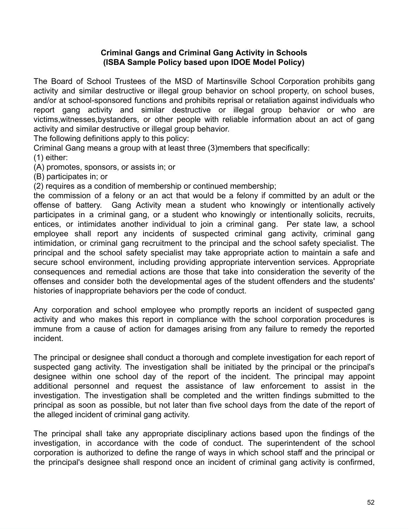#### **Criminal Gangs and Criminal Gang Activity in Schools (ISBA Sample Policy based upon IDOE Model Policy)**

The Board of School Trustees of the MSD of Martinsville School Corporation prohibits gang activity and similar destructive or illegal group behavior on school property, on school buses, and/or at school-sponsored functions and prohibits reprisal or retaliation against individuals who report gang activity and similar destructive or illegal group behavior or who are victims,witnesses,bystanders, or other people with reliable information about an act of gang activity and similar destructive or illegal group behavior.

The following definitions apply to this policy:

Criminal Gang means a group with at least three (3)members that specifically:

(1) either:

(A) promotes, sponsors, or assists in; or

(B) participates in; or

(2) requires as a condition of membership or continued membership;

the commission of a felony or an act that would be a felony if committed by an adult or the offense of battery. Gang Activity mean a student who knowingly or intentionally actively participates in a criminal gang, or a student who knowingly or intentionally solicits, recruits, entices, or intimidates another individual to join a criminal gang. Per state law, a school employee shall report any incidents of suspected criminal gang activity, criminal gang intimidation, or criminal gang recruitment to the principal and the school safety specialist. The principal and the school safety specialist may take appropriate action to maintain a safe and secure school environment, including providing appropriate intervention services. Appropriate consequences and remedial actions are those that take into consideration the severity of the offenses and consider both the developmental ages of the student offenders and the students' histories of inappropriate behaviors per the code of conduct.

Any corporation and school employee who promptly reports an incident of suspected gang activity and who makes this report in compliance with the school corporation procedures is immune from a cause of action for damages arising from any failure to remedy the reported incident.

The principal or designee shall conduct a thorough and complete investigation for each report of suspected gang activity. The investigation shall be initiated by the principal or the principal's designee within one school day of the report of the incident. The principal may appoint additional personnel and request the assistance of law enforcement to assist in the investigation. The investigation shall be completed and the written findings submitted to the principal as soon as possible, but not later than five school days from the date of the report of the alleged incident of criminal gang activity.

The principal shall take any appropriate disciplinary actions based upon the findings of the investigation, in accordance with the code of conduct. The superintendent of the school corporation is authorized to define the range of ways in which school staff and the principal or the principal's designee shall respond once an incident of criminal gang activity is confirmed,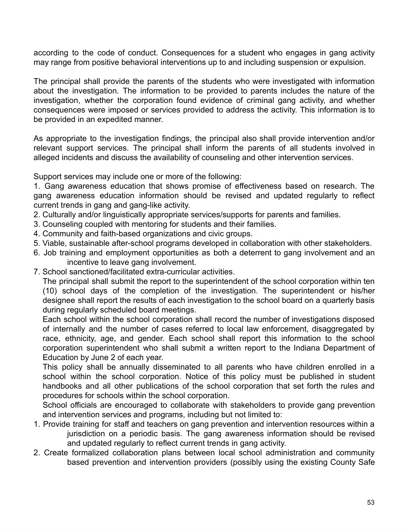according to the code of conduct. Consequences for a student who engages in gang activity may range from positive behavioral interventions up to and including suspension or expulsion.

The principal shall provide the parents of the students who were investigated with information about the investigation. The information to be provided to parents includes the nature of the investigation, whether the corporation found evidence of criminal gang activity, and whether consequences were imposed or services provided to address the activity. This information is to be provided in an expedited manner.

As appropriate to the investigation findings, the principal also shall provide intervention and/or relevant support services. The principal shall inform the parents of all students involved in alleged incidents and discuss the availability of counseling and other intervention services.

Support services may include one or more of the following:

1. Gang awareness education that shows promise of effectiveness based on research. The gang awareness education information should be revised and updated regularly to reflect current trends in gang and gang-like activity.

- 2. Culturally and/or linguistically appropriate services/supports for parents and families.
- 3. Counseling coupled with mentoring for students and their families.
- 4. Community and faith-based organizations and civic groups.
- 5. Viable, sustainable after-school programs developed in collaboration with other stakeholders.
- 6. Job training and employment opportunities as both a deterrent to gang involvement and an incentive to leave gang involvement.
- 7. School sanctioned/facilitated extra-curricular activities.

The principal shall submit the report to the superintendent of the school corporation within ten (10) school days of the completion of the investigation. The superintendent or his/her designee shall report the results of each investigation to the school board on a quarterly basis during regularly scheduled board meetings.

Each school within the school corporation shall record the number of investigations disposed of internally and the number of cases referred to local law enforcement, disaggregated by race, ethnicity, age, and gender. Each school shall report this information to the school corporation superintendent who shall submit a written report to the Indiana Department of Education by June 2 of each year.

This policy shall be annually disseminated to all parents who have children enrolled in a school within the school corporation. Notice of this policy must be published in student handbooks and all other publications of the school corporation that set forth the rules and procedures for schools within the school corporation.

School officials are encouraged to collaborate with stakeholders to provide gang prevention and intervention services and programs, including but not limited to:

- 1. Provide training for staff and teachers on gang prevention and intervention resources within a jurisdiction on a periodic basis. The gang awareness information should be revised and updated regularly to reflect current trends in gang activity.
- 2. Create formalized collaboration plans between local school administration and community based prevention and intervention providers (possibly using the existing County Safe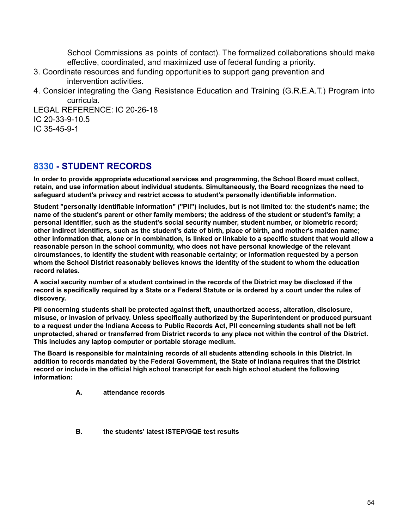School Commissions as points of contact). The formalized collaborations should make effective, coordinated, and maximized use of federal funding a priority.

- 3. Coordinate resources and funding opportunities to support gang prevention and intervention activities.
- 4. Consider integrating the Gang Resistance Education and Training (G.R.E.A.T.) Program into curricula.

LEGAL REFERENCE: IC 20-26-18 IC 20-33-9-10.5 IC 35-45-9-1

### **[8330](http://www.neola.com/martinsville-in/search/ag/ag8330.htm) - STUDENT RECORDS**

**In order to provide appropriate educational services and programming, the School Board must collect, retain, and use information about individual students. Simultaneously, the Board recognizes the need to safeguard student's privacy and restrict access to student's personally identifiable information.**

**Student "personally identifiable information" ("PII") includes, but is not limited to: the student's name; the** name of the student's parent or other family members; the address of the student or student's family; a **personal identifier, such as the student's social security number, student number, or biometric record;** other indirect identifiers, such as the student's date of birth, place of birth, and mother's maiden name; other information that, alone or in combination, is linked or linkable to a specific student that would allow a **reasonable person in the school community, who does not have personal knowledge of the relevant circumstances, to identify the student with reasonable certainty; or information requested by a person whom the School District reasonably believes knows the identity of the student to whom the education record relates.**

A social security number of a student contained in the records of the District may be disclosed if the record is specifically required by a State or a Federal Statute or is ordered by a court under the rules of **discovery.**

**PII concerning students shall be protected against theft, unauthorized access, alteration, disclosure, misuse, or invasion of privacy. Unless specifically authorized by the Superintendent or produced pursuant** to a request under the Indiana Access to Public Records Act, PII concerning students shall not be left unprotected, shared or transferred from District records to any place not within the control of the District. **This includes any laptop computer or portable storage medium.**

**The Board is responsible for maintaining records of all students attending schools in this District. In addition to records mandated by the Federal Government, the State of Indiana requires that the District record or include in the official high school transcript for each high school student the following information:**

- **A. attendance records**
- **B. the students' latest ISTEP/GQE test results**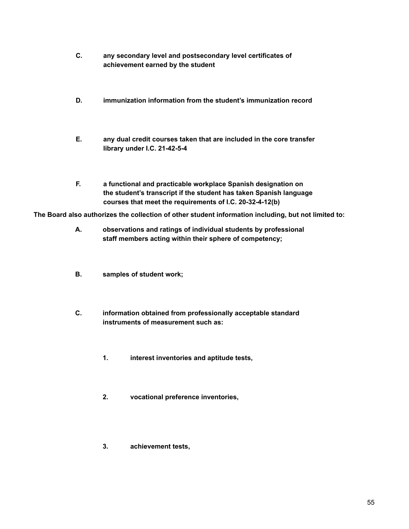- **C. any secondary level and postsecondary level certificates of achievement earned by the student**
- **D. immunization information from the student's immunization record**
- **E. any dual credit courses taken that are included in the core transfer library under I.C. 21-42-5-4**
- **F. a functional and practicable workplace Spanish designation on the student's transcript if the student has taken Spanish language courses that meet the requirements of I.C. 20-32-4-12(b)**

**The Board also authorizes the collection of other student information including, but not limited to:**

- **A. observations and ratings of individual students by professional staff members acting within their sphere of competency;**
- **B. samples of student work;**
- **C. information obtained from professionally acceptable standard instruments of measurement such as:**
	- **1. interest inventories and aptitude tests,**
	- **2. vocational preference inventories,**
	- **3. achievement tests,**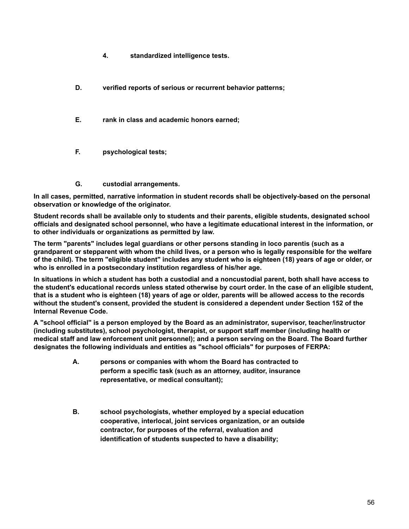- **4. standardized intelligence tests.**
- **D. verified reports of serious or recurrent behavior patterns;**
- **E. rank in class and academic honors earned;**
- **F. psychological tests;**
- **G. custodial arrangements.**

**In all cases, permitted, narrative information in student records shall be objectively-based on the personal observation or knowledge of the originator.**

**Student records shall be available only to students and their parents, eligible students, designated school officials and designated school personnel, who have a legitimate educational interest in the information, or to other individuals or organizations as permitted by law.**

**The term "parents" includes legal guardians or other persons standing in loco parentis (such as a** grandparent or stepparent with whom the child lives, or a person who is legally responsible for the welfare of the child). The term "eligible student" includes any student who is eighteen (18) years of age or older, or **who is enrolled in a postsecondary institution regardless of his/her age.**

In situations in which a student has both a custodial and a noncustodial parent, both shall have access to the student's educational records unless stated otherwise by court order. In the case of an eligible student, that is a student who is eighteen (18) years of age or older, parents will be allowed access to the records **without the student's consent, provided the student is considered a dependent under Section 152 of the Internal Revenue Code.**

**A "school official" is a person employed by the Board as an administrator, supervisor, teacher/instructor (including substitutes), school psychologist, therapist, or support staff member (including health or medical staff and law enforcement unit personnel); and a person serving on the Board. The Board further designates the following individuals and entities as "school officials" for purposes of FERPA:**

- **A. persons or companies with whom the Board has contracted to perform a specific task (such as an attorney, auditor, insurance representative, or medical consultant);**
- **B. school psychologists, whether employed by a special education cooperative, interlocal, joint services organization, or an outside contractor, for purposes of the referral, evaluation and identification of students suspected to have a disability;**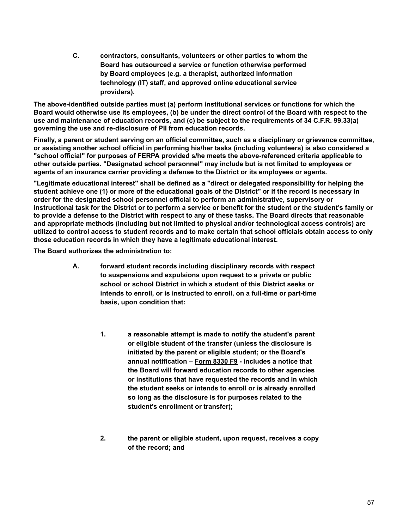**C. contractors, consultants, volunteers or other parties to whom the Board has outsourced a service or function otherwise performed by Board employees (e.g. a therapist, authorized information technology (IT) staff, and approved online educational service providers).**

**The above-identified outside parties must (a) perform institutional services or functions for which the** Board would otherwise use its employees, (b) be under the direct control of the Board with respect to the **use and maintenance of education records, and (c) be subject to the requirements of 34 C.F.R. 99.33(a) governing the use and re-disclosure of PII from education records.**

Finally, a parent or student serving on an official committee, such as a disciplinary or grievance committee, **or assisting another school official in performing his/her tasks (including volunteers) is also considered a "school official" for purposes of FERPA provided s/he meets the above-referenced criteria applicable to other outside parties. "Designated school personnel" may include but is not limited to employees or agents of an insurance carrier providing a defense to the District or its employees or agents.**

**"Legitimate educational interest" shall be defined as a "direct or delegated responsibility for helping the** student achieve one (1) or more of the educational goals of the District" or if the record is necessary in **order for the designated school personnel official to perform an administrative, supervisory or** instructional task for the District or to perform a service or benefit for the student or the student's family or to provide a defense to the District with respect to any of these tasks. The Board directs that reasonable **and appropriate methods (including but not limited to physical and/or technological access controls) are** utilized to control access to student records and to make certain that school officials obtain access to only **those education records in which they have a legitimate educational interest.**

**The Board authorizes the administration to:**

- **A. forward student records including disciplinary records with respect to suspensions and expulsions upon request to a private or public school or school District in which a student of this District seeks or intends to enroll, or is instructed to enroll, on a full-time or part-time basis, upon condition that:**
	- **1. a reasonable attempt is made to notify the student's parent or eligible student of the transfer (unless the disclosure is initiated by the parent or eligible student; or the Board's annual notification – [Form](http://www.neola.com/martinsville-in/search/forms/fm8330F9.pdf) 8330 F9 - includes a notice that the Board will forward education records to other agencies or institutions that have requested the records and in which the student seeks or intends to enroll or is already enrolled so long as the disclosure is for purposes related to the student's enrollment or transfer);**
	- **2. the parent or eligible student, upon request, receives a copy of the record; and**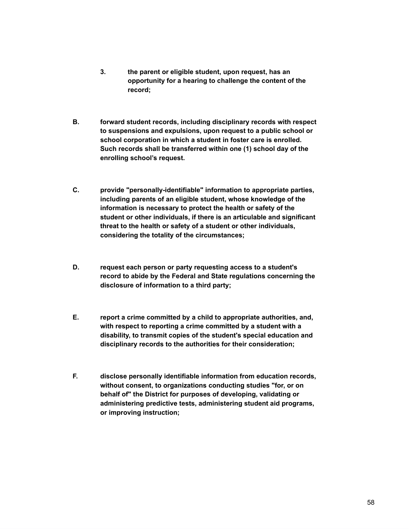- **3. the parent or eligible student, upon request, has an opportunity for a hearing to challenge the content of the record;**
- **B. forward student records, including disciplinary records with respect to suspensions and expulsions, upon request to a public school or school corporation in which a student in foster care is enrolled. Such records shall be transferred within one (1) school day of the enrolling school's request.**
- **C. provide "personally-identifiable" information to appropriate parties, including parents of an eligible student, whose knowledge of the information is necessary to protect the health or safety of the student or other individuals, if there is an articulable and significant threat to the health or safety of a student or other individuals, considering the totality of the circumstances;**
- **D. request each person or party requesting access to a student's record to abide by the Federal and State regulations concerning the disclosure of information to a third party;**
- **E. report a crime committed by a child to appropriate authorities, and, with respect to reporting a crime committed by a student with a disability, to transmit copies of the student's special education and disciplinary records to the authorities for their consideration;**
- **F. disclose personally identifiable information from education records, without consent, to organizations conducting studies "for, or on behalf of" the District for purposes of developing, validating or administering predictive tests, administering student aid programs, or improving instruction;**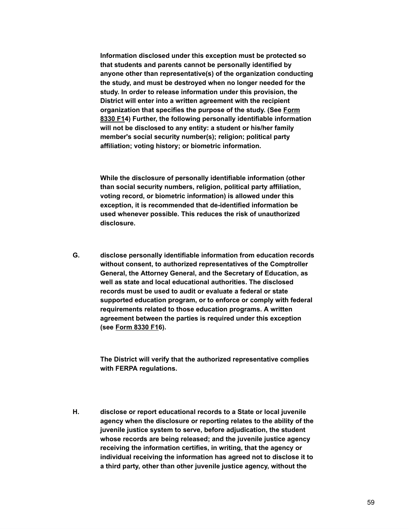**Information disclosed under this exception must be protected so that students and parents cannot be personally identified by anyone other than representative(s) of the organization conducting the study, and must be destroyed when no longer needed for the study. In order to release information under this provision, the District will enter into a written agreement with the recipient organization that specifies the purpose of the study. (See [Form](http://www.neola.com/martinsville-in/search/forms/fm8330F1.pdf) [8330](http://www.neola.com/martinsville-in/search/forms/fm8330F1.pdf) F14) Further, the following personally identifiable information will not be disclosed to any entity: a student or his/her family member's social security number(s); religion; political party affiliation; voting history; or biometric information.**

**While the disclosure of personally identifiable information (other than social security numbers, religion, political party affiliation, voting record, or biometric information) is allowed under this exception, it is recommended that de-identified information be used whenever possible. This reduces the risk of unauthorized disclosure.**

**G. disclose personally identifiable information from education records without consent, to authorized representatives of the Comptroller General, the Attorney General, and the Secretary of Education, as well as state and local educational authorities. The disclosed records must be used to audit or evaluate a federal or state supported education program, or to enforce or comply with federal requirements related to those education programs. A written agreement between the parties is required under this exception (see [Form](http://www.neola.com/martinsville-in/search/forms/fm8330F1.pdf) 8330 F16).**

> **The District will verify that the authorized representative complies with FERPA regulations.**

**H. disclose or report educational records to a State or local juvenile agency when the disclosure or reporting relates to the ability of the juvenile justice system to serve, before adjudication, the student whose records are being released; and the juvenile justice agency receiving the information certifies, in writing, that the agency or individual receiving the information has agreed not to disclose it to a third party, other than other juvenile justice agency, without the**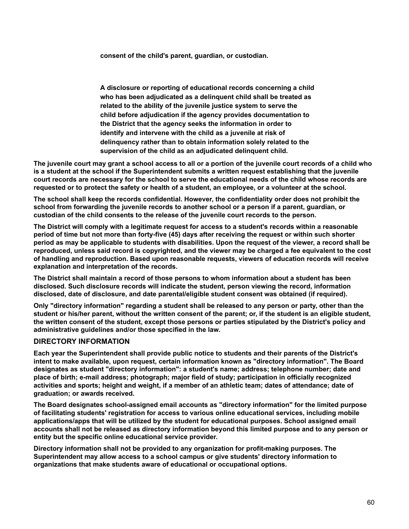**consent of the child's parent, guardian, or custodian.**

**A disclosure or reporting of educational records concerning a child who has been adjudicated as a delinquent child shall be treated as related to the ability of the juvenile justice system to serve the child before adjudication if the agency provides documentation to the District that the agency seeks the information in order to identify and intervene with the child as a juvenile at risk of delinquency rather than to obtain information solely related to the supervision of the child as an adjudicated delinquent child.**

The juvenile court may grant a school access to all or a portion of the juvenile court records of a child who **is a student at the school if the Superintendent submits a written request establishing that the juvenile** court records are necessary for the school to serve the educational needs of the child whose records are requested or to protect the safety or health of a student, an employee, or a volunteer at the school.

**The school shall keep the records confidential. However, the confidentiality order does not prohibit the school from forwarding the juvenile records to another school or a person if a parent, guardian, or custodian of the child consents to the release of the juvenile court records to the person.**

**The District will comply with a legitimate request for access to a student's records within a reasonable** period of time but not more than forty-five (45) days after receiving the request or within such shorter period as may be applicable to students with disabilities. Upon the request of the viewer, a record shall be reproduced, unless said record is copyrighted, and the viewer may be charged a fee equivalent to the cost **of handling and reproduction. Based upon reasonable requests, viewers of education records will receive explanation and interpretation of the records.**

**The District shall maintain a record of those persons to whom information about a student has been disclosed. Such disclosure records will indicate the student, person viewing the record, information disclosed, date of disclosure, and date parental/eligible student consent was obtained (if required).**

**Only "directory information" regarding a student shall be released to any person or party, other than the** student or his/her parent, without the written consent of the parent; or, if the student is an eligible student, the written consent of the student, except those persons or parties stipulated by the District's policy and **administrative guidelines and/or those specified in the law.**

#### **DIRECTORY INFORMATION**

**Each year the Superintendent shall provide public notice to students and their parents of the District's intent to make available, upon request, certain information known as "directory information". The Board designates as student "directory information": a student's name; address; telephone number; date and place of birth; e-mail address; photograph; major field of study; participation in officially recognized** activities and sports; height and weight, if a member of an athletic team; dates of attendance; date of **graduation; or awards received.**

**The Board designates school-assigned email accounts as "directory information" for the limited purpose of facilitating students' registration for access to various online educational services, including mobile applications/apps that will be utilized by the student for educational purposes. School assigned email accounts shall not be released as directory information beyond this limited purpose and to any person or entity but the specific online educational service provider.**

**Directory information shall not be provided to any organization for profit-making purposes. The Superintendent may allow access to a school campus or give students' directory information to organizations that make students aware of educational or occupational options.**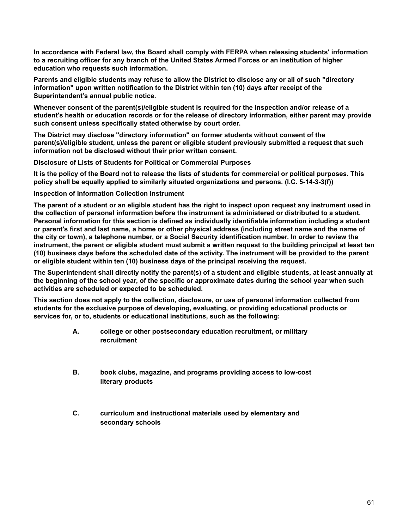**In accordance with Federal law, the Board shall comply with FERPA when releasing students' information** to a recruiting officer for any branch of the United States Armed Forces or an institution of higher **education who requests such information.**

Parents and eligible students may refuse to allow the District to disclose any or all of such "directory **information" upon written notification to the District within ten (10) days after receipt of the Superintendent's annual public notice.**

**Whenever consent of the parent(s)/eligible student is required for the inspection and/or release of a student's health or education records or for the release of directory information, either parent may provide such consent unless specifically stated otherwise by court order.**

**The District may disclose "directory information" on former students without consent of the parent(s)/eligible student, unless the parent or eligible student previously submitted a request that such information not be disclosed without their prior written consent.**

**Disclosure of Lists of Students for Political or Commercial Purposes**

It is the policy of the Board not to release the lists of students for commercial or political purposes. This **policy shall be equally applied to similarly situated organizations and persons. (I.C. 5-14-3-3(f))**

**Inspection of Information Collection Instrument**

The parent of a student or an eligible student has the right to inspect upon request any instrument used in **the collection of personal information before the instrument is administered or distributed to a student. Personal information for this section is defined as individually identifiable information including a student** or parent's first and last name, a home or other physical address (including street name and the name of the city or town), a telephone number, or a Social Security identification number. In order to review the instrument, the parent or eligible student must submit a written request to the building principal at least ten (10) business days before the scheduled date of the activity. The instrument will be provided to the parent **or eligible student within ten (10) business days of the principal receiving the request.**

The Superintendent shall directly notify the parent(s) of a student and eligible students, at least annually at the beginning of the school year, of the specific or approximate dates during the school year when such **activities are scheduled or expected to be scheduled.**

**This section does not apply to the collection, disclosure, or use of personal information collected from students for the exclusive purpose of developing, evaluating, or providing educational products or services for, or to, students or educational institutions, such as the following:**

- **A. college or other postsecondary education recruitment, or military recruitment**
- **B. book clubs, magazine, and programs providing access to low-cost literary products**
- **C. curriculum and instructional materials used by elementary and secondary schools**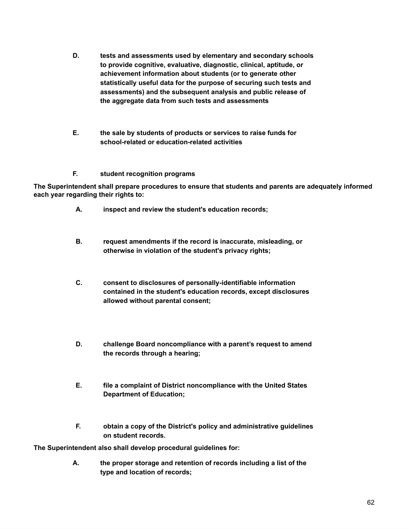- **D. tests and assessments used by elementary and secondary schools to provide cognitive, evaluative, diagnostic, clinical, aptitude, or achievement information about students (or to generate other statistically useful data for the purpose of securing such tests and assessments) and the subsequent analysis and public release of the aggregate data from such tests and assessments**
- **E. the sale by students of products or services to raise funds for school-related or education-related activities**

#### **F. student recognition programs**

**The Superintendent shall prepare procedures to ensure that students and parents are adequately informed each year regarding their rights to:**

- **A. inspect and review the student's education records;**
- **B. request amendments if the record is inaccurate, misleading, or otherwise in violation of the student's privacy rights;**
- **C. consent to disclosures of personally-identifiable information contained in the student's education records, except disclosures allowed without parental consent;**
- **D. challenge Board noncompliance with a parent's request to amend the records through a hearing;**
- **E. file a complaint of District noncompliance with the United States Department of Education;**
- **F. obtain a copy of the District's policy and administrative guidelines on student records.**

**The Superintendent also shall develop procedural guidelines for:**

**A. the proper storage and retention of records including a list of the type and location of records;**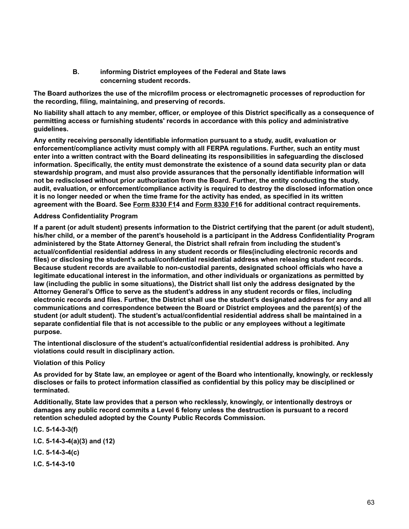**B. informing District employees of the Federal and State laws concerning student records.**

**The Board authorizes the use of the microfilm process or electromagnetic processes of reproduction for the recording, filing, maintaining, and preserving of records.**

No liability shall attach to any member, officer, or employee of this District specifically as a consequence of **permitting access or furnishing students' records in accordance with this policy and administrative guidelines.**

**Any entity receiving personally identifiable information pursuant to a study, audit, evaluation or enforcement/compliance activity must comply with all FERPA regulations. Further, such an entity must enter into a written contract with the Board delineating its responsibilities in safeguarding the disclosed information. Specifically, the entity must demonstrate the existence of a sound data security plan or data stewardship program, and must also provide assurances that the personally identifiable information will not be redisclosed without prior authorization from the Board. Further, the entity conducting the study, audit, evaluation, or enforcement/compliance activity is required to destroy the disclosed information once** it is no longer needed or when the time frame for the activity has ended, as specified in its written **agreement with the Board. See [Form](http://www.neola.com/martinsville-in/search/forms/fm8330F1.pdf) 8330 F14 and [Form](http://www.neola.com/martinsville-in/search/forms/fm8330F1.pdf) 8330 F16 for additional contract requirements.**

#### **Address Confidentiality Program**

If a parent (or adult student) presents information to the District certifying that the parent (or adult student), his/her child, or a member of the parent's household is a participant in the Address Confidentiality Program **administered by the State Attorney General, the District shall refrain from including the student's actual/confidential residential address in any student records or files(including electronic records and files) or disclosing the student's actual/confidential residential address when releasing student records. Because student records are available to non-custodial parents, designated school officials who have a legitimate educational interest in the information, and other individuals or organizations as permitted by law (including the public in some situations), the District shall list only the address designated by the Attorney General's Office to serve as the student's address in any student records or files, including** electronic records and files. Further, the District shall use the student's designated address for any and all **communications and correspondence between the Board or District employees and the parent(s) of the student (or adult student). The student's actual/confidential residential address shall be maintained in a separate confidential file that is not accessible to the public or any employees without a legitimate purpose.**

**The intentional disclosure of the student's actual/confidential residential address is prohibited. Any violations could result in disciplinary action.**

#### **Violation of this Policy**

As provided for by State law, an employee or agent of the Board who intentionally, knowingly, or recklessly **discloses or fails to protect information classified as confidential by this policy may be disciplined or terminated.**

**Additionally, State law provides that a person who recklessly, knowingly, or intentionally destroys or damages any public record commits a Level 6 felony unless the destruction is pursuant to a record retention scheduled adopted by the County Public Records Commission.**

**I.C. 5-14-3-3(f) I.C. 5-14-3-4(a)(3) and (12) I.C. 5-14-3-4(c) I.C. 5-14-3-10**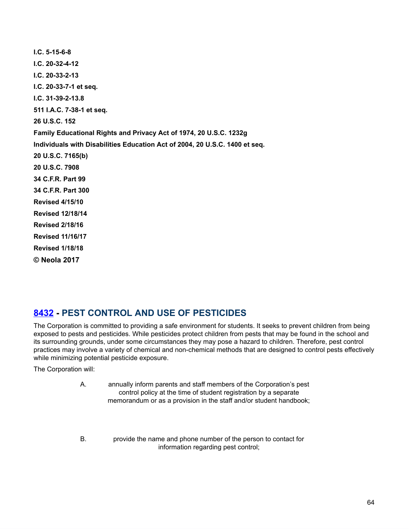| $I.C. 5-15-6-8$                                                             |
|-----------------------------------------------------------------------------|
| $IC. 20-32-4-12$                                                            |
| $1.C. 20-33-2-13$                                                           |
| I.C. 20-33-7-1 et seq.                                                      |
| $1.C. 31-39-2-13.8$                                                         |
| 511 I.A.C. 7-38-1 et seq.                                                   |
| 26 U.S.C. 152                                                               |
| Family Educational Rights and Privacy Act of 1974, 20 U.S.C. 1232g          |
| Individuals with Disabilities Education Act of 2004, 20 U.S.C. 1400 et seq. |
| 20 U.S.C. 7165(b)                                                           |
| 20 U.S.C. 7908                                                              |
| 34 C.F.R. Part 99                                                           |
| 34 C.F.R. Part 300                                                          |
| <b>Revised 4/15/10</b>                                                      |
| <b>Revised 12/18/14</b>                                                     |
| <b>Revised 2/18/16</b>                                                      |
| <b>Revised 11/16/17</b>                                                     |
| <b>Revised 1/18/18</b>                                                      |
| © Neola 2017                                                                |

## **[8432](http://www.neola.com/martinsville-in/search/ag/ag8432.htm) - PEST CONTROL AND USE OF PESTICIDES**

The Corporation is committed to providing a safe environment for students. It seeks to prevent children from being exposed to pests and pesticides. While pesticides protect children from pests that may be found in the school and its surrounding grounds, under some circumstances they may pose a hazard to children. Therefore, pest control practices may involve a variety of chemical and non-chemical methods that are designed to control pests effectively while minimizing potential pesticide exposure.

The Corporation will:

- A. annually inform parents and staff members of the Corporation's pest control policy at the time of student registration by a separate memorandum or as a provision in the staff and/or student handbook;
- B. provide the name and phone number of the person to contact for information regarding pest control;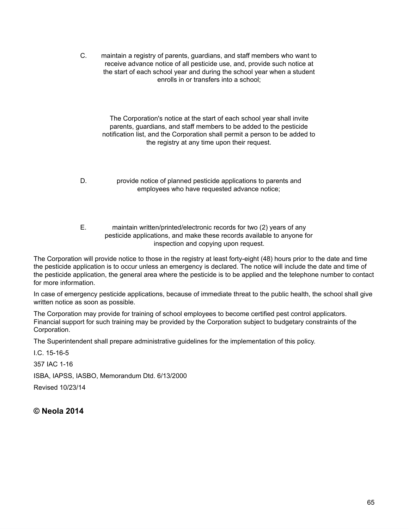C. maintain a registry of parents, guardians, and staff members who want to receive advance notice of all pesticide use, and, provide such notice at the start of each school year and during the school year when a student enrolls in or transfers into a school;

The Corporation's notice at the start of each school year shall invite parents, guardians, and staff members to be added to the pesticide notification list, and the Corporation shall permit a person to be added to the registry at any time upon their request.

- D. provide notice of planned pesticide applications to parents and employees who have requested advance notice;
- E. maintain written/printed/electronic records for two (2) years of any pesticide applications, and make these records available to anyone for inspection and copying upon request.

The Corporation will provide notice to those in the registry at least forty-eight (48) hours prior to the date and time the pesticide application is to occur unless an emergency is declared. The notice will include the date and time of the pesticide application, the general area where the pesticide is to be applied and the telephone number to contact for more information.

In case of emergency pesticide applications, because of immediate threat to the public health, the school shall give written notice as soon as possible.

The Corporation may provide for training of school employees to become certified pest control applicators. Financial support for such training may be provided by the Corporation subject to budgetary constraints of the Corporation.

The Superintendent shall prepare administrative guidelines for the implementation of this policy.

I.C. 15-16-5 357 IAC 1-16 ISBA, IAPSS, IASBO, Memorandum Dtd. 6/13/2000 Revised 10/23/14

**© Neola 2014**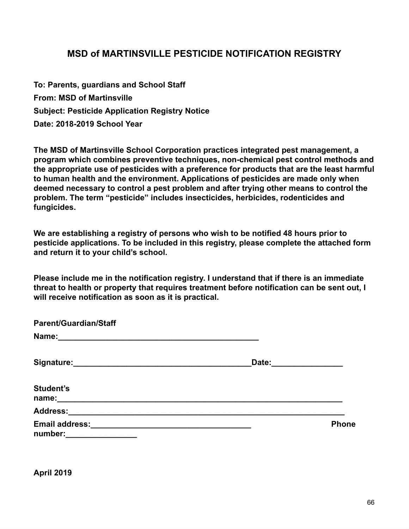## **MSD of MARTINSVILLE PESTICIDE NOTIFICATION REGISTRY**

**To: Parents, guardians and School Staff From: MSD of Martinsville Subject: Pesticide Application Registry Notice Date: 2018-2019 School Year** 

**The MSD of Martinsville School Corporation practices integrated pest management, a program which combines preventive techniques, non-chemical pest control methods and the appropriate use of pesticides with a preference for products that are the least harmful to human health and the environment. Applications of pesticides are made only when deemed necessary to control a pest problem and after trying other means to control the problem. The term "pesticide" includes insecticides, herbicides, rodenticides and fungicides.** 

**We are establishing a registry of persons who wish to be notified 48 hours prior to pesticide applications. To be included in this registry, please complete the attached form and return it to your child's school.** 

**Please include me in the notification registry. I understand that if there is an immediate threat to health or property that requires treatment before notification can be sent out, I will receive notification as soon as it is practical.** 

| <b>Parent/Guardian/Staff</b>     |                                                            |              |
|----------------------------------|------------------------------------------------------------|--------------|
|                                  |                                                            |              |
| Signature:                       | Date:                                                      |              |
| <b>Student's</b><br>name:        |                                                            |              |
|                                  |                                                            |              |
| <b>Email address:</b><br>number: | <u> 1989 - Johann Stein, mars an de Brazilia (b. 1989)</u> | <b>Phone</b> |

**April 2019**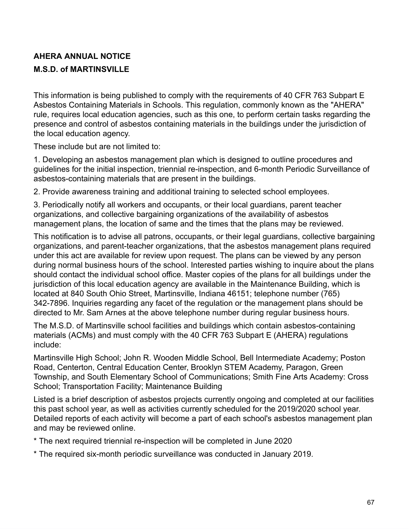# **AHERA ANNUAL NOTICE M.S.D. of MARTINSVILLE**

This information is being published to comply with the requirements of 40 CFR 763 Subpart E Asbestos Containing Materials in Schools. This regulation, commonly known as the "AHERA" rule, requires local education agencies, such as this one, to perform certain tasks regarding the presence and control of asbestos containing materials in the buildings under the jurisdiction of the local education agency.

These include but are not limited to:

1. Developing an asbestos management plan which is designed to outline procedures and guidelines for the initial inspection, triennial re-inspection, and 6-month Periodic Surveillance of asbestos-containing materials that are present in the buildings.

2. Provide awareness training and additional training to selected school employees.

3. Periodically notify all workers and occupants, or their local guardians, parent teacher organizations, and collective bargaining organizations of the availability of asbestos management plans, the location of same and the times that the plans may be reviewed.

This notification is to advise all patrons, occupants, or their legal guardians, collective bargaining organizations, and parent-teacher organizations, that the asbestos management plans required under this act are available for review upon request. The plans can be viewed by any person during normal business hours of the school. Interested parties wishing to inquire about the plans should contact the individual school office. Master copies of the plans for all buildings under the jurisdiction of this local education agency are available in the Maintenance Building, which is located at 840 South Ohio Street, Martinsville, Indiana 46151; telephone number (765) 342-7896. Inquiries regarding any facet of the regulation or the management plans should be directed to Mr. Sam Arnes at the above telephone number during regular business hours.

The M.S.D. of Martinsville school facilities and buildings which contain asbestos-containing materials (ACMs) and must comply with the 40 CFR 763 Subpart E (AHERA) regulations include:

Martinsville High School; John R. Wooden Middle School, Bell Intermediate Academy; Poston Road, Centerton, Central Education Center, Brooklyn STEM Academy, Paragon, Green Township, and South Elementary School of Communications; Smith Fine Arts Academy: Cross School; Transportation Facility; Maintenance Building

Listed is a brief description of asbestos projects currently ongoing and completed at our facilities this past school year, as well as activities currently scheduled for the 2019/2020 school year. Detailed reports of each activity will become a part of each school's asbestos management plan and may be reviewed online.

\* The next required triennial re-inspection will be completed in June 2020

\* The required six-month periodic surveillance was conducted in January 2019.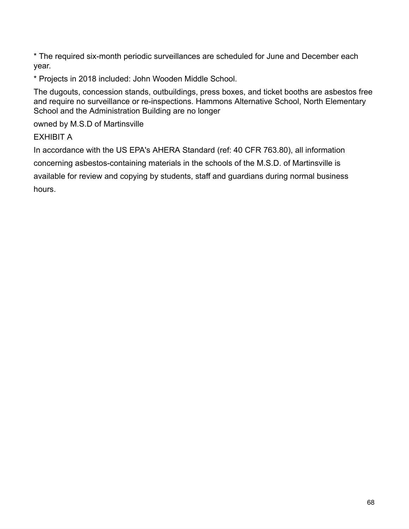\* The required six-month periodic surveillances are scheduled for June and December each year.

\* Projects in 2018 included: John Wooden Middle School.

The dugouts, concession stands, outbuildings, press boxes, and ticket booths are asbestos free and require no surveillance or re-inspections. Hammons Alternative School, North Elementary School and the Administration Building are no longer

owned by M.S.D of Martinsville

EXHIBIT A

In accordance with the US EPA's AHERA Standard (ref: 40 CFR 763.80), all information concerning asbestos-containing materials in the schools of the M.S.D. of Martinsville is available for review and copying by students, staff and guardians during normal business hours.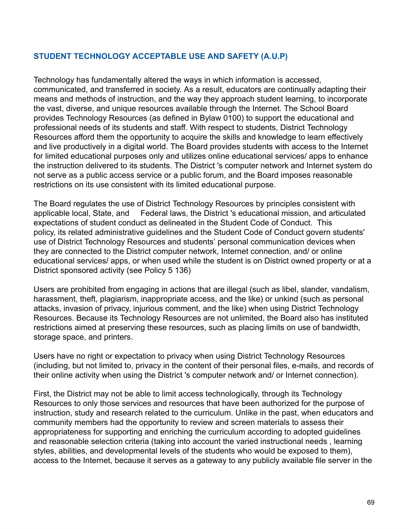#### **STUDENT TECHNOLOGY ACCEPTABLE USE AND SAFETY (A.U.P)**

Technology has fundamentally altered the ways in which information is accessed, communicated, and transferred in society. As a result, educators are continually adapting their means and methods of instruction, and the way they approach student learning, to incorporate the vast, diverse, and unique resources available through the Internet. The School Board provides Technology Resources (as defined in Bylaw 0100) to support the educational and professional needs of its students and staff. With respect to students, District Technology Resources afford them the opportunity to acquire the skills and knowledge to learn effectively and live productively in a digital world. The Board provides students with access to the Internet for limited educational purposes only and utilizes online educational services/ apps to enhance the instruction delivered to its students. The District 's computer network and Internet system do not serve as a public access service or a public forum, and the Board imposes reasonable restrictions on its use consistent with its limited educational purpose.

The Board regulates the use of District Technology Resources by principles consistent with applicable local, State, and Federal laws, the District 's educational mission, and articulated expectations of student conduct as delineated in the Student Code of Conduct. This policy, its related administrative guidelines and the Student Code of Conduct govern students' use of District Technology Resources and students' personal communication devices when they are connected to the District computer network, Internet connection, and/ or online educational services/ apps, or when used while the student is on District owned property or at a District sponsored activity (see Policy 5 136)

Users are prohibited from engaging in actions that are illegal (such as libel, slander, vandalism, harassment, theft, plagiarism, inappropriate access, and the like) or unkind (such as personal attacks, invasion of privacy, injurious comment, and the like) when using District Technology Resources. Because its Technology Resources are not unlimited, the Board also has instituted restrictions aimed at preserving these resources, such as placing limits on use of bandwidth, storage space, and printers.

Users have no right or expectation to privacy when using District Technology Resources (including, but not limited to, privacy in the content of their personal files, e-mails, and records of their online activity when using the District 's computer network and/ or Internet connection).

First, the District may not be able to limit access technologically, through its Technology Resources to only those services and resources that have been authorized for the purpose of instruction, study and research related to the curriculum. Unlike in the past, when educators and community members had the opportunity to review and screen materials to assess their appropriateness for supporting and enriching the curriculum according to adopted guidelines and reasonable selection criteria (taking into account the varied instructional needs , learning styles, abilities, and developmental levels of the students who would be exposed to them), access to the Internet, because it serves as a gateway to any publicly available file server in the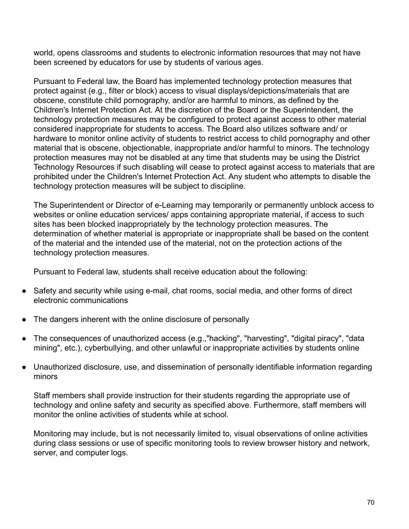world, opens classrooms and students to electronic information resources that may not have been screened by educators for use by students of various ages.

Pursuant to Federal law, the Board has implemented technology protection measures that protect against (e.g., filter or block) access to visual displays/depictions/materials that are obscene, constitute child pornography, and/or are harmful to minors, as defined by the Children's Internet Protection Act. At the discretion of the Board or the Superintendent, the technology protection measures may be configured to protect against access to other material considered inappropriate for students to access. The Board also utilizes software and/ or hardware to monitor online activity of students to restrict access to child pornography and other material that is obscene, objectionable, inappropriate and/or harmful to minors. The technology protection measures may not be disabled at any time that students may be using the District Technology Resources if such disabling will cease to protect against access to materials that are prohibited under the Children's Internet Protection Act. Any student who attempts to disable the technology protection measures will be subject to discipline.

The Superintendent or Director of e-Learning may temporarily or permanently unblock access to websites or online education services/ apps containing appropriate material, if access to such sites has been blocked inappropriately by the technology protection measures. The determination of whether material is appropriate or inappropriate shall be based on the content of the material and the intended use of the material, not on the protection actions of the technology protection measures.

Pursuant to Federal law, students shall receive education about the following:

- Safety and security while using e-mail, chat rooms, social media, and other forms of direct electronic communications
- The dangers inherent with the online disclosure of personally
- The consequences of unauthorized access (e.g.,"hacking", "harvesting", "digital piracy", "data mining", etc.), cyberbullying, and other unlawful or inappropriate activities by students online
- Unauthorized disclosure, use, and dissemination of personally identifiable information regarding minors

Staff members shall provide instruction for their students regarding the appropriate use of technology and online safety and security as specified above. Furthermore, staff members will monitor the online activities of students while at school.

Monitoring may include, but is not necessarily limited to, visual observations of online activities during class sessions or use of specific monitoring tools to review browser history and network, server, and computer logs.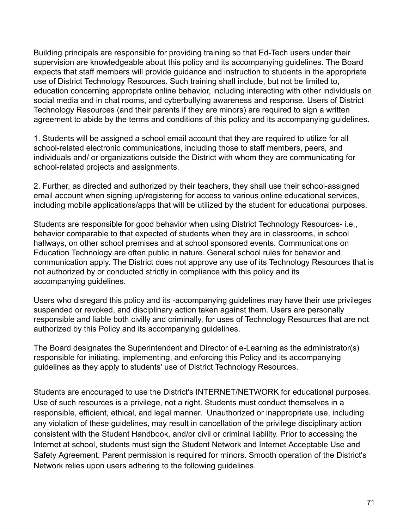Building principals are responsible for providing training so that Ed-Tech users under their supervision are knowledgeable about this policy and its accompanying guidelines. The Board expects that staff members will provide guidance and instruction to students in the appropriate use of District Technology Resources. Such training shall include, but not be limited to, education concerning appropriate online behavior, including interacting with other individuals on social media and in chat rooms, and cyberbullying awareness and response. Users of District Technology Resources (and their parents if they are minors) are required to sign a written agreement to abide by the terms and conditions of this policy and its accompanying guidelines.

1. Students will be assigned a school email account that they are required to utilize for all school-related electronic communications, including those to staff members, peers, and individuals and/ or organizations outside the District with whom they are communicating for school-related projects and assignments.

2. Further, as directed and authorized by their teachers, they shall use their school-assigned email account when signing up/registering for access to various online educational services, including mobile applications/apps that will be utilized by the student for educational purposes.

Students are responsible for good behavior when using District Technology Resources- i.e., behavior comparable to that expected of students when they are in classrooms, in school hallways, on other school premises and at school sponsored events. Communications on Education Technology are often public in nature. General school rules for behavior and communication apply. The District does not approve any use of its Technology Resources that is not authorized by or conducted strictly in compliance with this policy and its accompanying guidelines.

Users who disregard this policy and its -accompanying guidelines may have their use privileges suspended or revoked, and disciplinary action taken against them. Users are personally responsible and liable both civilly and criminally, for uses of Technology Resources that are not authorized by this Policy and its accompanying guidelines.

The Board designates the Superintendent and Director of e-Learning as the administrator(s) responsible for initiating, implementing, and enforcing this Policy and its accompanying guidelines as they apply to students' use of District Technology Resources.

Students are encouraged to use the District's INTERNET/NETWORK for educational purposes. Use of such resources is a privilege, not a right. Students must conduct themselves in a responsible, efficient, ethical, and legal manner. Unauthorized or inappropriate use, including any violation of these guidelines, may result in cancellation of the privilege disciplinary action consistent with the Student Handbook, and/or civil or criminal liability. Prior to accessing the Internet at school, students must sign the Student Network and Internet Acceptable Use and Safety Agreement. Parent permission is required for minors. Smooth operation of the District's Network relies upon users adhering to the following guidelines.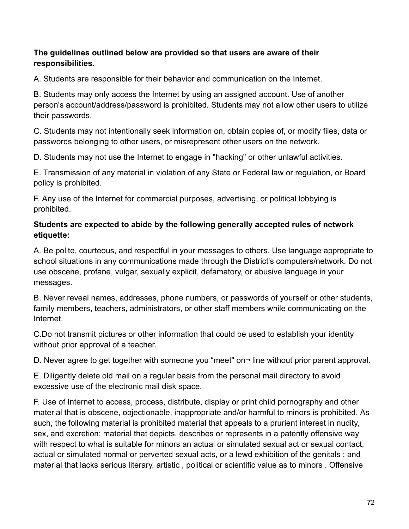### **The guidelines outlined below are provided so that users are aware of their responsibilities.**

A. Students are responsible for their behavior and communication on the Internet.

B. Students may only access the Internet by using an assigned account. Use of another person's account/address/password is prohibited. Students may not allow other users to utilize their passwords.

C. Students may not intentionally seek information on, obtain copies of, or modify files, data or passwords belonging to other users, or misrepresent other users on the network.

D. Students may not use the Internet to engage in "hacking" or other unlawful activities.

E. Transmission of any material in violation of any State or Federal law or regulation, or Board policy is prohibited.

F. Any use of the Internet for commercial purposes, advertising, or political lobbying is prohibited.

### **Students are expected to abide by the following generally accepted rules of network etiquette:**

A. Be polite, courteous, and respectful in your messages to others. Use language appropriate to school situations in any communications made through the District's computers/network. Do not use obscene, profane, vulgar, sexually explicit, defamatory, or abusive language in your messages.

B. Never reveal names, addresses, phone numbers, or passwords of yourself or other students, family members, teachers, administrators, or other staff members while communicating on the Internet.

C.Do not transmit pictures or other information that could be used to establish your identity without prior approval of a teacher.

D. Never agree to get together with someone you "meet" on line without prior parent approval.

E. Diligently delete old mail on a regular basis from the personal mail directory to avoid excessive use of the electronic mail disk space.

F. Use of Internet to access, process, distribute, display or print child pornography and other material that is obscene, objectionable, inappropriate and/or harmful to minors is prohibited. As such, the following material is prohibited material that appeals to a prurient interest in nudity, sex, and excretion; material that depicts, describes or represents in a patently offensive way with respect to what is suitable for minors an actual or simulated sexual act or sexual contact, actual or simulated normal or perverted sexual acts, or a lewd exhibition of the genitals ; and material that lacks serious literary, artistic , political or scientific value as to minors . Offensive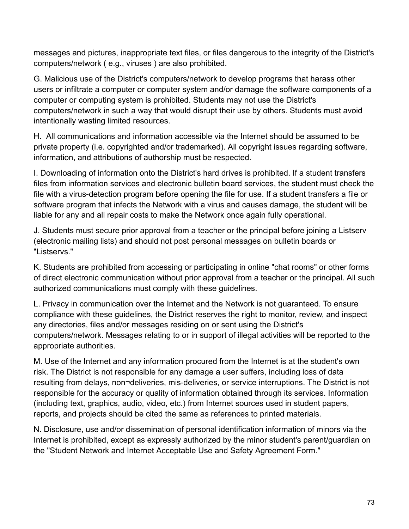messages and pictures, inappropriate text files, or files dangerous to the integrity of the District's computers/network ( e.g., viruses ) are also prohibited.

G. Malicious use of the District's computers/network to develop programs that harass other users or infiltrate a computer or computer system and/or damage the software components of a computer or computing system is prohibited. Students may not use the District's computers/network in such a way that would disrupt their use by others. Students must avoid intentionally wasting limited resources.

H. All communications and information accessible via the Internet should be assumed to be private property (i.e. copyrighted and/or trademarked). All copyright issues regarding software, information, and attributions of authorship must be respected.

I. Downloading of information onto the District's hard drives is prohibited. If a student transfers files from information services and electronic bulletin board services, the student must check the file with a virus-detection program before opening the file for use. If a student transfers a file or software program that infects the Network with a virus and causes damage, the student will be liable for any and all repair costs to make the Network once again fully operational.

J. Students must secure prior approval from a teacher or the principal before joining a Listserv (electronic mailing lists) and should not post personal messages on bulletin boards or "Listservs."

K. Students are prohibited from accessing or participating in online "chat rooms" or other forms of direct electronic communication without prior approval from a teacher or the principal. All such authorized communications must comply with these guidelines.

L. Privacy in communication over the Internet and the Network is not guaranteed. To ensure compliance with these guidelines, the District reserves the right to monitor, review, and inspect any directories, files and/or messages residing on or sent using the District's computers/network. Messages relating to or in support of illegal activities will be reported to the appropriate authorities.

M. Use of the Internet and any information procured from the Internet is at the student's own risk. The District is not responsible for any damage a user suffers, including loss of data resulting from delays, non¬deliveries, mis-deliveries, or service interruptions. The District is not responsible for the accuracy or quality of information obtained through its services. Information (including text, graphics, audio, video, etc.) from Internet sources used in student papers, reports, and projects should be cited the same as references to printed materials.

N. Disclosure, use and/or dissemination of personal identification information of minors via the Internet is prohibited, except as expressly authorized by the minor student's parent/guardian on the "Student Network and Internet Acceptable Use and Safety Agreement Form."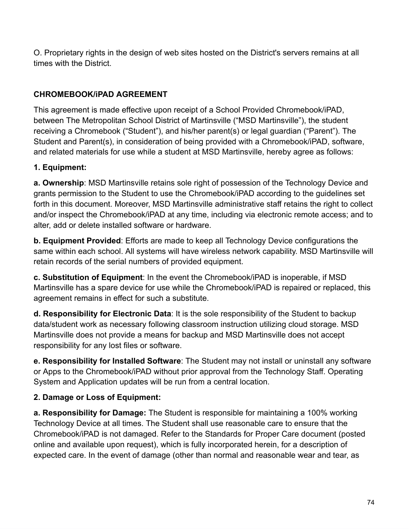O. Proprietary rights in the design of web sites hosted on the District's servers remains at all times with the District.

## **CHROMEBOOK/iPAD AGREEMENT**

This agreement is made effective upon receipt of a School Provided Chromebook/iPAD, between The Metropolitan School District of Martinsville ("MSD Martinsville"), the student receiving a Chromebook ("Student"), and his/her parent(s) or legal guardian ("Parent"). The Student and Parent(s), in consideration of being provided with a Chromebook/iPAD, software, and related materials for use while a student at MSD Martinsville, hereby agree as follows:

### **1. Equipment:**

**a. Ownership:** MSD Martinsville retains sole right of possession of the Technology Device and grants permission to the Student to use the Chromebook/iPAD according to the guidelines set forth in this document. Moreover, MSD Martinsville administrative staff retains the right to collect and/or inspect the Chromebook/iPAD at any time, including via electronic remote access; and to alter, add or delete installed software or hardware.

**b. Equipment Provided:** Efforts are made to keep all Technology Device configurations the same within each school. All systems will have wireless network capability. MSD Martinsville will retain records of the serial numbers of provided equipment.

**c. Substitution of Equipment** : In the event the Chromebook/iPAD is inoperable, if MSD Martinsville has a spare device for use while the Chromebook/iPAD is repaired or replaced, this agreement remains in effect for such a substitute.

**d. Responsibility for Electronic Data** : It is the sole responsibility of the Student to backup data/student work as necessary following classroom instruction utilizing cloud storage. MSD Martinsville does not provide a means for backup and MSD Martinsville does not accept responsibility for any lost files or software.

**e. Responsibility for Installed Software**: The Student may not install or uninstall any software or Apps to the Chromebook/iPAD without prior approval from the Technology Staff. Operating System and Application updates will be run from a central location.

### **2. Damage or Loss of Equipment:**

**a. Responsibility for Damage:** The Student is responsible for maintaining a 100% working Technology Device at all times. The Student shall use reasonable care to ensure that the Chromebook/iPAD is not damaged. Refer to the Standards for Proper Care document (posted online and available upon request), which is fully incorporated herein, for a description of expected care. In the event of damage (other than normal and reasonable wear and tear, as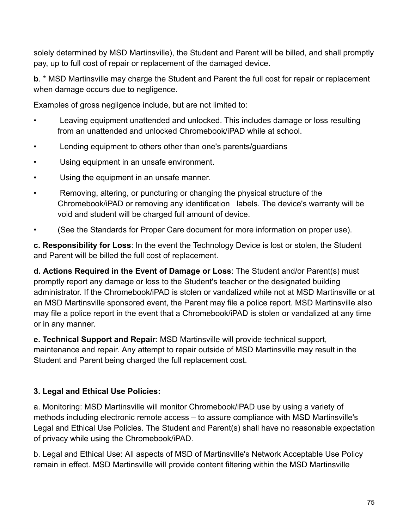solely determined by MSD Martinsville), the Student and Parent will be billed, and shall promptly pay, up to full cost of repair or replacement of the damaged device.

**b.** \* MSD Martinsville may charge the Student and Parent the full cost for repair or replacement when damage occurs due to negligence.

Examples of gross negligence include, but are not limited to:

- Leaving equipment unattended and unlocked. This includes damage or loss resulting from an unattended and unlocked Chromebook/iPAD while at school.
- Lending equipment to others other than one's parents/guardians
- Using equipment in an unsafe environment.
- Using the equipment in an unsafe manner.
- Removing, altering, or puncturing or changing the physical structure of the Chromebook/iPAD or removing any identification labels. The device's warranty will be void and student will be charged full amount of device.
- (See the Standards for Proper Care document for more information on proper use).

**c. Responsibility for Loss** : In the event the Technology Device is lost or stolen, the Student and Parent will be billed the full cost of replacement.

**d. Actions Required in the Event of Damage or Loss:** The Student and/or Parent(s) must promptly report any damage or loss to the Student's teacher or the designated building administrator. If the Chromebook/iPAD is stolen or vandalized while not at MSD Martinsville or at an MSD Martinsville sponsored event, the Parent may file a police report. MSD Martinsville also may file a police report in the event that a Chromebook/iPAD is stolen or vandalized at any time or in any manner.

**e. Technical Support and Repair** : MSD Martinsville will provide technical support, maintenance and repair. Any attempt to repair outside of MSD Martinsville may result in the Student and Parent being charged the full replacement cost.

# **3. Legal and Ethical Use Policies:**

a. Monitoring: MSD Martinsville will monitor Chromebook/iPAD use by using a variety of methods including electronic remote access – to assure compliance with MSD Martinsville's Legal and Ethical Use Policies. The Student and Parent(s) shall have no reasonable expectation of privacy while using the Chromebook/iPAD.

b. Legal and Ethical Use: All aspects of MSD of Martinsville's Network Acceptable Use Policy remain in effect. MSD Martinsville will provide content filtering within the MSD Martinsville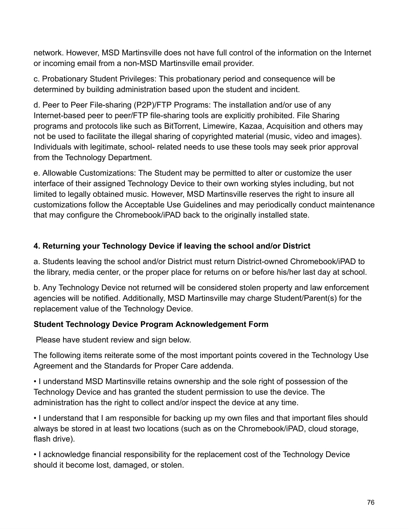network. However, MSD Martinsville does not have full control of the information on the Internet or incoming email from a non-MSD Martinsville email provider.

c. Probationary Student Privileges: This probationary period and consequence will be determined by building administration based upon the student and incident.

d. Peer to Peer File-sharing (P2P)/FTP Programs: The installation and/or use of any Internet-based peer to peer/FTP file-sharing tools are explicitly prohibited. File Sharing programs and protocols like such as BitTorrent, Limewire, Kazaa, Acquisition and others may not be used to facilitate the illegal sharing of copyrighted material (music, video and images). Individuals with legitimate, school- related needs to use these tools may seek prior approval from the Technology Department.

e. Allowable Customizations: The Student may be permitted to alter or customize the user interface of their assigned Technology Device to their own working styles including, but not limited to legally obtained music. However, MSD Martinsville reserves the right to insure all customizations follow the Acceptable Use Guidelines and may periodically conduct maintenance that may configure the Chromebook/iPAD back to the originally installed state.

## **4. Returning your Technology Device if leaving the school and/or District**

a. Students leaving the school and/or District must return District-owned Chromebook/iPAD to the library, media center, or the proper place for returns on or before his/her last day at school.

b. Any Technology Device not returned will be considered stolen property and law enforcement agencies will be notified. Additionally, MSD Martinsville may charge Student/Parent(s) for the replacement value of the Technology Device.

### **Student Technology Device Program Acknowledgement Form**

Please have student review and sign below.

The following items reiterate some of the most important points covered in the Technology Use Agreement and the Standards for Proper Care addenda.

• I understand MSD Martinsville retains ownership and the sole right of possession of the Technology Device and has granted the student permission to use the device. The administration has the right to collect and/or inspect the device at any time.

• I understand that I am responsible for backing up my own files and that important files should always be stored in at least two locations (such as on the Chromebook/iPAD, cloud storage, flash drive).

• I acknowledge financial responsibility for the replacement cost of the Technology Device should it become lost, damaged, or stolen.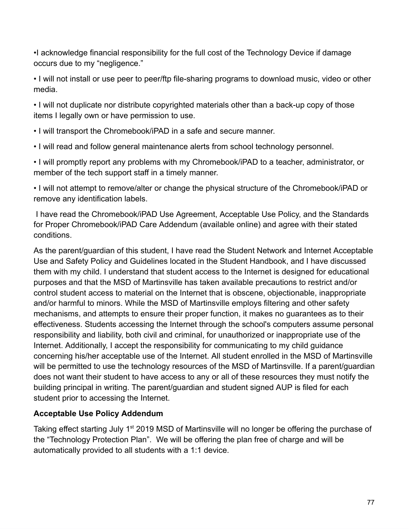•I acknowledge financial responsibility for the full cost of the Technology Device if damage occurs due to my "negligence."

• I will not install or use peer to peer/ftp file-sharing programs to download music, video or other media.

• I will not duplicate nor distribute copyrighted materials other than a back-up copy of those items I legally own or have permission to use.

• I will transport the Chromebook/iPAD in a safe and secure manner.

• I will read and follow general maintenance alerts from school technology personnel.

• I will promptly report any problems with my Chromebook/iPAD to a teacher, administrator, or member of the tech support staff in a timely manner.

• I will not attempt to remove/alter or change the physical structure of the Chromebook/iPAD or remove any identification labels.

 I have read the Chromebook/iPAD Use Agreement, Acceptable Use Policy, and the Standards for Proper Chromebook/iPAD Care Addendum (available online) and agree with their stated conditions.

As the parent/guardian of this student, I have read the Student Network and Internet Acceptable Use and Safety Policy and Guidelines located in the Student Handbook, and I have discussed them with my child. I understand that student access to the Internet is designed for educational purposes and that the MSD of Martinsville has taken available precautions to restrict and/or control student access to material on the Internet that is obscene, objectionable, inappropriate and/or harmful to minors. While the MSD of Martinsville employs filtering and other safety mechanisms, and attempts to ensure their proper function, it makes no guarantees as to their effectiveness. Students accessing the Internet through the school's computers assume personal responsibility and liability, both civil and criminal, for unauthorized or inappropriate use of the Internet. Additionally, I accept the responsibility for communicating to my child guidance concerning his/her acceptable use of the Internet. All student enrolled in the MSD of Martinsville will be permitted to use the technology resources of the MSD of Martinsville. If a parent/guardian does not want their student to have access to any or all of these resources they must notify the building principal in writing. The parent/guardian and student signed AUP is filed for each student prior to accessing the Internet.

### **Acceptable Use Policy Addendum**

Taking effect starting July 1<sup>st</sup> 2019 MSD of Martinsville will no longer be offering the purchase of the "Technology Protection Plan". We will be offering the plan free of charge and will be automatically provided to all students with a 1:1 device.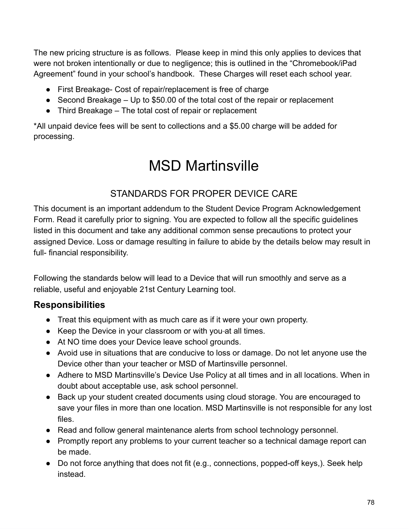The new pricing structure is as follows. Please keep in mind this only applies to devices that were not broken intentionally or due to negligence; this is outlined in the "Chromebook/iPad Agreement" found in your school's handbook. These Charges will reset each school year.

- First Breakage- Cost of repair/replacement is free of charge
- Second Breakage Up to \$50.00 of the total cost of the repair or replacement
- Third Breakage The total cost of repair or replacement

\*All unpaid device fees will be sent to collections and a \$5.00 charge will be added for processing.

# MSD Martinsville

# STANDARDS FOR PROPER DEVICE CARE

This document is an important addendum to the Student Device Program Acknowledgement Form. Read it carefully prior to signing. You are expected to follow all the specific guidelines listed in this document and take any additional common sense precautions to protect your assigned Device. Loss or damage resulting in failure to abide by the details below may result in full- financial responsibility.

Following the standards below will lead to a Device that will run smoothly and serve as a reliable, useful and enjoyable 21st Century Learning tool.

# **Responsibilities**

- Treat this equipment with as much care as if it were your own property.
- Keep the Device in your classroom or with you-at all times.
- At NO time does your Device leave school grounds.
- Avoid use in situations that are conducive to loss or damage. Do not let anyone use the Device other than your teacher or MSD of Martinsville personnel.
- Adhere to MSD Martinsville's Device Use Policy at all times and in all locations. When in doubt about acceptable use, ask school personnel.
- Back up your student created documents using cloud storage. You are encouraged to save your files in more than one location. MSD Martinsville is not responsible for any lost files.
- Read and follow general maintenance alerts from school technology personnel.
- Promptly report any problems to your current teacher so a technical damage report can be made.
- Do not force anything that does not fit (e.g., connections, popped-off keys,). Seek help instead.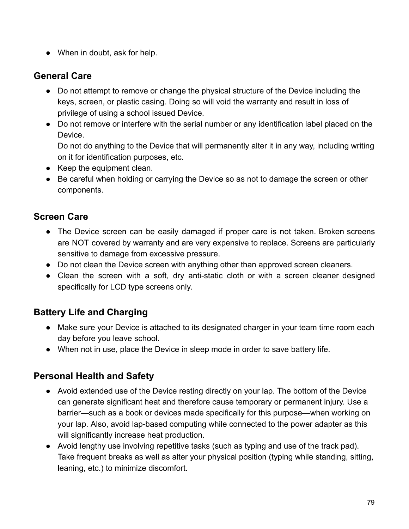• When in doubt, ask for help.

# **General Care**

- Do not attempt to remove or change the physical structure of the Device including the keys, screen, or plastic casing. Doing so will void the warranty and result in loss of privilege of using a school issued Device.
- Do not remove or interfere with the serial number or any identification label placed on the Device.

Do not do anything to the Device that will permanently alter it in any way, including writing on it for identification purposes, etc.

- Keep the equipment clean.
- Be careful when holding or carrying the Device so as not to damage the screen or other components.

# **Screen Care**

- The Device screen can be easily damaged if proper care is not taken. Broken screens are NOT covered by warranty and are very expensive to replace. Screens are particularly sensitive to damage from excessive pressure.
- Do not clean the Device screen with anything other than approved screen cleaners.
- Clean the screen with a soft, dry anti-static cloth or with a screen cleaner designed specifically for LCD type screens only.

# **Battery Life and Charging**

- Make sure your Device is attached to its designated charger in your team time room each day before you leave school.
- When not in use, place the Device in sleep mode in order to save battery life.

# **Personal Health and Safety**

- Avoid extended use of the Device resting directly on your lap. The bottom of the Device can generate significant heat and therefore cause temporary or permanent injury. Use a barrier—such as a book or devices made specifically for this purpose—when working on your lap. Also, avoid lap-based computing while connected to the power adapter as this will significantly increase heat production.
- Avoid lengthy use involving repetitive tasks (such as typing and use of the track pad). Take frequent breaks as well as alter your physical position (typing while standing, sitting, leaning, etc.) to minimize discomfort.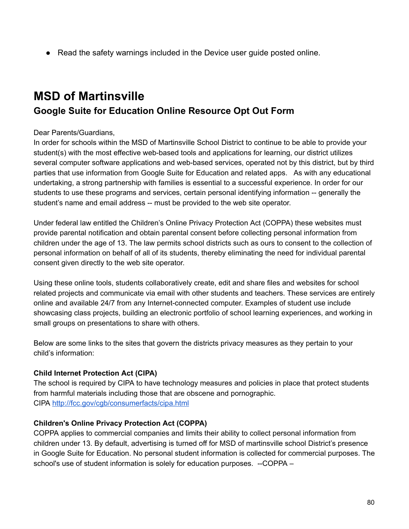● Read the safety warnings included in the Device user quide posted online.

# **MSD of Martinsville Google Suite for Education Online Resource Opt Out Form**

#### Dear Parents/Guardians,

In order for schools within the MSD of Martinsville School District to continue to be able to provide your student(s) with the most effective web-based tools and applications for learning, our district utilizes several computer software applications and web-based services, operated not by this district, but by third parties that use information from Google Suite for Education and related apps. As with any educational undertaking, a strong partnership with families is essential to a successful experience. In order for our students to use these programs and services, certain personal identifying information -- generally the student's name and email address -- must be provided to the web site operator.

Under federal law entitled the Children's Online Privacy Protection Act (COPPA) these websites must provide parental notification and obtain parental consent before collecting personal information from children under the age of 13. The law permits school districts such as ours to consent to the collection of personal information on behalf of all of its students, thereby eliminating the need for individual parental consent given directly to the web site operator.

Using these online tools, students collaboratively create, edit and share files and websites for school related projects and communicate via email with other students and teachers. These services are entirely online and available 24/7 from any Internet-connected computer. Examples of student use include showcasing class projects, building an electronic portfolio of school learning experiences, and working in small groups on presentations to share with others.

Below are some links to the sites that govern the districts privacy measures as they pertain to your child's information:

### **Child Internet Protection Act (CIPA)**

The school is required by CIPA to have technology measures and policies in place that protect students from harmful materials including those that are obscene and pornographic. CIPA <http://fcc.gov/cgb/consumerfacts/cipa.html>

#### **Children's Online Privacy Protection Act (COPPA)**

COPPA applies to commercial companies and limits their ability to collect personal information from children under 13. By default, advertising is turned off for MSD of martinsville school District's presence in Google Suite for Education. No personal student information is collected for commercial purposes. The school's use of student information is solely for education purposes. --COPPA –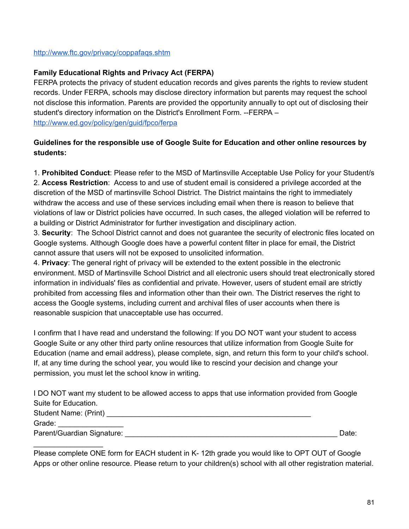#### <http://www.ftc.gov/privacy/coppafaqs.shtm>

 $\frac{1}{2}$  ,  $\frac{1}{2}$  ,  $\frac{1}{2}$  ,  $\frac{1}{2}$  ,  $\frac{1}{2}$  ,  $\frac{1}{2}$  ,  $\frac{1}{2}$  ,  $\frac{1}{2}$  ,  $\frac{1}{2}$  ,  $\frac{1}{2}$ 

#### **Family Educational Rights and Privacy Act (FERPA)**

FERPA protects the privacy of student education records and gives parents the rights to review student records. Under FERPA, schools may disclose directory information but parents may request the school not disclose this information. Parents are provided the opportunity annually to opt out of disclosing their student's directory information on the District's Enrollment Form. --FERPA – <http://www.ed.gov/policy/gen/guid/fpco/ferpa>

#### **Guidelines for the responsible use of Google Suite for Education and other online resources by students:**

1. **Prohibited Conduct**: Please refer to the MSD of Martinsville Acceptable Use Policy for your Student/s 2. **Access Restriction**: Access to and use of student email is considered a privilege accorded at the discretion of the MSD of martinsville School District. The District maintains the right to immediately withdraw the access and use of these services including email when there is reason to believe that violations of law or District policies have occurred. In such cases, the alleged violation will be referred to a building or District Administrator for further investigation and disciplinary action.

3. **Security**: The School District cannot and does not guarantee the security of electronic files located on Google systems. Although Google does have a powerful content filter in place for email, the District cannot assure that users will not be exposed to unsolicited information.

4. **Privacy**: The general right of privacy will be extended to the extent possible in the electronic environment. MSD of Martinsville School District and all electronic users should treat electronically stored information in individuals' files as confidential and private. However, users of student email are strictly prohibited from accessing files and information other than their own. The District reserves the right to access the Google systems, including current and archival files of user accounts when there is reasonable suspicion that unacceptable use has occurred.

I confirm that I have read and understand the following: If you DO NOT want your student to access Google Suite or any other third party online resources that utilize information from Google Suite for Education (name and email address), please complete, sign, and return this form to your child's school. If, at any time during the school year, you would like to rescind your decision and change your permission, you must let the school know in writing.

I DO NOT want my student to be allowed access to apps that use information provided from Google Suite for Education.

| <b>Student Name: (Print)</b> |       |
|------------------------------|-------|
| Grade:                       |       |
| Parent/Guardian Signature:   | Date: |

Please complete ONE form for EACH student in K- 12th grade you would like to OPT OUT of Google Apps or other online resource. Please return to your children(s) school with all other registration material.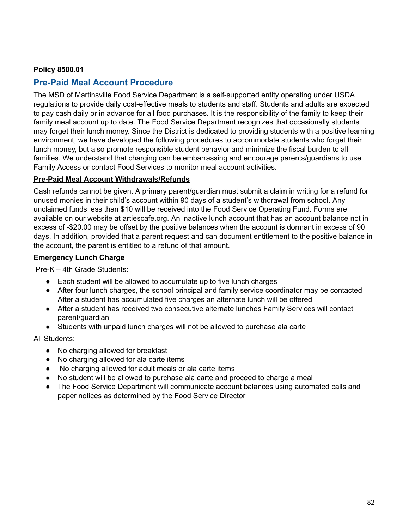#### **Policy 8500.01**

### **Pre-Paid Meal Account Procedure**

The MSD of Martinsville Food Service Department is a self-supported entity operating under USDA regulations to provide daily cost-effective meals to students and staff. Students and adults are expected to pay cash daily or in advance for all food purchases. It is the responsibility of the family to keep their family meal account up to date. The Food Service Department recognizes that occasionally students may forget their lunch money. Since the District is dedicated to providing students with a positive learning environment, we have developed the following procedures to accommodate students who forget their lunch money, but also promote responsible student behavior and minimize the fiscal burden to all families. We understand that charging can be embarrassing and encourage parents/guardians to use Family Access or contact Food Services to monitor meal account activities.

#### **Pre-Paid Meal Account Withdrawals/Refunds**

Cash refunds cannot be given. A primary parent/guardian must submit a claim in writing for a refund for unused monies in their child's account within 90 days of a student's withdrawal from school. Any unclaimed funds less than \$10 will be received into the Food Service Operating Fund. Forms are available on our website at artiescafe.org. An inactive lunch account that has an account balance not in excess of -\$20.00 may be offset by the positive balances when the account is dormant in excess of 90 days. In addition, provided that a parent request and can document entitlement to the positive balance in the account, the parent is entitled to a refund of that amount.

#### **Emergency Lunch Charge**

Pre-K – 4th Grade Students:

- Each student will be allowed to accumulate up to five lunch charges
- After four lunch charges, the school principal and family service coordinator may be contacted After a student has accumulated five charges an alternate lunch will be offered
- After a student has received two consecutive alternate lunches Family Services will contact parent/guardian
- Students with unpaid lunch charges will not be allowed to purchase ala carte

All Students:

- No charging allowed for breakfast
- No charging allowed for ala carte items
- No charging allowed for adult meals or ala carte items
- No student will be allowed to purchase ala carte and proceed to charge a meal
- The Food Service Department will communicate account balances using automated calls and paper notices as determined by the Food Service Director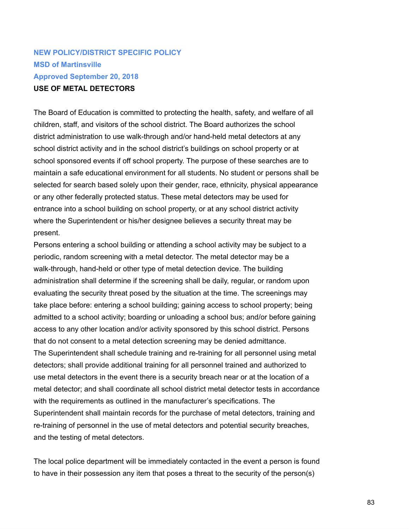# **NEW POLICY/DISTRICT SPECIFIC POLICY MSD of Martinsville Approved September 20, 2018 USE OF METAL DETECTORS**

The Board of Education is committed to protecting the health, safety, and welfare of all children, staff, and visitors of the school district. The Board authorizes the school district administration to use walk-through and/or hand-held metal detectors at any school district activity and in the school district's buildings on school property or at school sponsored events if off school property. The purpose of these searches are to maintain a safe educational environment for all students. No student or persons shall be selected for search based solely upon their gender, race, ethnicity, physical appearance or any other federally protected status. These metal detectors may be used for entrance into a school building on school property, or at any school district activity where the Superintendent or his/her designee believes a security threat may be present.

Persons entering a school building or attending a school activity may be subject to a periodic, random screening with a metal detector. The metal detector may be a walk-through, hand-held or other type of metal detection device. The building administration shall determine if the screening shall be daily, regular, or random upon evaluating the security threat posed by the situation at the time. The screenings may take place before: entering a school building; gaining access to school property; being admitted to a school activity; boarding or unloading a school bus; and/or before gaining access to any other location and/or activity sponsored by this school district. Persons that do not consent to a metal detection screening may be denied admittance. The Superintendent shall schedule training and re-training for all personnel using metal detectors; shall provide additional training for all personnel trained and authorized to use metal detectors in the event there is a security breach near or at the location of a metal detector; and shall coordinate all school district metal detector tests in accordance with the requirements as outlined in the manufacturer's specifications. The Superintendent shall maintain records for the purchase of metal detectors, training and re-training of personnel in the use of metal detectors and potential security breaches, and the testing of metal detectors.

The local police department will be immediately contacted in the event a person is found to have in their possession any item that poses a threat to the security of the person(s)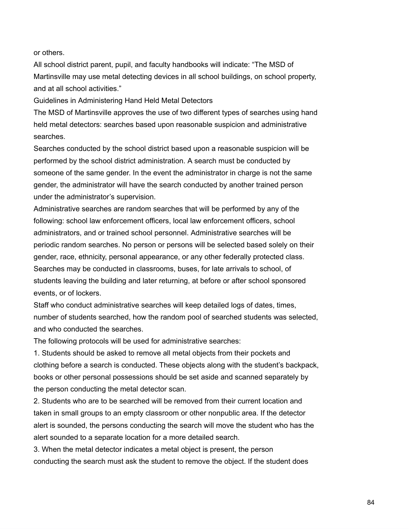or others.

All school district parent, pupil, and faculty handbooks will indicate: "The MSD of Martinsville may use metal detecting devices in all school buildings, on school property, and at all school activities."

Guidelines in Administering Hand Held Metal Detectors

The MSD of Martinsville approves the use of two different types of searches using hand held metal detectors: searches based upon reasonable suspicion and administrative searches.

Searches conducted by the school district based upon a reasonable suspicion will be performed by the school district administration. A search must be conducted by someone of the same gender. In the event the administrator in charge is not the same gender, the administrator will have the search conducted by another trained person under the administrator's supervision.

Administrative searches are random searches that will be performed by any of the following: school law enforcement officers, local law enforcement officers, school administrators, and or trained school personnel. Administrative searches will be periodic random searches. No person or persons will be selected based solely on their gender, race, ethnicity, personal appearance, or any other federally protected class. Searches may be conducted in classrooms, buses, for late arrivals to school, of students leaving the building and later returning, at before or after school sponsored events, or of lockers.

Staff who conduct administrative searches will keep detailed logs of dates, times, number of students searched, how the random pool of searched students was selected, and who conducted the searches.

The following protocols will be used for administrative searches:

1. Students should be asked to remove all metal objects from their pockets and clothing before a search is conducted. These objects along with the student's backpack, books or other personal possessions should be set aside and scanned separately by the person conducting the metal detector scan.

2. Students who are to be searched will be removed from their current location and taken in small groups to an empty classroom or other nonpublic area. If the detector alert is sounded, the persons conducting the search will move the student who has the alert sounded to a separate location for a more detailed search.

3. When the metal detector indicates a metal object is present, the person conducting the search must ask the student to remove the object. If the student does